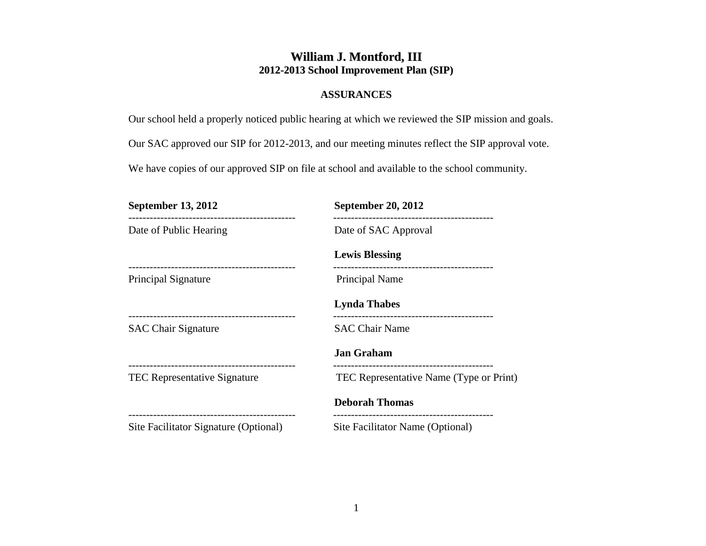### **William J. Montford, III 2012-2013 School Improvement Plan (SIP)**

#### **ASSURANCES**

Our school held a properly noticed public hearing at which we reviewed the SIP mission and goals. Our SAC approved our SIP for 2012-2013, and our meeting minutes reflect the SIP approval vote. We have copies of our approved SIP on file at school and available to the school community.

| <b>September 13, 2012</b>             | <b>September 20, 2012</b>               |
|---------------------------------------|-----------------------------------------|
| Date of Public Hearing                | Date of SAC Approval                    |
|                                       | <b>Lewis Blessing</b>                   |
| <b>Principal Signature</b>            | Principal Name                          |
|                                       | <b>Lynda Thabes</b>                     |
| <b>SAC Chair Signature</b>            | <b>SAC Chair Name</b>                   |
|                                       | <b>Jan Graham</b>                       |
| <b>TEC</b> Representative Signature   | TEC Representative Name (Type or Print) |
|                                       | <b>Deborah Thomas</b>                   |
| Site Facilitator Signature (Optional) | Site Facilitator Name (Optional)        |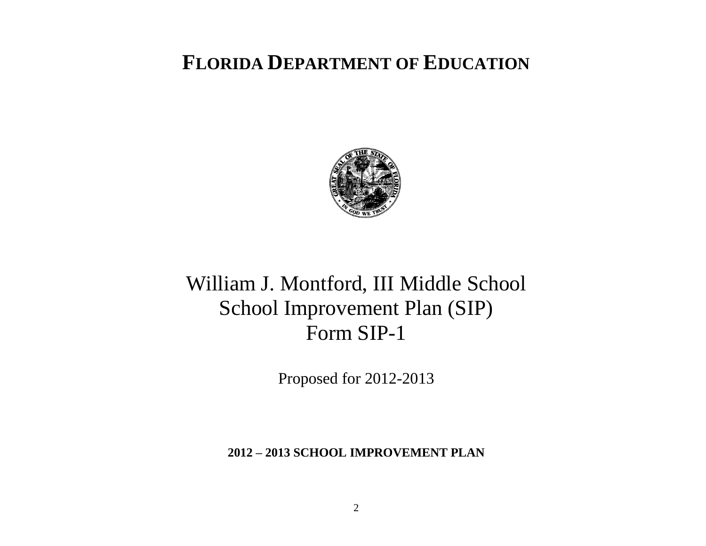# **FLORIDA DEPARTMENT OF EDUCATION**



# William J. Montford, III Middle School School Improvement Plan (SIP) Form SIP-1

Proposed for 2012-2013

**2012 – 2013 SCHOOL IMPROVEMENT PLAN**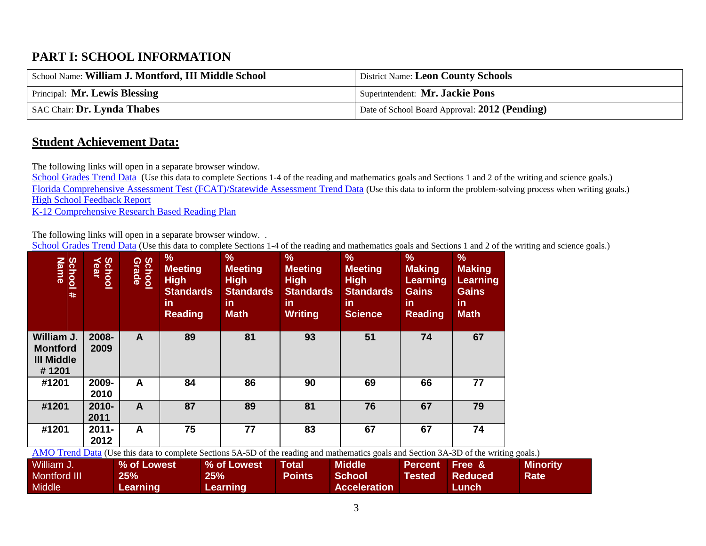### **PART I: SCHOOL INFORMATION**

| School Name: William J. Montford, III Middle School | District Name: Leon County Schools            |
|-----------------------------------------------------|-----------------------------------------------|
| Principal: Mr. Lewis Blessing                       | Superintendent: Mr. Jackie Pons               |
| SAC Chair: Dr. Lynda Thabes                         | Date of School Board Approval: 2012 (Pending) |

### **Student Achievement Data:**

The following links will open in a separate browser window.

[School Grades Trend Data](http://schoolgrades.fldoe.org/default.asp) (Use this data to complete Sections 1-4 of the reading and mathematics goals and Sections 1 and 2 of the writing and science goals.) [Florida Comprehensive Assessment Test \(FCAT\)/Statewide Assessment](http://fcat.fldoe.org/results/default.asp) Trend Data (Use this data to inform the problem-solving process when writing goals.) [High School Feedback Report](http://data.fldoe.org/readiness/)  [K-12 Comprehensive Research Based Reading Plan](https://app1.fldoe.org/Reading_Plans/Narrative/NarrativeList.aspx)

The following links will open in a separate browser window. .

[School Grades Trend Data](http://schoolgrades.fldoe.org/default.asp?action=verifySelctSchool&report=SG&districts=37&schoolYear=2009-2010%2C2008-2009%2C2007-2008%2C2006-2007%2C2005-2006%2C2004-2005%2C2003-2004%2C2002-2003%2C2001-2002%2C2000-2001%2C1999-2000%2C1998-1999&school_grade=&level=School&charterStatus=CLRZ&schoolNumbers=371201) (Use this data to complete Sections 1-4 of the reading and mathematics goals and Sections 1 and 2 of the writing and science goals.)

| <b>Name</b><br><b>School</b><br>$\ast$                      | <b>School</b><br>Year | <b>School</b><br>Grade | $\frac{9}{6}$<br><b>Meeting</b><br><b>High</b><br><b>Standards</b><br>in.<br><b>Reading</b> | $\frac{9}{6}$<br><b>Meeting</b><br><b>High</b><br><b>Standards</b><br><u>in</u><br><b>Math</b> | $\frac{9}{6}$<br><b>Meeting</b><br><b>High</b><br><b>Standards</b><br><u>in</u><br><b>Writing</b> | %<br><b>Meeting</b><br><b>High</b><br><b>Standards</b><br>in.<br><b>Science</b> | $\frac{9}{6}$<br><b>Making</b><br>Learning<br><b>Gains</b><br>in.<br><b>Reading</b> | $\%$<br><b>Making</b><br><b>Learning</b><br><b>Gains</b><br><b>in</b><br><b>Math</b> |
|-------------------------------------------------------------|-----------------------|------------------------|---------------------------------------------------------------------------------------------|------------------------------------------------------------------------------------------------|---------------------------------------------------------------------------------------------------|---------------------------------------------------------------------------------|-------------------------------------------------------------------------------------|--------------------------------------------------------------------------------------|
| William J.<br><b>Montford</b><br><b>III Middle</b><br>#1201 | 2008-<br>2009         | A                      | 89                                                                                          | 81                                                                                             | 93                                                                                                | 51                                                                              | 74                                                                                  | 67                                                                                   |
| #1201                                                       | 2009-<br>2010         | A                      | 84                                                                                          | 86                                                                                             | 90                                                                                                | 69                                                                              | 66                                                                                  | 77                                                                                   |
| #1201                                                       | 2010-<br>2011         | $\mathsf{A}$           | 87                                                                                          | 89                                                                                             | 81                                                                                                | 76                                                                              | 67                                                                                  | 79                                                                                   |
| #1201<br>$\sim$ $\sim$ $\sim$ $\sim$                        | $2011 -$<br>2012      | A                      | 75                                                                                          | 77                                                                                             | 83                                                                                                | 67                                                                              | 67                                                                                  | 74                                                                                   |

[AMO Trend Data](http://schoolgrades.fldoe.org/default.asp?report=AYP) (Use this data to complete Sections 5A-5D of the reading and mathematics goals and Section 3A-3D of the writing goals.)

| William J.   | % of Lowest     | % of Lowest | <b>Total</b> | Middle              | <b>Percent Free &amp;</b> ' |                | <b>Minority</b> |
|--------------|-----------------|-------------|--------------|---------------------|-----------------------------|----------------|-----------------|
| Montford III | 25%'            | 25%         | Points       | <b>School</b>       | Tested                      | <b>Reduced</b> | <b>Rate</b>     |
| Middle       | <b>Learning</b> | Learning    |              | <b>Acceleration</b> |                             | Lunch          |                 |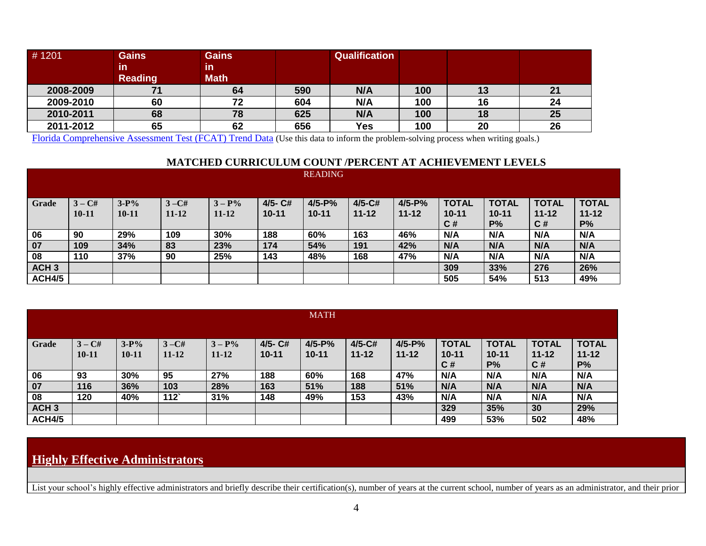| #1201     | <b>Gains</b><br>in | <b>Gains</b><br><u>in</u> |     | Qualification |     |    |    |
|-----------|--------------------|---------------------------|-----|---------------|-----|----|----|
|           | <b>Reading</b>     | <b>Math</b>               |     |               |     |    |    |
| 2008-2009 |                    | 64                        | 590 | N/A           | 100 | 13 | 21 |
| 2009-2010 | 60                 | 72                        | 604 | N/A           | 100 | 16 | 24 |
| 2010-2011 | 68                 | 78                        | 625 | N/A           | 100 | 18 | 25 |
| 2011-2012 | 65                 | 62                        | 656 | <b>Yes</b>    | 100 | 20 | 26 |

[Florida Comprehensive Assessment Test \(FCAT\) Trend Data](http://fcat.fldoe.org/results/default.asp) (Use this data to inform the problem-solving process when writing goals.)

#### **MATCHED CURRICULUM COUNT /PERCENT AT ACHIEVEMENT LEVELS**

|                  | <b>READING</b> |        |           |           |           |           |           |            |              |              |              |              |
|------------------|----------------|--------|-----------|-----------|-----------|-----------|-----------|------------|--------------|--------------|--------------|--------------|
|                  |                |        |           |           |           |           |           |            |              |              |              |              |
| Grade            | $3 - C#$       | $3-P%$ | $3 - C#$  | $3 - P\%$ | 4/5- C#   | 4/5-P%    | 4/5-C#    | $4/5 - P%$ | <b>TOTAL</b> | <b>TOTAL</b> | <b>TOTAL</b> | <b>TOTAL</b> |
|                  | $10 - 11$      | 10-11  | $11 - 12$ | $11 - 12$ | $10 - 11$ | $10 - 11$ | $11 - 12$ | $11 - 12$  | $10 - 11$    | $10 - 11$    | $11 - 12$    | $11 - 12$    |
|                  |                |        |           |           |           |           |           |            | C#           | <b>P%</b>    | C#           | $P\%$        |
| 06               | 90             | 29%    | 109       | 30%       | 188       | 60%       | 163       | 46%        | N/A          | N/A          | N/A          | N/A          |
| 07               | 109            | 34%    | 83        | 23%       | 174       | 54%       | 191       | 42%        | N/A          | N/A          | N/A          | N/A          |
| 08               | 110            | 37%    | 90        | 25%       | 143       | 48%       | 168       | 47%        | N/A          | N/A          | N/A          | N/A          |
| ACH <sub>3</sub> |                |        |           |           |           |           |           |            | 309          | 33%          | 276          | 26%          |
| <b>ACH4/5</b>    |                |        |           |           |           |           |           |            | 505          | 54%          | 513          | 49%          |

|                  |          |           |           |           |           | <b>MATH</b> |            |           |              |              |              |              |
|------------------|----------|-----------|-----------|-----------|-----------|-------------|------------|-----------|--------------|--------------|--------------|--------------|
|                  |          |           |           |           |           |             |            |           |              |              |              |              |
| Grade            | $3 - C#$ | $3-P%$    | $3-C#$    | $3 - P%$  | 4/5- C#   | 4/5-P%      | $4/5 - C#$ | 4/5-P%    | <b>TOTAL</b> | <b>TOTAL</b> | <b>TOTAL</b> | <b>TOTAL</b> |
|                  | 10-11    | $10 - 11$ | $11 - 12$ | $11 - 12$ | $10 - 11$ | $10 - 11$   | $11 - 12$  | $11 - 12$ | $10 - 11$    | $10 - 11$    | $11 - 12$    | $11 - 12$    |
|                  |          |           |           |           |           |             |            |           | C#           | $P\%$        | C#           | $P\%$        |
| 06               | 93       | 30%       | 95        | 27%       | 188       | 60%         | 168        | 47%       | N/A          | N/A          | N/A          | N/A          |
| 07               | 116      | 36%       | 103       | 28%       | 163       | 51%         | 188        | 51%       | N/A          | N/A          | N/A          | N/A          |
| 08               | 120      | 40%       | 112       | 31%       | 148       | 49%         | 153        | 43%       | N/A          | N/A          | N/A          | N/A          |
| ACH <sub>3</sub> |          |           |           |           |           |             |            |           | 329          | 35%          | 30           | 29%          |
| <b>ACH4/5</b>    |          |           |           |           |           |             |            |           | 499          | 53%          | 502          | 48%          |

### **Highly Effective Administrators**

List your school's highly effective administrators and briefly describe their certification(s), number of years at the current school, number of years as an administrator, and their prior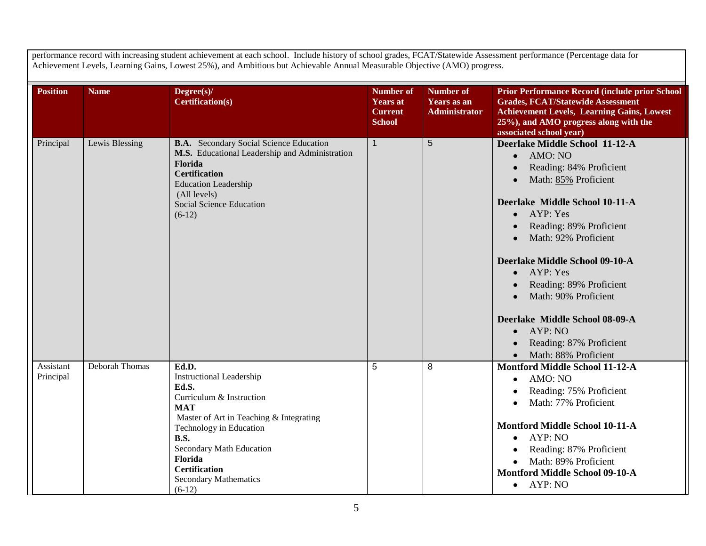|                        |                | performance record with increasing student achievement at each school. Include history of school grades, FCAT/Statewide Assessment performance (Percentage data for<br>Achievement Levels, Learning Gains, Lowest 25%), and Ambitious but Achievable Annual Measurable Objective (AMO) progress. |                                                                        |                                                         |                                                                                                                                                                                                                                                                                                                                                                                                                                              |
|------------------------|----------------|--------------------------------------------------------------------------------------------------------------------------------------------------------------------------------------------------------------------------------------------------------------------------------------------------|------------------------------------------------------------------------|---------------------------------------------------------|----------------------------------------------------------------------------------------------------------------------------------------------------------------------------------------------------------------------------------------------------------------------------------------------------------------------------------------------------------------------------------------------------------------------------------------------|
| <b>Position</b>        | <b>Name</b>    | $Degree(s)$ /<br><b>Certification(s)</b>                                                                                                                                                                                                                                                         | <b>Number of</b><br><b>Years at</b><br><b>Current</b><br><b>School</b> | <b>Number of</b><br>Years as an<br><b>Administrator</b> | <b>Prior Performance Record (include prior School)</b><br><b>Grades, FCAT/Statewide Assessment</b><br><b>Achievement Levels, Learning Gains, Lowest</b><br>25%), and AMO progress along with the<br>associated school year)                                                                                                                                                                                                                  |
| Principal              | Lewis Blessing | <b>B.A.</b> Secondary Social Science Education<br>M.S. Educational Leadership and Administration<br>Florida<br><b>Certification</b><br><b>Education Leadership</b><br>(All levels)<br><b>Social Science Education</b><br>$(6-12)$                                                                | $\mathbf{1}$                                                           | 5                                                       | <b>Deerlake Middle School 11-12-A</b><br>AMO: NO<br>$\bullet$<br>Reading: 84% Proficient<br>Math: 85% Proficient<br>Deerlake Middle School 10-11-A<br>AYP: Yes<br>$\bullet$<br>Reading: 89% Proficient<br>Math: 92% Proficient<br>Deerlake Middle School 09-10-A<br>AYP: Yes<br>$\bullet$<br>Reading: 89% Proficient<br>Math: 90% Proficient<br>Deerlake Middle School 08-09-A<br>AYP: NO<br>Reading: 87% Proficient<br>Math: 88% Proficient |
| Assistant<br>Principal | Deborah Thomas | Ed.D.<br><b>Instructional Leadership</b><br>Ed.S.<br>Curriculum & Instruction<br><b>MAT</b><br>Master of Art in Teaching & Integrating<br>Technology in Education<br><b>B.S.</b><br>Secondary Math Education<br>Florida<br><b>Certification</b><br><b>Secondary Mathematics</b><br>$(6-12)$      | 5                                                                      | 8                                                       | <b>Montford Middle School 11-12-A</b><br>AMO: NO<br>$\bullet$<br>Reading: 75% Proficient<br>Math: 77% Proficient<br><b>Montford Middle School 10-11-A</b><br>AYP: NO<br>Reading: 87% Proficient<br>Math: 89% Proficient<br><b>Montford Middle School 09-10-A</b><br>$\bullet$ AYP: NO                                                                                                                                                        |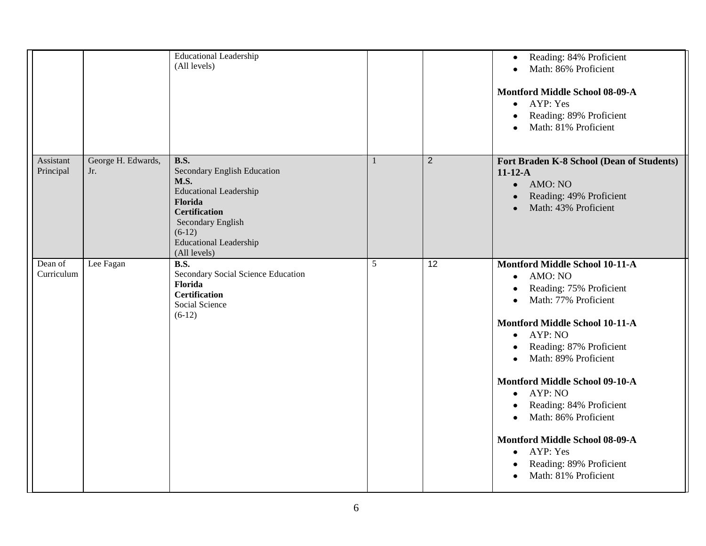|                        |                           | <b>Educational Leadership</b><br>(All levels)                                                                                                                                                                          |   |                | Reading: 84% Proficient<br>$\bullet$<br>Math: 86% Proficient<br>$\bullet$<br>Montford Middle School 08-09-A<br>$\bullet$ AYP: Yes<br>Reading: 89% Proficient<br>$\bullet$<br>Math: 81% Proficient<br>$\bullet$                                                                                                                                                                                                                                                                                                                                                |
|------------------------|---------------------------|------------------------------------------------------------------------------------------------------------------------------------------------------------------------------------------------------------------------|---|----------------|---------------------------------------------------------------------------------------------------------------------------------------------------------------------------------------------------------------------------------------------------------------------------------------------------------------------------------------------------------------------------------------------------------------------------------------------------------------------------------------------------------------------------------------------------------------|
| Assistant<br>Principal | George H. Edwards,<br>Jr. | <b>B.S.</b><br><b>Secondary English Education</b><br><b>M.S.</b><br><b>Educational Leadership</b><br>Florida<br><b>Certification</b><br>Secondary English<br>$(6-12)$<br><b>Educational Leadership</b><br>(All levels) |   | $\overline{2}$ | Fort Braden K-8 School (Dean of Students)<br>$11-12-A$<br>$\bullet$ AMO: NO<br>Reading: 49% Proficient<br>$\bullet$<br>Math: 43% Proficient<br>$\bullet$                                                                                                                                                                                                                                                                                                                                                                                                      |
| Dean of<br>Curriculum  | Lee Fagan                 | <b>B.S.</b><br>Secondary Social Science Education<br>Florida<br><b>Certification</b><br>Social Science<br>$(6-12)$                                                                                                     | 5 | 12             | <b>Montford Middle School 10-11-A</b><br>AMO: NO<br>$\bullet$<br>Reading: 75% Proficient<br>$\bullet$<br>Math: 77% Proficient<br>$\bullet$<br><b>Montford Middle School 10-11-A</b><br>$\bullet$ AYP: NO<br>Reading: 87% Proficient<br>$\bullet$<br>Math: 89% Proficient<br>$\bullet$<br><b>Montford Middle School 09-10-A</b><br>$\bullet$ AYP: NO<br>Reading: 84% Proficient<br>$\bullet$<br>Math: 86% Proficient<br>$\bullet$<br>Montford Middle School 08-09-A<br>• AYP: Yes<br>Reading: 89% Proficient<br>$\bullet$<br>Math: 81% Proficient<br>$\bullet$ |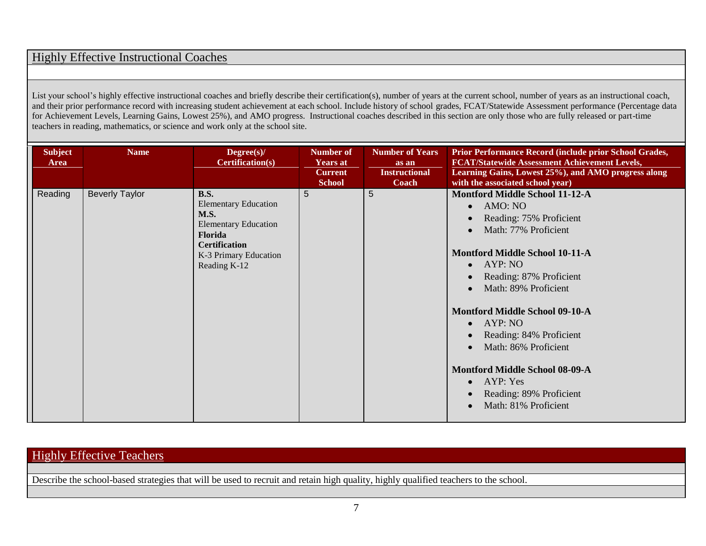### Highly Effective Instructional Coaches

List your school's highly effective instructional coaches and briefly describe their certification(s), number of years at the current school, number of years as an instructional coach, and their prior performance record with increasing student achievement at each school. Include history of school grades, FCAT/Statewide Assessment performance (Percentage data for Achievement Levels, Learning Gains, Lowest 25%), and AMO progress. Instructional coaches described in this section are only those who are fully released or part-time teachers in reading, mathematics, or science and work only at the school site.

| <b>Subject</b><br>Area | <b>Name</b>           | $Degree(s)$ /<br><b>Certification(s)</b>                                                                                                                                    | <b>Number of</b><br><b>Years at</b><br><b>Current</b><br><b>School</b> | <b>Number of Years</b><br>as an<br><b>Instructional</b><br>Coach | Prior Performance Record (include prior School Grades,<br><b>FCAT/Statewide Assessment Achievement Levels,</b><br>Learning Gains, Lowest 25%), and AMO progress along<br>with the associated school year)                                                                                                                                                                                                                                                                     |
|------------------------|-----------------------|-----------------------------------------------------------------------------------------------------------------------------------------------------------------------------|------------------------------------------------------------------------|------------------------------------------------------------------|-------------------------------------------------------------------------------------------------------------------------------------------------------------------------------------------------------------------------------------------------------------------------------------------------------------------------------------------------------------------------------------------------------------------------------------------------------------------------------|
| Reading                | <b>Beverly Taylor</b> | <b>B.S.</b><br><b>Elementary Education</b><br><b>M.S.</b><br><b>Elementary Education</b><br><b>Florida</b><br><b>Certification</b><br>K-3 Primary Education<br>Reading K-12 | 5                                                                      | 5                                                                | <b>Montford Middle School 11-12-A</b><br>AMO: NO<br>$\bullet$<br>Reading: 75% Proficient<br>Math: 77% Proficient<br><b>Montford Middle School 10-11-A</b><br>AYP: NO<br>$\bullet$<br>Reading: 87% Proficient<br>Math: 89% Proficient<br><b>Montford Middle School 09-10-A</b><br>AYP: NO<br>$\bullet$<br>Reading: 84% Proficient<br>Math: 86% Proficient<br><b>Montford Middle School 08-09-A</b><br>AYP: Yes<br>$\bullet$<br>Reading: 89% Proficient<br>Math: 81% Proficient |

### Highly Effective Teachers

Describe the school-based strategies that will be used to recruit and retain high quality, highly qualified teachers to the school.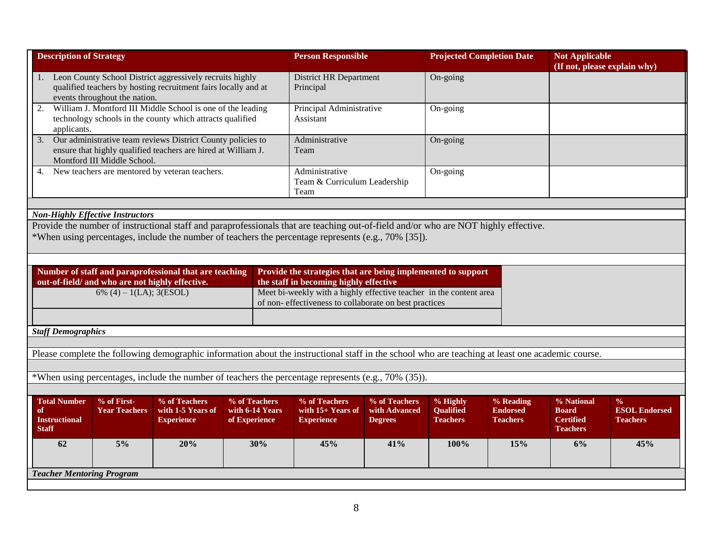|                                                                   | <b>Description of Strategy</b><br><b>Person Responsible</b><br><b>Projected Completion Date</b>                          |                                                                                                                              |                                                   |                                                                                                                                                  |                                                  | <b>Not Applicable</b><br>(If not, please explain why) |                                                 |                                                                   |                                                          |
|-------------------------------------------------------------------|--------------------------------------------------------------------------------------------------------------------------|------------------------------------------------------------------------------------------------------------------------------|---------------------------------------------------|--------------------------------------------------------------------------------------------------------------------------------------------------|--------------------------------------------------|-------------------------------------------------------|-------------------------------------------------|-------------------------------------------------------------------|----------------------------------------------------------|
|                                                                   | events throughout the nation.                                                                                            | Leon County School District aggressively recruits highly<br>qualified teachers by hosting recruitment fairs locally and at   |                                                   | <b>District HR Department</b><br>Principal                                                                                                       |                                                  | On-going                                              |                                                 |                                                                   |                                                          |
| 2.<br>applicants.                                                 | William J. Montford III Middle School is one of the leading<br>technology schools in the county which attracts qualified |                                                                                                                              |                                                   | Principal Administrative<br>Assistant                                                                                                            |                                                  | On-going                                              |                                                 |                                                                   |                                                          |
| 3.                                                                | Montford III Middle School.                                                                                              | Our administrative team reviews District County policies to<br>ensure that highly qualified teachers are hired at William J. |                                                   | Administrative<br>Team                                                                                                                           |                                                  | On-going                                              |                                                 |                                                                   |                                                          |
| 4.                                                                |                                                                                                                          | New teachers are mentored by veteran teachers.                                                                               |                                                   | Administrative<br>Team & Curriculum Leadership<br>Team                                                                                           |                                                  | On-going                                              |                                                 |                                                                   |                                                          |
|                                                                   |                                                                                                                          |                                                                                                                              |                                                   |                                                                                                                                                  |                                                  |                                                       |                                                 |                                                                   |                                                          |
|                                                                   | <b>Non-Highly Effective Instructors</b>                                                                                  |                                                                                                                              |                                                   | Provide the number of instructional staff and paraprofessionals that are teaching out-of-field and/or who are NOT highly effective.              |                                                  |                                                       |                                                 |                                                                   |                                                          |
|                                                                   |                                                                                                                          |                                                                                                                              |                                                   | *When using percentages, include the number of teachers the percentage represents (e.g., 70% [35]).                                              |                                                  |                                                       |                                                 |                                                                   |                                                          |
|                                                                   |                                                                                                                          |                                                                                                                              |                                                   |                                                                                                                                                  |                                                  |                                                       |                                                 |                                                                   |                                                          |
|                                                                   | out-of-field/ and who are not highly effective.                                                                          | Number of staff and paraprofessional that are teaching                                                                       |                                                   | Provide the strategies that are being implemented to support<br>the staff in becoming highly effective                                           |                                                  |                                                       |                                                 |                                                                   |                                                          |
|                                                                   | 6% (4) $-1$ (LA); 3(ESOL)                                                                                                |                                                                                                                              |                                                   | Meet bi-weekly with a highly effective teacher in the content area                                                                               |                                                  |                                                       |                                                 |                                                                   |                                                          |
|                                                                   |                                                                                                                          |                                                                                                                              |                                                   | of non-effectiveness to collaborate on best practices                                                                                            |                                                  |                                                       |                                                 |                                                                   |                                                          |
|                                                                   |                                                                                                                          |                                                                                                                              |                                                   |                                                                                                                                                  |                                                  |                                                       |                                                 |                                                                   |                                                          |
| <b>Staff Demographics</b>                                         |                                                                                                                          |                                                                                                                              |                                                   |                                                                                                                                                  |                                                  |                                                       |                                                 |                                                                   |                                                          |
|                                                                   |                                                                                                                          |                                                                                                                              |                                                   | Please complete the following demographic information about the instructional staff in the school who are teaching at least one academic course. |                                                  |                                                       |                                                 |                                                                   |                                                          |
|                                                                   |                                                                                                                          |                                                                                                                              |                                                   |                                                                                                                                                  |                                                  |                                                       |                                                 |                                                                   |                                                          |
|                                                                   |                                                                                                                          |                                                                                                                              |                                                   | *When using percentages, include the number of teachers the percentage represents (e.g., 70% (35)).                                              |                                                  |                                                       |                                                 |                                                                   |                                                          |
|                                                                   |                                                                                                                          |                                                                                                                              |                                                   |                                                                                                                                                  |                                                  |                                                       |                                                 |                                                                   |                                                          |
| <b>Total Number</b><br>of<br><b>Instructional</b><br><b>Staff</b> | % of First-<br><b>Year Teachers</b>                                                                                      | % of Teachers<br>with 1-5 Years of<br><b>Experience</b>                                                                      | % of Teachers<br>with 6-14 Years<br>of Experience | % of Teachers<br>with $15+$ Years of<br><b>Experience</b>                                                                                        | % of Teachers<br>with Advanced<br><b>Degrees</b> | % Highly<br>Qualified<br><b>Teachers</b>              | % Reading<br><b>Endorsed</b><br><b>Teachers</b> | % National<br><b>Board</b><br><b>Certified</b><br><b>Teachers</b> | $\frac{0}{0}$<br><b>ESOL Endorsed</b><br><b>Teachers</b> |
| 62                                                                | $5\%$                                                                                                                    | 20%                                                                                                                          | 30%                                               | 45%                                                                                                                                              | 41%                                              | 100%                                                  | 15%                                             | 6%                                                                | 45%                                                      |
| <b>Teacher Mentoring Program</b>                                  |                                                                                                                          |                                                                                                                              |                                                   |                                                                                                                                                  |                                                  |                                                       |                                                 |                                                                   |                                                          |
|                                                                   |                                                                                                                          |                                                                                                                              |                                                   |                                                                                                                                                  |                                                  |                                                       |                                                 |                                                                   |                                                          |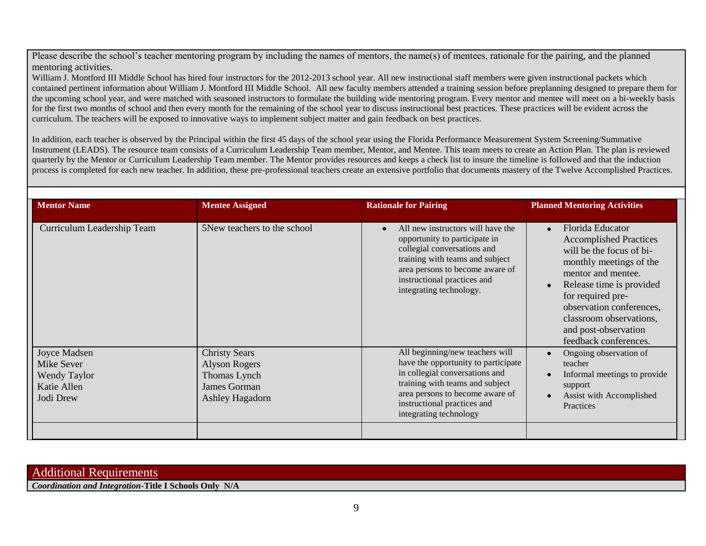Please describe the school's teacher mentoring program by including the names of mentors, the name(s) of mentees, rationale for the pairing, and the planned mentoring activities.

William J. Montford III Middle School has hired four instructors for the 2012-2013 school year. All new instructional staff members were given instructional packets which contained pertinent information about William J. Montford III Middle School. All new faculty members attended a training session before preplanning designed to prepare them for the upcoming school year, and were matched with seasoned instructors to formulate the building wide mentoring program. Every mentor and mentee will meet on a bi-weekly basis for the first two months of school and then every month for the remaining of the school year to discuss instructional best practices. These practices will be evident across the curriculum. The teachers will be exposed to innovative ways to implement subject matter and gain feedback on best practices.

In addition, each teacher is observed by the Principal within the first 45 days of the school year using the Florida Performance Measurement System Screening/Summative Instrument (LEADS). The resource team consists of a Curriculum Leadership Team member, Mentor, and Mentee. This team meets to create an Action Plan. The plan is reviewed quarterly by the Mentor or Curriculum Leadership Team member. The Mentor provides resources and keeps a check list to insure the timeline is followed and that the induction process is completed for each new teacher. In addition, these pre-professional teachers create an extensive portfolio that documents mastery of the Twelve Accomplished Practices.

| <b>Mentor Name</b>                                                            | <b>Mentee Assigned</b>                                                                          | <b>Rationale for Pairing</b>                                                                                                                                                                                                                   | <b>Planned Mentoring Activities</b>                                                                                                                                                                                                                                                                  |
|-------------------------------------------------------------------------------|-------------------------------------------------------------------------------------------------|------------------------------------------------------------------------------------------------------------------------------------------------------------------------------------------------------------------------------------------------|------------------------------------------------------------------------------------------------------------------------------------------------------------------------------------------------------------------------------------------------------------------------------------------------------|
| Curriculum Leadership Team                                                    | 5New teachers to the school                                                                     | All new instructors will have the<br>$\bullet$<br>opportunity to participate in<br>collegial conversations and<br>training with teams and subject<br>area persons to become aware of<br>instructional practices and<br>integrating technology. | Florida Educator<br>$\bullet$<br><b>Accomplished Practices</b><br>will be the focus of bi-<br>monthly meetings of the<br>mentor and mentee.<br>Release time is provided<br>for required pre-<br>observation conferences,<br>classroom observations,<br>and post-observation<br>feedback conferences. |
| Joyce Madsen<br>Mike Sever<br><b>Wendy Taylor</b><br>Katie Allen<br>Jodi Drew | <b>Christy Sears</b><br><b>Alyson Rogers</b><br>Thomas Lynch<br>James Gorman<br>Ashley Hagadorn | All beginning/new teachers will<br>have the opportunity to participate<br>in collegial conversations and<br>training with teams and subject<br>area persons to become aware of<br>instructional practices and<br>integrating technology        | Ongoing observation of<br>teacher<br>Informal meetings to provide<br>support<br>Assist with Accomplished<br>Practices                                                                                                                                                                                |
|                                                                               |                                                                                                 |                                                                                                                                                                                                                                                |                                                                                                                                                                                                                                                                                                      |

#### Additional Requirements

*Coordination and Integration-***Title I Schools Only N/A**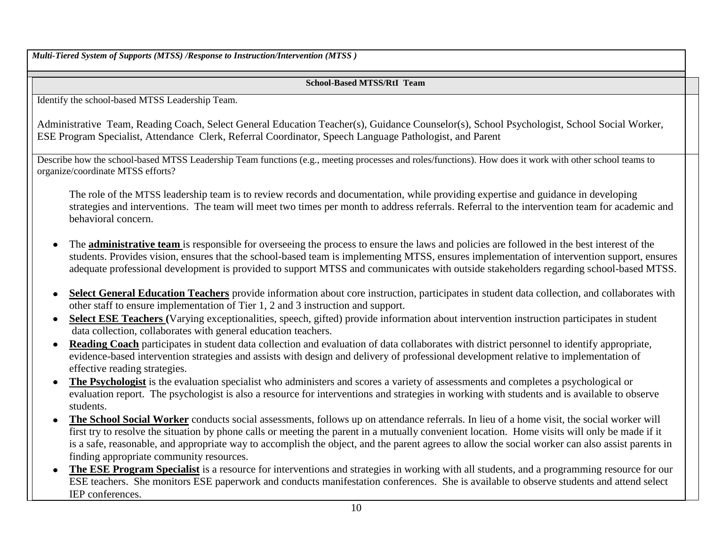*Multi-Tiered System of Supports (MTSS) /Response to Instruction/Intervention (MTSS )*

#### **School-Based MTSS/RtI Team**

Identify the school-based MTSS Leadership Team.

Administrative Team, Reading Coach, Select General Education Teacher(s), Guidance Counselor(s), School Psychologist, School Social Worker, ESE Program Specialist, Attendance Clerk, Referral Coordinator, Speech Language Pathologist, and Parent

Describe how the school-based MTSS Leadership Team functions (e.g., meeting processes and roles/functions). How does it work with other school teams to organize/coordinate MTSS efforts?

The role of the MTSS leadership team is to review records and documentation, while providing expertise and guidance in developing strategies and interventions. The team will meet two times per month to address referrals. Referral to the intervention team for academic and behavioral concern.

- The **administrative team** is responsible for overseeing the process to ensure the laws and policies are followed in the best interest of the students. Provides vision, ensures that the school-based team is implementing MTSS, ensures implementation of intervention support, ensures adequate professional development is provided to support MTSS and communicates with outside stakeholders regarding school-based MTSS.
- **Select General Education Teachers** provide information about core instruction, participates in student data collection, and collaborates with other staff to ensure implementation of Tier 1, 2 and 3 instruction and support.
- **Select ESE Teachers (**Varying exceptionalities, speech, gifted) provide information about intervention instruction participates in student  $\bullet$ data collection, collaborates with general education teachers.
- **Reading Coach** participates in student data collection and evaluation of data collaborates with district personnel to identify appropriate, evidence-based intervention strategies and assists with design and delivery of professional development relative to implementation of effective reading strategies.
- **The Psychologist** is the evaluation specialist who administers and scores a variety of assessments and completes a psychological or evaluation report. The psychologist is also a resource for interventions and strategies in working with students and is available to observe students.
- **The School Social Worker** conducts social assessments, follows up on attendance referrals. In lieu of a home visit, the social worker will first try to resolve the situation by phone calls or meeting the parent in a mutually convenient location. Home visits will only be made if it is a safe, reasonable, and appropriate way to accomplish the object, and the parent agrees to allow the social worker can also assist parents in finding appropriate community resources.
- **The ESE Program Specialist** is a resource for interventions and strategies in working with all students, and a programming resource for our ESE teachers. She monitors ESE paperwork and conducts manifestation conferences. She is available to observe students and attend select IEP conferences.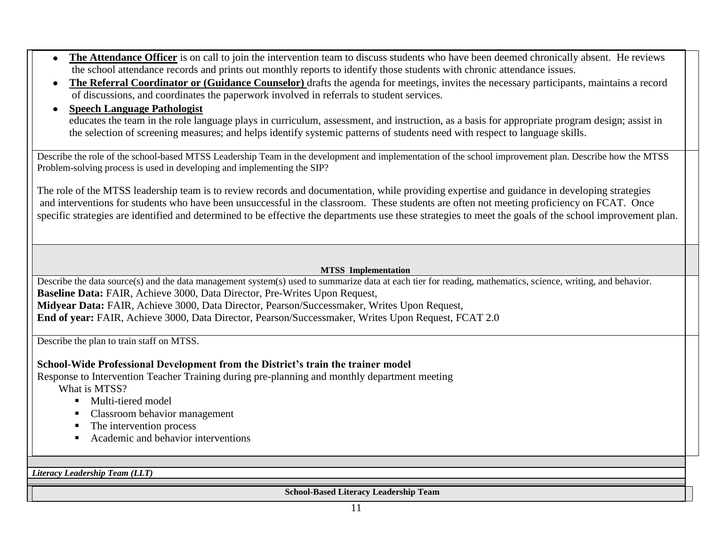- **The Attendance Officer** is on call to join the intervention team to discuss students who have been deemed chronically absent. He reviews the school attendance records and prints out monthly reports to identify those students with chronic attendance issues.
- **The Referral Coordinator or (Guidance Counselor)** drafts the agenda for meetings, invites the necessary participants, maintains a record  $\bullet$ of discussions, and coordinates the paperwork involved in referrals to student services.

#### **Speech Language Pathologist**   $\bullet$ educates the team in the role language plays in curriculum, assessment, and instruction, as a basis for appropriate program design; assist in the selection of screening measures; and helps identify systemic patterns of students need with respect to language skills.

Describe the role of the school-based MTSS Leadership Team in the development and implementation of the school improvement plan. Describe how the MTSS Problem-solving process is used in developing and implementing the SIP?

The role of the MTSS leadership team is to review records and documentation, while providing expertise and guidance in developing strategies and interventions for students who have been unsuccessful in the classroom. These students are often not meeting proficiency on FCAT. Once specific strategies are identified and determined to be effective the departments use these strategies to meet the goals of the school improvement plan.

#### **MTSS Implementation**

Describe the data source(s) and the data management system(s) used to summarize data at each tier for reading, mathematics, science, writing, and behavior. **Baseline Data:** FAIR, Achieve 3000, Data Director, Pre-Writes Upon Request, **Midyear Data:** FAIR, Achieve 3000, Data Director, Pearson/Successmaker, Writes Upon Request, **End of year:** FAIR, Achieve 3000, Data Director, Pearson/Successmaker, Writes Upon Request, FCAT 2.0

Describe the plan to train staff on MTSS.

### **School-Wide Professional Development from the District's train the trainer model**

Response to Intervention Teacher Training during pre-planning and monthly department meeting What is MTSS?

- **Multi-tiered model**
- Classroom behavior management
- The intervention process
- Academic and behavior interventions

*Literacy Leadership Team (LLT)*

**School-Based Literacy Leadership Team**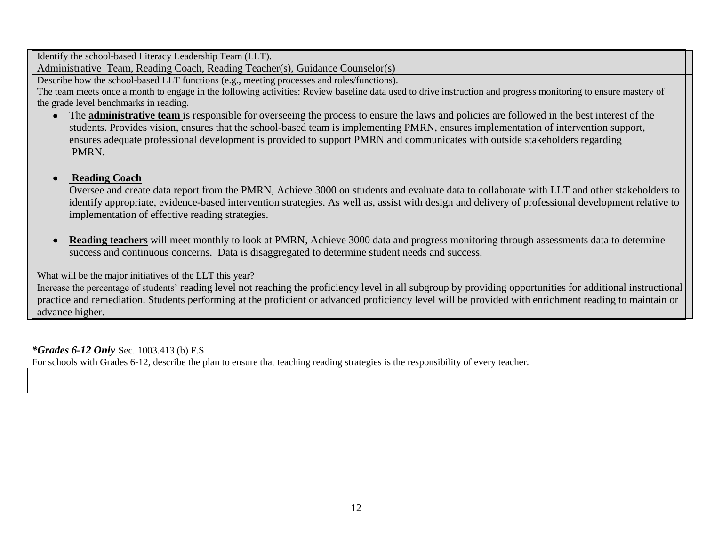Identify the school-based Literacy Leadership Team (LLT).

Administrative Team, Reading Coach, Reading Teacher(s), Guidance Counselor(s)

Describe how the school-based LLT functions (e.g., meeting processes and roles/functions).

The team meets once a month to engage in the following activities: Review baseline data used to drive instruction and progress monitoring to ensure mastery of the grade level benchmarks in reading.

The **administrative team** is responsible for overseeing the process to ensure the laws and policies are followed in the best interest of the students. Provides vision, ensures that the school-based team is implementing PMRN, ensures implementation of intervention support, ensures adequate professional development is provided to support PMRN and communicates with outside stakeholders regarding PMRN.

### **Reading Coach**

Oversee and create data report from the PMRN, Achieve 3000 on students and evaluate data to collaborate with LLT and other stakeholders to identify appropriate, evidence-based intervention strategies. As well as, assist with design and delivery of professional development relative to implementation of effective reading strategies.

**Reading teachers** will meet monthly to look at PMRN, Achieve 3000 data and progress monitoring through assessments data to determine success and continuous concerns. Data is disaggregated to determine student needs and success.

What will be the major initiatives of the LLT this year?

Increase the percentage of students' reading level not reaching the proficiency level in all subgroup by providing opportunities for additional instructional practice and remediation. Students performing at the proficient or advanced proficiency level will be provided with enrichment reading to maintain or advance higher.

### *\*Grades 6-12 Only* Sec. 1003.413 (b) F.S

For schools with Grades 6-12, describe the plan to ensure that teaching reading strategies is the responsibility of every teacher.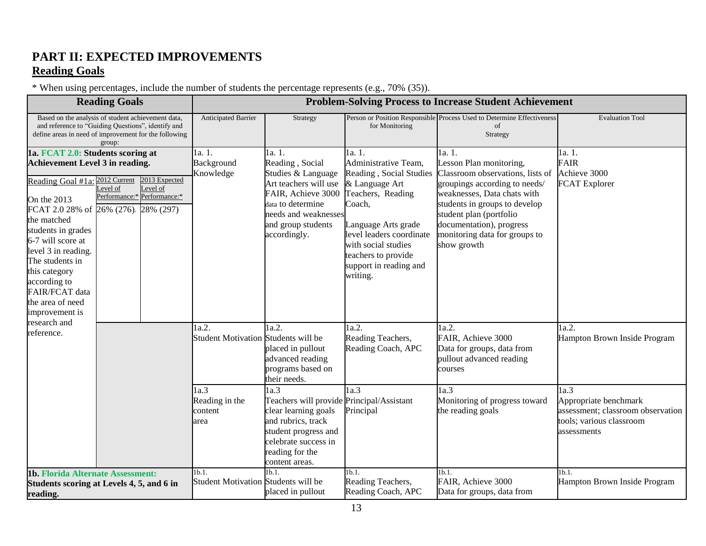### **PART II: EXPECTED IMPROVEMENTS**

### **Reading Goals**

|                                                                                                                                                                                                                                                                                                                                                                         | <b>Reading Goals</b>                                                                                                                                                        |                                                 |                                                                                                                                                                                                   |                                                                                                                                                                                                                                                  | <b>Problem-Solving Process to Increase Student Achievement</b>                                                                                                                                                                                                                |                                                                                                                            |
|-------------------------------------------------------------------------------------------------------------------------------------------------------------------------------------------------------------------------------------------------------------------------------------------------------------------------------------------------------------------------|-----------------------------------------------------------------------------------------------------------------------------------------------------------------------------|-------------------------------------------------|---------------------------------------------------------------------------------------------------------------------------------------------------------------------------------------------------|--------------------------------------------------------------------------------------------------------------------------------------------------------------------------------------------------------------------------------------------------|-------------------------------------------------------------------------------------------------------------------------------------------------------------------------------------------------------------------------------------------------------------------------------|----------------------------------------------------------------------------------------------------------------------------|
|                                                                                                                                                                                                                                                                                                                                                                         | Based on the analysis of student achievement data,<br>and reference to "Guiding Questions", identify and<br>define areas in need of improvement for the following<br>group: | <b>Anticipated Barrier</b>                      | Strategy                                                                                                                                                                                          | for Monitoring                                                                                                                                                                                                                                   | Person or Position Responsible Process Used to Determine Effectiveness<br>of<br>Strategy                                                                                                                                                                                      | <b>Evaluation Tool</b>                                                                                                     |
| 1a. FCAT 2.0: Students scoring at<br><b>Achievement Level 3 in reading.</b><br>Reading Goal #1a: 2012 Current<br>On the 2013<br>FCAT 2.0 28% of 26% (276).<br>the matched<br>students in grades<br>6-7 will score at<br>level 3 in reading.<br>The students in<br>this category<br>according to<br>FAIR/FCAT data<br>the area of need<br>improvement is<br>research and | 2013 Expected<br>evel of<br>evel of<br>Performance:* Performance:*<br>28% (297)                                                                                             | 1a. 1.<br>Background<br>Knowledge               | 1a. 1.<br>Reading, Social<br>Studies & Language<br>Art teachers will use<br>FAIR, Achieve 3000<br>data to determine<br>needs and weaknesses<br>and group students<br>accordingly.                 | 1a. 1.<br>Administrative Team,<br>Reading, Social Studies<br>& Language Art<br>Teachers, Reading<br>Coach,<br>Language Arts grade<br>level leaders coordinate<br>with social studies<br>eachers to provide<br>support in reading and<br>writing. | 1a. 1.<br>Lesson Plan monitoring,<br>Classroom observations, lists of<br>groupings according to needs/<br>weaknesses, Data chats with<br>students in groups to develop<br>student plan (portfolio<br>documentation), progress<br>monitoring data for groups to<br>show growth | 1a. 1.<br><b>FAIR</b><br>Achieve 3000<br><b>FCAT Explorer</b>                                                              |
| reference.                                                                                                                                                                                                                                                                                                                                                              |                                                                                                                                                                             | a.2.<br>Student Motivation Students will be     | 1a.2.<br>placed in pullout<br>advanced reading<br>programs based on<br>their needs.                                                                                                               | 1a.2.<br>Reading Teachers,<br>Reading Coach, APC                                                                                                                                                                                                 | 1a.2.<br>FAIR, Achieve 3000<br>Data for groups, data from<br>pullout advanced reading<br>courses                                                                                                                                                                              | 1a.2.<br>Hampton Brown Inside Program                                                                                      |
|                                                                                                                                                                                                                                                                                                                                                                         |                                                                                                                                                                             | 1a.3<br>Reading in the<br>content<br>area       | $\overline{1a.3}$<br>Teachers will provide Principal/Assistant<br>clear learning goals<br>and rubrics, track<br>student progress and<br>celebrate success in<br>reading for the<br>content areas. | $1a.\overline{3}$<br>Principal                                                                                                                                                                                                                   | $\overline{1a.3}$<br>Monitoring of progress toward<br>the reading goals                                                                                                                                                                                                       | $\overline{1a.3}$<br>Appropriate benchmark<br>assessment; classroom observation<br>tools; various classroom<br>assessments |
| <b>1b. Florida Alternate Assessment:</b><br>Students scoring at Levels 4, 5, and 6 in<br>reading.                                                                                                                                                                                                                                                                       |                                                                                                                                                                             | $1b.1$ .<br>Student Motivation Students will be | 1b.1.<br>placed in pullout                                                                                                                                                                        | 1b.1.<br>Reading Teachers,<br>Reading Coach, APC                                                                                                                                                                                                 | 1 <sub>b.1</sub><br>FAIR, Achieve 3000<br>Data for groups, data from                                                                                                                                                                                                          | 1b.1.<br>Hampton Brown Inside Program                                                                                      |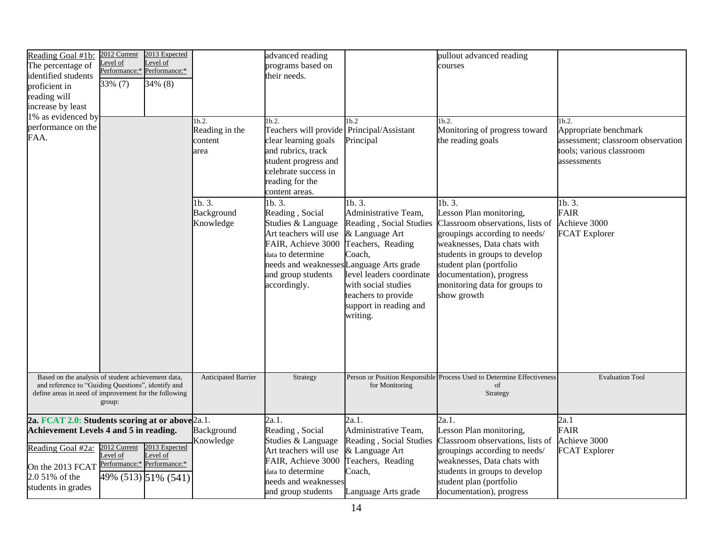| Reading Goal #1b:<br>The percentage of<br>identified students<br>proficient in<br>reading will<br>increase by least                                                         | 2012 Current<br>2013 Expected<br>evel of<br>Level of<br>Performance:* Performance:*<br>33% (7)<br>34% (8)                                            |                                            | advanced reading<br>programs based on<br>their needs.                                                                                                                                                 |                                                                                                                                                                                                                            | pullout advanced reading<br>courses                                                                                                                                                                                                                                           |                                                                                                                |
|-----------------------------------------------------------------------------------------------------------------------------------------------------------------------------|------------------------------------------------------------------------------------------------------------------------------------------------------|--------------------------------------------|-------------------------------------------------------------------------------------------------------------------------------------------------------------------------------------------------------|----------------------------------------------------------------------------------------------------------------------------------------------------------------------------------------------------------------------------|-------------------------------------------------------------------------------------------------------------------------------------------------------------------------------------------------------------------------------------------------------------------------------|----------------------------------------------------------------------------------------------------------------|
| 1% as evidenced by<br>performance on the<br>FAA.                                                                                                                            |                                                                                                                                                      | 1b.2.<br>Reading in the<br>content<br>area | 1b.2.<br>Teachers will provide<br>clear learning goals<br>and rubrics, track<br>student progress and<br>celebrate success in<br>reading for the<br>content areas.                                     | 1b.2<br>Principal/Assistant<br>Principal                                                                                                                                                                                   | 1b.2.<br>Monitoring of progress toward<br>the reading goals                                                                                                                                                                                                                   | 1b.2.<br>Appropriate benchmark<br>assessment; classroom observation<br>tools; various classroom<br>assessments |
|                                                                                                                                                                             |                                                                                                                                                      | 1b.3.<br>Background<br>Knowledge           | 1b. 3.<br>Reading, Social<br>Studies & Language<br>Art teachers will use<br>FAIR, Achieve 3000<br>data to determine<br>needs and weaknesses Language Arts grade<br>and group students<br>accordingly. | 1b. 3.<br>Administrative Team,<br>Reading, Social Studies<br>& Language Art<br>Teachers, Reading<br>Coach,<br>level leaders coordinate<br>with social studies<br>teachers to provide<br>support in reading and<br>writing. | 1b. 3.<br>Lesson Plan monitoring,<br>Classroom observations, lists of<br>groupings according to needs/<br>weaknesses, Data chats with<br>students in groups to develop<br>student plan (portfolio<br>documentation), progress<br>monitoring data for groups to<br>show growth | 1b. 3.<br><b>FAIR</b><br>Achieve 3000<br><b>FCAT</b> Explorer                                                  |
| Based on the analysis of student achievement data,<br>and reference to "Guiding Questions", identify and<br>define areas in need of improvement for the following<br>group: |                                                                                                                                                      | Anticipated Barrier                        | Strategy                                                                                                                                                                                              | for Monitoring                                                                                                                                                                                                             | Person or Position Responsible Process Used to Determine Effectiveness<br>of<br>Strategy                                                                                                                                                                                      | <b>Evaluation Tool</b>                                                                                         |
|                                                                                                                                                                             | 2a. FCAT 2.0: Students scoring at or above 2a.1.                                                                                                     |                                            | 2a.1.                                                                                                                                                                                                 | 2a.1.                                                                                                                                                                                                                      | 2a.1.                                                                                                                                                                                                                                                                         | 2a.1                                                                                                           |
| Reading Goal #2a:<br>On the 2013 FCAT<br>2.0 51% of the<br>students in grades                                                                                               | Achievement Levels 4 and 5 in reading.<br>2013 Expected<br>2012 Current<br>evel of<br>Level of<br>Performance:* Performance:*<br>49% (513) 51% (541) | Background<br>Knowledge                    | Reading, Social<br>Studies & Language<br>Art teachers will use<br>FAIR, Achieve 3000<br>data to determine<br>needs and weaknesses<br>and group students                                               | Administrative Team,<br>Reading, Social Studies<br>& Language Art<br>Teachers, Reading<br>Coach,<br>Language Arts grade                                                                                                    | Lesson Plan monitoring,<br>Classroom observations, lists of<br>groupings according to needs/<br>weaknesses, Data chats with<br>students in groups to develop<br>student plan (portfolio<br>documentation), progress                                                           | <b>FAIR</b><br>Achieve 3000<br><b>FCAT Explorer</b>                                                            |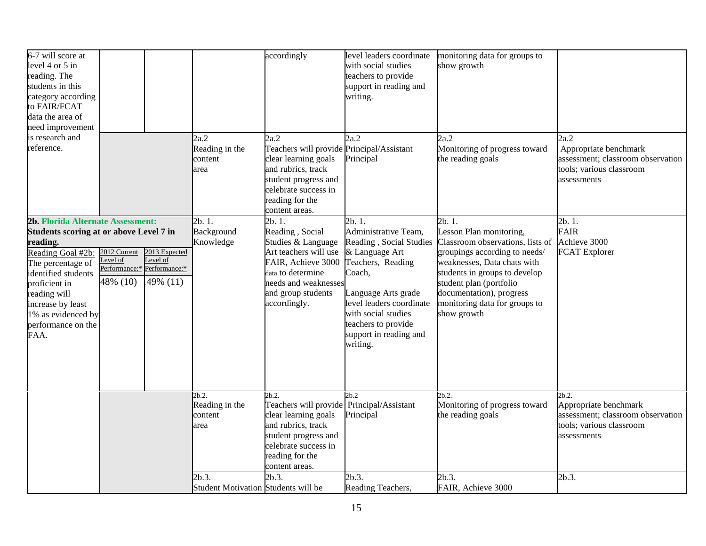| 6-7 will score at<br>level 4 or 5 in<br>reading. The<br>students in this<br>category according<br>to FAIR/FCAT                                                                                                                                                      |                                     |                                                                      |                                                 | accordingly                                                                                                                                                                                           | level leaders coordinate<br>with social studies<br>teachers to provide<br>support in reading and<br>writing.                                                                                                                                        | monitoring data for groups to<br>show growth                                                                                                                                                                                                                                 |                                                                                                                |
|---------------------------------------------------------------------------------------------------------------------------------------------------------------------------------------------------------------------------------------------------------------------|-------------------------------------|----------------------------------------------------------------------|-------------------------------------------------|-------------------------------------------------------------------------------------------------------------------------------------------------------------------------------------------------------|-----------------------------------------------------------------------------------------------------------------------------------------------------------------------------------------------------------------------------------------------------|------------------------------------------------------------------------------------------------------------------------------------------------------------------------------------------------------------------------------------------------------------------------------|----------------------------------------------------------------------------------------------------------------|
| data the area of<br>need improvement<br>is research and<br>reference.                                                                                                                                                                                               |                                     |                                                                      | 2a.2<br>Reading in the<br>content<br>area       | 2a.2<br>Teachers will provide Principal/Assistant<br>clear learning goals<br>and rubrics, track<br>student progress and<br>celebrate success in<br>reading for the                                    | 2a.2<br>Principal                                                                                                                                                                                                                                   | 2a.2<br>Monitoring of progress toward<br>the reading goals                                                                                                                                                                                                                   | 2a.2<br>Appropriate benchmark<br>assessment; classroom observation<br>tools; various classroom<br>assessments  |
| 2b. Florida Alternate Assessment:<br>Students scoring at or above Level 7 in<br>reading.<br>Reading Goal #2b:<br>The percentage of<br>identified students<br>proficient in<br>reading will<br>increase by least<br>1% as evidenced by<br>performance on the<br>FAA. | 2012 Current<br>evel of<br>48% (10) | 2013 Expected<br>Level of<br>Performance:* Performance:*<br>49% (11) | $2b.1$ .<br>Background<br>Knowledge             | content areas.<br>$2b.1$ .<br>Reading, Social<br>Studies & Language<br>Art teachers will use<br>FAIR, Achieve 3000<br>data to determine<br>needs and weaknesses<br>and group students<br>accordingly. | $2b.1$ .<br>Administrative Team,<br>Reading, Social Studies<br>& Language Art<br>Teachers, Reading<br>Coach,<br>Language Arts grade<br>level leaders coordinate<br>with social studies<br>teachers to provide<br>support in reading and<br>writing. | 2b.1.<br>Lesson Plan monitoring,<br>Classroom observations, lists of<br>groupings according to needs/<br>weaknesses, Data chats with<br>students in groups to develop<br>student plan (portfolio<br>documentation), progress<br>monitoring data for groups to<br>show growth | 2b.1.<br><b>FAIR</b><br>Achieve 3000<br><b>FCAT Explorer</b>                                                   |
|                                                                                                                                                                                                                                                                     |                                     |                                                                      | 2b.2.<br>Reading in the<br>content<br>area      | 2b.2.<br>Teachers will provide Principal/Assistant<br>clear learning goals<br>and rubrics, track<br>student progress and<br>celebrate success in<br>reading for the<br>content areas.                 | 2b.2<br>Principal                                                                                                                                                                                                                                   | 2b.2.<br>Monitoring of progress toward<br>the reading goals                                                                                                                                                                                                                  | 2b.2.<br>Appropriate benchmark<br>assessment; classroom observation<br>tools; various classroom<br>assessments |
|                                                                                                                                                                                                                                                                     |                                     |                                                                      | $2b.3$ .<br>Student Motivation Students will be | 2b.3.                                                                                                                                                                                                 | 2b.3.<br>Reading Teachers,                                                                                                                                                                                                                          | 2b.3.<br>FAIR, Achieve 3000                                                                                                                                                                                                                                                  | 2b.3.                                                                                                          |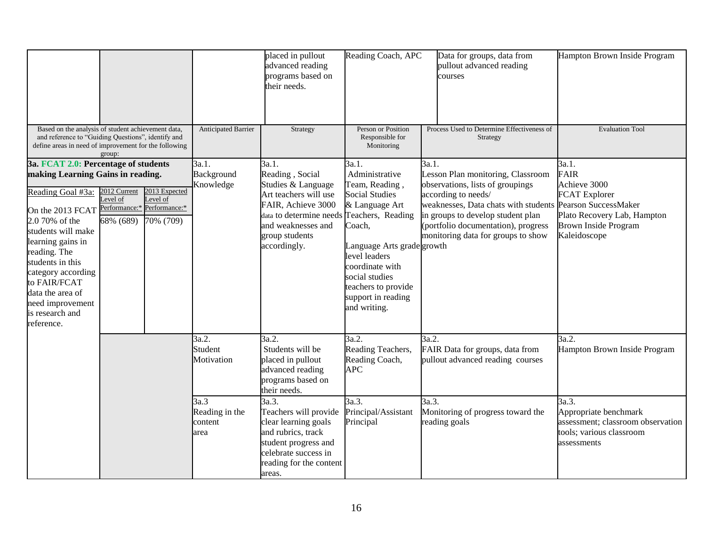|                                                                                                                                                                                                                                                                                                                                    |                                      |                                                                       |                                           | placed in pullout<br>advanced reading<br>programs based on<br>their needs.                                                                                                                         | Reading Coach, APC                                                                                                                                                                                                                              | Data for groups, data from<br>pullout advanced reading<br>courses                                                                                                                                                                                               | Hampton Brown Inside Program                                                                                                                                       |
|------------------------------------------------------------------------------------------------------------------------------------------------------------------------------------------------------------------------------------------------------------------------------------------------------------------------------------|--------------------------------------|-----------------------------------------------------------------------|-------------------------------------------|----------------------------------------------------------------------------------------------------------------------------------------------------------------------------------------------------|-------------------------------------------------------------------------------------------------------------------------------------------------------------------------------------------------------------------------------------------------|-----------------------------------------------------------------------------------------------------------------------------------------------------------------------------------------------------------------------------------------------------------------|--------------------------------------------------------------------------------------------------------------------------------------------------------------------|
| Based on the analysis of student achievement data,<br>and reference to "Guiding Questions", identify and<br>define areas in need of improvement for the following                                                                                                                                                                  | group:                               |                                                                       | Anticipated Barrier                       | Strategy                                                                                                                                                                                           | Person or Position<br>Responsible for<br>Monitoring                                                                                                                                                                                             | Process Used to Determine Effectiveness of<br>Strategy                                                                                                                                                                                                          | <b>Evaluation Tool</b>                                                                                                                                             |
| 3a. FCAT 2.0: Percentage of students<br>making Learning Gains in reading.<br>Reading Goal #3a:<br>On the 2013 FCAT<br>2.0 70% of the<br>students will make<br>learning gains in<br>reading. The<br>students in this<br>category according<br>to FAIR/FCAT<br>data the area of<br>need improvement<br>is research and<br>reference. | 2012 Current<br>evel of<br>68% (689) | 2013 Expected<br>Level of<br>Performance:* Performance:*<br>70% (709) | 3a.1.<br>Background<br>Knowledge          | 3a.1.<br>Reading, Social<br>Studies & Language<br>Art teachers will use<br>FAIR, Achieve 3000<br>data to determine needs Teachers, Reading<br>and weaknesses and<br>group students<br>accordingly. | 3a.1.<br>Administrative<br>Team, Reading,<br><b>Social Studies</b><br>& Language Art<br>Coach,<br>Language Arts grade growth<br>level leaders<br>coordinate with<br>social studies<br>teachers to provide<br>support in reading<br>and writing. | 3a.1.<br>Lesson Plan monitoring, Classroom<br>observations, lists of groupings<br>according to needs/<br>weaknesses, Data chats with students<br>in groups to develop student plan<br>(portfolio documentation), progress<br>monitoring data for groups to show | 3a.1.<br><b>FAIR</b><br>Achieve 3000<br><b>FCAT</b> Explorer<br>Pearson SuccessMaker<br>Plato Recovery Lab, Hampton<br><b>Brown Inside Program</b><br>Kaleidoscope |
|                                                                                                                                                                                                                                                                                                                                    |                                      |                                                                       | 3a.2.<br>Student<br>Motivation            | 3a.2.<br>Students will be<br>placed in pullout<br>advanced reading<br>programs based on<br>their needs.                                                                                            | 3a.2.<br>Reading Teachers,<br>Reading Coach,<br><b>APC</b>                                                                                                                                                                                      | 3a.2.<br>FAIR Data for groups, data from<br>pullout advanced reading courses                                                                                                                                                                                    | 3a.2.<br>Hampton Brown Inside Program                                                                                                                              |
|                                                                                                                                                                                                                                                                                                                                    |                                      |                                                                       | 3a.3<br>Reading in the<br>content<br>area | 3a.3.<br>Teachers will provide<br>clear learning goals<br>and rubrics, track<br>student progress and<br>celebrate success in<br>reading for the content<br>areas.                                  | 3a.3.<br>Principal/Assistant<br>Principal                                                                                                                                                                                                       | 3a.3.<br>Monitoring of progress toward the<br>reading goals                                                                                                                                                                                                     | 3a.3.<br>Appropriate benchmark<br>assessment; classroom observation<br>tools; various classroom<br>assessments                                                     |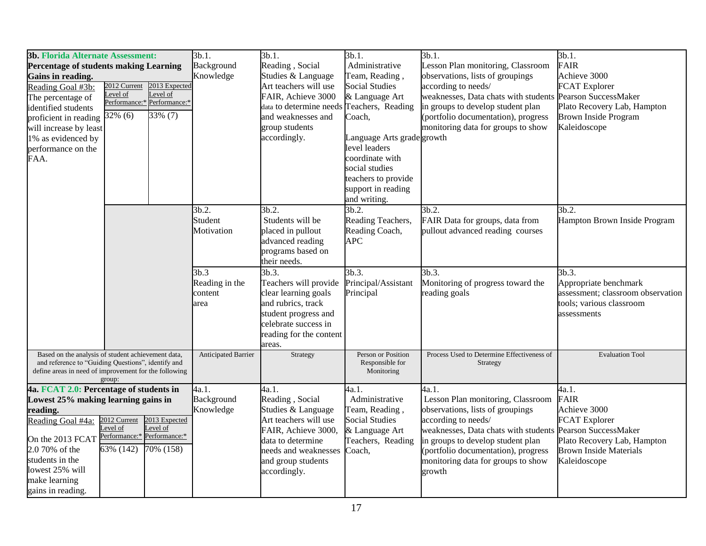| <b>3b. Florida Alternate Assessment:</b><br><b>Percentage of students making Learning</b><br>Gains in reading.<br>Reading Goal #3b:<br>The percentage of<br>identified students<br>proficient in reading<br>will increase by least<br>1% as evidenced by<br>performance on the<br>FAA. | 2012 Current<br>evel of<br>32% (6)                                  | 2013 Expected<br>evel of<br>Performance:* Performance:*<br>33% (7) | 3b.1.<br>Background<br>Knowledge          | $\overline{3b.1}$ .<br>Reading, Social<br>Studies & Language<br>Art teachers will use<br>FAIR, Achieve 3000<br>data to determine needs Teachers, Reading<br>and weaknesses and<br>group students<br>accordingly. | 3b.1.<br>Administrative<br>Team, Reading,<br><b>Social Studies</b><br>& Language Art<br>Coach,<br>anguage Arts grade growth<br>level leaders<br>coordinate with<br>social studies<br>teachers to provide<br>support in reading<br>and writing. | 3b.1.<br>Lesson Plan monitoring, Classroom<br>observations, lists of groupings<br>according to needs/<br>weaknesses, Data chats with students Pearson SuccessMaker<br>in groups to develop student plan<br>(portfolio documentation), progress<br>monitoring data for groups to show | 3b.1.<br><b>FAIR</b><br>Achieve 3000<br><b>FCAT</b> Explorer<br>Plato Recovery Lab, Hampton<br><b>Brown Inside Program</b><br>Kaleidoscope                           |
|----------------------------------------------------------------------------------------------------------------------------------------------------------------------------------------------------------------------------------------------------------------------------------------|---------------------------------------------------------------------|--------------------------------------------------------------------|-------------------------------------------|------------------------------------------------------------------------------------------------------------------------------------------------------------------------------------------------------------------|------------------------------------------------------------------------------------------------------------------------------------------------------------------------------------------------------------------------------------------------|--------------------------------------------------------------------------------------------------------------------------------------------------------------------------------------------------------------------------------------------------------------------------------------|----------------------------------------------------------------------------------------------------------------------------------------------------------------------|
|                                                                                                                                                                                                                                                                                        |                                                                     |                                                                    | 3b.2.<br>Student<br>Motivation            | 3b.2.<br>Students will be<br>placed in pullout<br>advanced reading<br>programs based on<br>their needs.                                                                                                          | 3b.2.<br>Reading Teachers,<br>Reading Coach,<br><b>APC</b>                                                                                                                                                                                     | 3b.2.<br>FAIR Data for groups, data from<br>pullout advanced reading courses                                                                                                                                                                                                         | 3b.2.<br>Hampton Brown Inside Program                                                                                                                                |
|                                                                                                                                                                                                                                                                                        |                                                                     |                                                                    | 3b.3<br>Reading in the<br>content<br>area | 3b.3.<br>Teachers will provide<br>clear learning goals<br>and rubrics, track<br>student progress and<br>celebrate success in<br>reading for the content<br>areas.                                                | 3b.3.<br>Principal/Assistant<br>Principal                                                                                                                                                                                                      | 3b.3.<br>Monitoring of progress toward the<br>reading goals                                                                                                                                                                                                                          | 3b.3.<br>Appropriate benchmark<br>assessment; classroom observation<br>tools; various classroom<br>assessments                                                       |
| Based on the analysis of student achievement data,<br>and reference to "Guiding Questions", identify and<br>define areas in need of improvement for the following                                                                                                                      | group:                                                              |                                                                    | Anticipated Barrier                       | Strategy                                                                                                                                                                                                         | Person or Position<br>Responsible for<br>Monitoring                                                                                                                                                                                            | Process Used to Determine Effectiveness of<br>Strategy                                                                                                                                                                                                                               | <b>Evaluation Tool</b>                                                                                                                                               |
| 4a. FCAT 2.0: Percentage of students in<br>Lowest 25% making learning gains in<br>reading.<br>Reading Goal #4a:<br>On the 2013 FCAT<br>2.0 70% of the<br>students in the<br>lowest 25% will<br>make learning<br>gains in reading.                                                      | 2012 Current<br>evel of<br>Performance:* Performance:*<br>63% (142) | 2013 Expected<br>evel of<br>70% (158)                              | 4a.1.<br>Background<br>Knowledge          | 4a.1.<br>Reading, Social<br>Studies & Language<br>Art teachers will use<br>FAIR, Achieve 3000,<br>data to determine<br>needs and weaknesses<br>and group students<br>accordingly.                                | 4a.1.<br>Administrative<br>Team, Reading,<br><b>Social Studies</b><br>& Language Art<br>Teachers, Reading<br>Coach,                                                                                                                            | 4a.1.<br>Lesson Plan monitoring, Classroom<br>observations, lists of groupings<br>according to needs/<br>weaknesses, Data chats with students<br>in groups to develop student plan<br>(portfolio documentation), progress<br>monitoring data for groups to show<br>growth            | 4a.1.<br><b>FAIR</b><br>Achieve 3000<br><b>FCAT</b> Explorer<br>Pearson SuccessMaker<br>Plato Recovery Lab, Hampton<br><b>Brown Inside Materials</b><br>Kaleidoscope |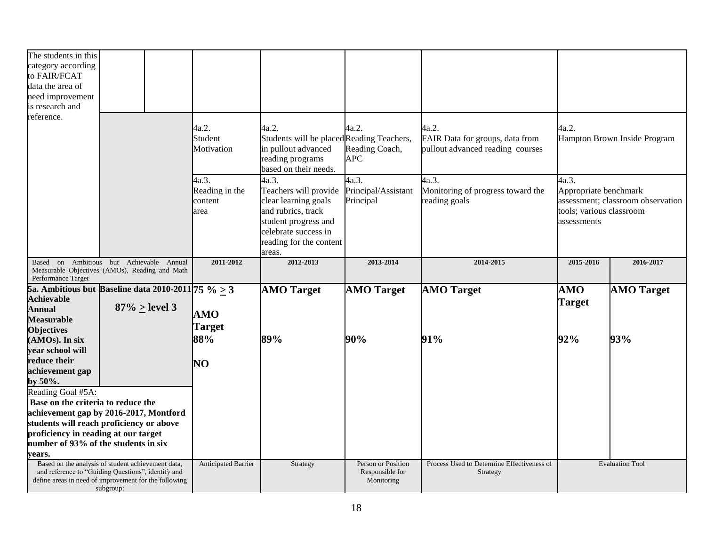| The students in this<br>category according<br>to FAIR/FCAT<br>data the area of<br>need improvement<br>is research and                                                                                                                 |                                                                                                                                                                                |                                            |                                                                                                                                                                   |                                                     |                                                                              |                                                                           |                                   |
|---------------------------------------------------------------------------------------------------------------------------------------------------------------------------------------------------------------------------------------|--------------------------------------------------------------------------------------------------------------------------------------------------------------------------------|--------------------------------------------|-------------------------------------------------------------------------------------------------------------------------------------------------------------------|-----------------------------------------------------|------------------------------------------------------------------------------|---------------------------------------------------------------------------|-----------------------------------|
| reference.                                                                                                                                                                                                                            |                                                                                                                                                                                | 4a.2.<br>Student<br>Motivation             | 4a.2.<br>Students will be placed Reading Teachers,<br>in pullout advanced<br>reading programs<br>based on their needs.                                            | 4a.2.<br>Reading Coach,<br><b>APC</b>               | 4a.2.<br>FAIR Data for groups, data from<br>pullout advanced reading courses | 4a.2.                                                                     | Hampton Brown Inside Program      |
|                                                                                                                                                                                                                                       |                                                                                                                                                                                | 4a.3.<br>Reading in the<br>content<br>area | 4a.3.<br>Teachers will provide<br>clear learning goals<br>and rubrics, track<br>student progress and<br>celebrate success in<br>reading for the content<br>areas. | 4a.3.<br>Principal/Assistant<br>Principal           | 4a.3.<br>Monitoring of progress toward the<br>reading goals                  | 4a.3.<br>Appropriate benchmark<br>tools; various classroom<br>assessments | assessment; classroom observation |
| Performance Target                                                                                                                                                                                                                    | Based on Ambitious but Achievable Annual<br>Measurable Objectives (AMOs), Reading and Math                                                                                     | 2011-2012                                  | 2012-2013                                                                                                                                                         | 2013-2014                                           | 2014-2015                                                                    | 2015-2016                                                                 | 2016-2017                         |
| <b>Achievable</b><br><b>Annual</b><br><b>Measurable</b><br><b>Objectives</b>                                                                                                                                                          | 5a. Ambitious but Baseline data 2010-2011 75 % $\geq$ 3<br>$87\% \ge$ level 3                                                                                                  | AMO<br><b>Target</b>                       | <b>AMO</b> Target                                                                                                                                                 | <b>AMO</b> Target                                   | <b>AMO</b> Target                                                            | <b>AMO</b><br><b>Target</b>                                               | <b>AMO</b> Target                 |
| (AMOs). In six<br>year school will<br>reduce their<br>achievement gap<br>by 50%.<br>Reading Goal #5A:<br>Base on the criteria to reduce the<br>proficiency in reading at our target<br>number of 93% of the students in six<br>vears. | achievement gap by 2016-2017, Montford<br>students will reach proficiency or above                                                                                             | 88%<br>NO                                  | 89%                                                                                                                                                               | 90%                                                 | 91%                                                                          | 92%                                                                       | 93%                               |
|                                                                                                                                                                                                                                       | Based on the analysis of student achievement data,<br>and reference to "Guiding Questions", identify and<br>define areas in need of improvement for the following<br>subgroup: | <b>Anticipated Barrier</b>                 | Strategy                                                                                                                                                          | Person or Position<br>Responsible for<br>Monitoring | Process Used to Determine Effectiveness of<br>Strategy                       |                                                                           | <b>Evaluation Tool</b>            |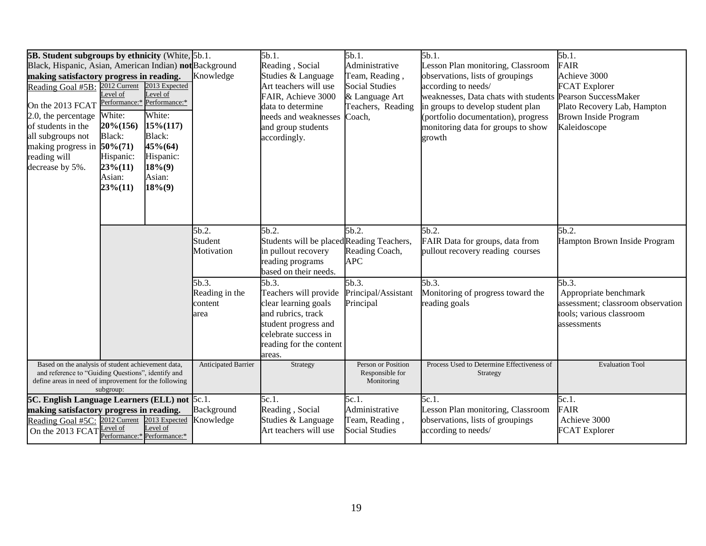| <b>5B. Student subgroups by ethnicity</b> (White, 5b.1.<br>Black, Hispanic, Asian, American Indian) not Background<br>making satisfactory progress in reading.<br>Reading Goal #5B:<br>On the 2013 FCAT<br>2.0, the percentage<br>of students in the<br>all subgroups not<br>making progress in<br>reading will<br>decrease by 5%. | 2012 Current<br>Level of<br>Performance:* Performance:*<br>White:<br>20%(156)<br>Black:<br>50%(71)<br>Hispanic:<br>$23\%(11)$<br>Asian:<br>$23\%/11)$ | 2013 Expected<br>Level of<br>White:<br>$15\% (117)$<br>Black:<br>45%(64)<br>Hispanic:<br>$18\% (9)$<br>Asian:<br>18% (9) | Knowledge                                  | 5b.1.<br>Reading, Social<br>Studies & Language<br>Art teachers will use<br>FAIR, Achieve 3000<br>data to determine<br>needs and weaknesses<br>and group students<br>accordingly. | $5b.1$ .<br>Administrative<br>Team, Reading,<br><b>Social Studies</b><br>& Language Art<br>Teachers, Reading<br>Coach, | 5b.1.<br>Lesson Plan monitoring, Classroom<br>observations, lists of groupings<br>according to needs/<br>weaknesses, Data chats with students Pearson SuccessMaker<br>in groups to develop student plan<br>(portfolio documentation), progress<br>monitoring data for groups to show<br>growth | 5b.1.<br><b>FAIR</b><br>Achieve 3000<br><b>FCAT</b> Explorer<br>Plato Recovery Lab, Hampton<br><b>Brown Inside Program</b><br>Kaleidoscope |
|------------------------------------------------------------------------------------------------------------------------------------------------------------------------------------------------------------------------------------------------------------------------------------------------------------------------------------|-------------------------------------------------------------------------------------------------------------------------------------------------------|--------------------------------------------------------------------------------------------------------------------------|--------------------------------------------|----------------------------------------------------------------------------------------------------------------------------------------------------------------------------------|------------------------------------------------------------------------------------------------------------------------|------------------------------------------------------------------------------------------------------------------------------------------------------------------------------------------------------------------------------------------------------------------------------------------------|--------------------------------------------------------------------------------------------------------------------------------------------|
|                                                                                                                                                                                                                                                                                                                                    |                                                                                                                                                       |                                                                                                                          | 5b.2.<br>Student<br>Motivation             | 5b.2.<br>Students will be placed Reading Teachers,<br>in pullout recovery<br>reading programs<br>based on their needs.                                                           | 5b.2.<br>Reading Coach,<br><b>APC</b>                                                                                  | 5b.2.<br>FAIR Data for groups, data from<br>pullout recovery reading courses                                                                                                                                                                                                                   | 5b.2.<br>Hampton Brown Inside Program                                                                                                      |
|                                                                                                                                                                                                                                                                                                                                    |                                                                                                                                                       |                                                                                                                          | 5b.3.<br>Reading in the<br>content<br>area | 5b.3.<br>Teachers will provide<br>clear learning goals<br>and rubrics, track<br>student progress and<br>celebrate success in<br>reading for the content<br>areas.                | 5b.3.<br>Principal/Assistant<br>Principal                                                                              | 5b.3.<br>Monitoring of progress toward the<br>reading goals                                                                                                                                                                                                                                    | 5b.3.<br>Appropriate benchmark<br>assessment; classroom observation<br>tools; various classroom<br>assessments                             |
| Based on the analysis of student achievement data,<br>and reference to "Guiding Questions", identify and<br>define areas in need of improvement for the following                                                                                                                                                                  | subgroup:                                                                                                                                             |                                                                                                                          | <b>Anticipated Barrier</b>                 | Strategy                                                                                                                                                                         | Person or Position<br>Responsible for<br>Monitoring                                                                    | Process Used to Determine Effectiveness of<br>Strategy                                                                                                                                                                                                                                         | <b>Evaluation Tool</b>                                                                                                                     |
| <b>5C. English Language Learners (ELL) not 5c.1.</b><br>making satisfactory progress in reading.<br>Reading Goal #5C:<br>On the 2013 FCAT                                                                                                                                                                                          | 2012 Current<br><u>Level of</u><br>Performance:* Performance:*                                                                                        | 2013 Expected<br>Level of                                                                                                | Background<br>Knowledge                    | 5c.1.<br>Reading, Social<br>Studies & Language<br>Art teachers will use                                                                                                          | 5c.1.<br>Administrative<br>Team, Reading,<br><b>Social Studies</b>                                                     | 5c.1.<br>Lesson Plan monitoring, Classroom<br>observations, lists of groupings<br>according to needs/                                                                                                                                                                                          | 5c.1.<br><b>FAIR</b><br>Achieve 3000<br><b>FCAT Explorer</b>                                                                               |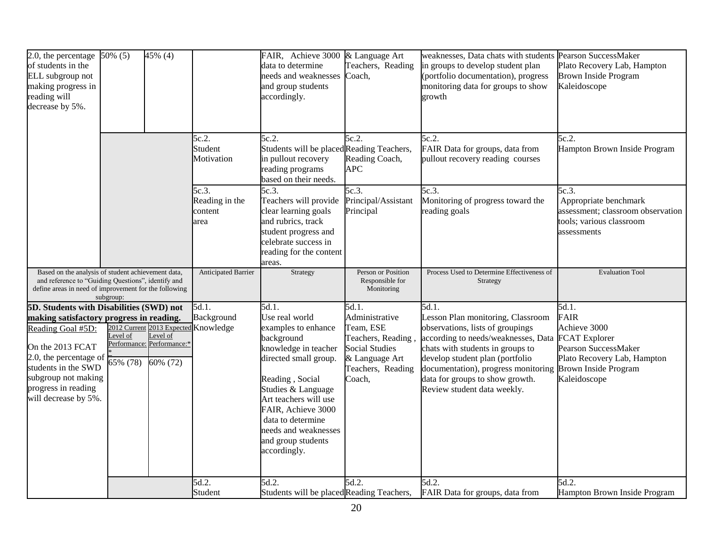| 2.0, the percentage<br>of students in the<br>ELL subgroup not<br>making progress in<br>reading will<br>decrease by 5%.                                                                                                                               | 50% (5)                           | $45\%$ (4)                                                                                |                                            | FAIR, Achieve 3000 & Language Art<br>data to determine<br>needs and weaknesses<br>and group students<br>accordingly.                                                                                                                                                                     | Teachers, Reading<br>Coach,                                                                                                         | weaknesses, Data chats with students Pearson SuccessMaker<br>in groups to develop student plan<br>(portfolio documentation), progress<br>monitoring data for groups to show<br>growth                                                                                                                               | Plato Recovery Lab, Hampton<br><b>Brown Inside Program</b><br>Kaleidoscope                                                          |
|------------------------------------------------------------------------------------------------------------------------------------------------------------------------------------------------------------------------------------------------------|-----------------------------------|-------------------------------------------------------------------------------------------|--------------------------------------------|------------------------------------------------------------------------------------------------------------------------------------------------------------------------------------------------------------------------------------------------------------------------------------------|-------------------------------------------------------------------------------------------------------------------------------------|---------------------------------------------------------------------------------------------------------------------------------------------------------------------------------------------------------------------------------------------------------------------------------------------------------------------|-------------------------------------------------------------------------------------------------------------------------------------|
|                                                                                                                                                                                                                                                      |                                   |                                                                                           | 5c.2.<br>Student<br>Motivation             | 5c.2.<br>Students will be placed Reading Teachers,<br>in pullout recovery<br>reading programs<br>based on their needs.                                                                                                                                                                   | 5c.2.<br>Reading Coach,<br><b>APC</b>                                                                                               | 5c.2.<br>FAIR Data for groups, data from<br>pullout recovery reading courses                                                                                                                                                                                                                                        | 5c.2.<br>Hampton Brown Inside Program                                                                                               |
|                                                                                                                                                                                                                                                      |                                   |                                                                                           | 5c.3.<br>Reading in the<br>content<br>area | 5c.3.<br>Teachers will provide<br>clear learning goals<br>and rubrics, track<br>student progress and<br>celebrate success in<br>reading for the content<br>areas.                                                                                                                        | 5c.3.<br>Principal/Assistant<br>Principal                                                                                           | 5c.3.<br>Monitoring of progress toward the<br>reading goals                                                                                                                                                                                                                                                         | 5c.3.<br>Appropriate benchmark<br>assessment; classroom observation<br>tools; various classroom<br>assessments                      |
| Based on the analysis of student achievement data,<br>and reference to "Guiding Questions", identify and<br>define areas in need of improvement for the following                                                                                    | subgroup:                         |                                                                                           | <b>Anticipated Barrier</b>                 | Strategy                                                                                                                                                                                                                                                                                 | Person or Position<br>Responsible for<br>Monitoring                                                                                 | Process Used to Determine Effectiveness of<br>Strategy                                                                                                                                                                                                                                                              | <b>Evaluation Tool</b>                                                                                                              |
| 5D. Students with Disabilities (SWD) not<br>making satisfactory progress in reading.<br>Reading Goal #5D:<br>On the 2013 FCAT<br>2.0, the percentage of<br>students in the SWD<br>subgroup not making<br>progress in reading<br>will decrease by 5%. | evel of<br>$\overline{55}$ % (78) | 2012 Current 2013 Expected Knowledge<br>evel of<br>Performance: Performance:*<br>60% (72) | 5d.1.<br>Background                        | 5d.1.<br>Use real world<br>examples to enhance<br>background<br>knowledge in teacher<br>directed small group.<br>Reading, Social<br>Studies & Language<br>Art teachers will use<br>FAIR, Achieve 3000<br>data to determine<br>needs and weaknesses<br>and group students<br>accordingly. | 5d.1.<br>Administrative<br>Team, ESE<br>Teachers, Reading<br><b>Social Studies</b><br>& Language Art<br>Teachers, Reading<br>Coach, | 5d.1.<br>Lesson Plan monitoring, Classroom<br>observations, lists of groupings<br>according to needs/weaknesses, Data FCAT Explorer<br>chats with students in groups to<br>develop student plan (portfolio<br>documentation), progress monitoring<br>data for groups to show growth.<br>Review student data weekly. | 5d.1.<br><b>FAIR</b><br>Achieve 3000<br>Pearson SuccessMaker<br>Plato Recovery Lab, Hampton<br>Brown Inside Program<br>Kaleidoscope |
|                                                                                                                                                                                                                                                      |                                   |                                                                                           | 5d.2.<br>Student                           | 5d.2.<br>Students will be placed Reading Teachers,                                                                                                                                                                                                                                       | 5d.2.                                                                                                                               | 5d.2.<br>FAIR Data for groups, data from                                                                                                                                                                                                                                                                            | 5d.2.<br>Hampton Brown Inside Program                                                                                               |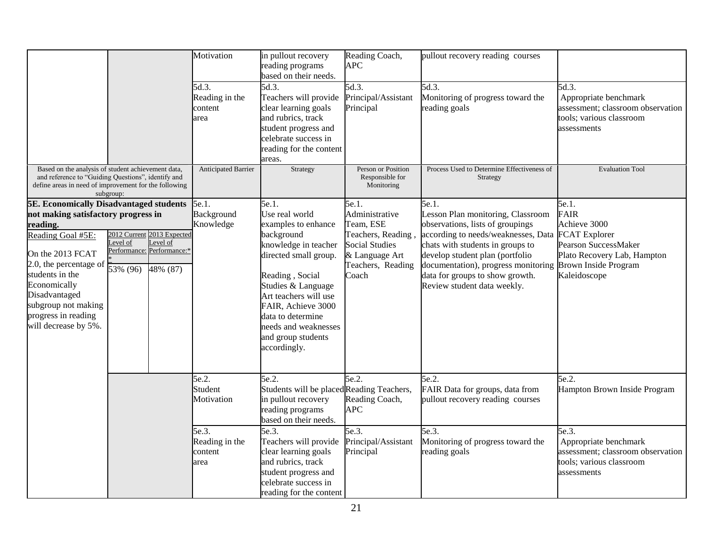|                                                                                                                                                                                                                                                                                                |                                                                                                                                                                                | Motivation                                 | in pullout recovery<br>reading programs<br>based on their needs.                                                                                                                                                                                                                         | Reading Coach,<br><b>APC</b>                                                                                                       | pullout recovery reading courses                                                                                                                                                                                                                                                                      |                                                                                                                                                                    |
|------------------------------------------------------------------------------------------------------------------------------------------------------------------------------------------------------------------------------------------------------------------------------------------------|--------------------------------------------------------------------------------------------------------------------------------------------------------------------------------|--------------------------------------------|------------------------------------------------------------------------------------------------------------------------------------------------------------------------------------------------------------------------------------------------------------------------------------------|------------------------------------------------------------------------------------------------------------------------------------|-------------------------------------------------------------------------------------------------------------------------------------------------------------------------------------------------------------------------------------------------------------------------------------------------------|--------------------------------------------------------------------------------------------------------------------------------------------------------------------|
|                                                                                                                                                                                                                                                                                                |                                                                                                                                                                                | 5d.3.<br>Reading in the<br>content<br>area | 5d.3.<br>Teachers will provide<br>clear learning goals<br>and rubrics, track<br>student progress and<br>celebrate success in<br>reading for the content<br>areas.                                                                                                                        | 5d.3.<br>Principal/Assistant<br>Principal                                                                                          | 5d.3.<br>Monitoring of progress toward the<br>reading goals                                                                                                                                                                                                                                           | 5d.3.<br>Appropriate benchmark<br>assessment; classroom observation<br>tools; various classroom<br>assessments                                                     |
|                                                                                                                                                                                                                                                                                                | Based on the analysis of student achievement data,<br>and reference to "Guiding Questions", identify and<br>define areas in need of improvement for the following<br>subgroup: | <b>Anticipated Barrier</b>                 | Strategy                                                                                                                                                                                                                                                                                 | Person or Position<br>Responsible for<br>Monitoring                                                                                | Process Used to Determine Effectiveness of<br>Strategy                                                                                                                                                                                                                                                | <b>Evaluation Tool</b>                                                                                                                                             |
| <b>5E. Economically Disadvantaged students</b><br>not making satisfactory progress in<br>reading.<br>Reading Goal #5E:<br>On the 2013 FCAT<br>2.0, the percentage of<br>students in the<br>Economically<br>Disadvantaged<br>subgroup not making<br>progress in reading<br>will decrease by 5%. | 2012 Current 2013 Expected<br>Level of<br>evel of<br>Performance: Performance:*<br>$\frac{1}{33\%}(96)$<br>48% (87)                                                            | 5e.1.<br><b>Background</b><br>Knowledge    | 5e.1.<br>Use real world<br>examples to enhance<br>background<br>knowledge in teacher<br>directed small group.<br>Reading, Social<br>Studies & Language<br>Art teachers will use<br>FAIR, Achieve 3000<br>data to determine<br>needs and weaknesses<br>and group students<br>accordingly. | 5e.1.<br>Administrative<br>Team, ESE<br>Teachers, Reading<br><b>Social Studies</b><br>& Language Art<br>Teachers, Reading<br>Coach | 5e.1.<br>Lesson Plan monitoring, Classroom<br>observations, lists of groupings<br>according to needs/weaknesses, Data<br>chats with students in groups to<br>develop student plan (portfolio<br>documentation), progress monitoring<br>data for groups to show growth.<br>Review student data weekly. | 5e.1.<br><b>FAIR</b><br>Achieve 3000<br><b>FCAT</b> Explorer<br>Pearson SuccessMaker<br>Plato Recovery Lab, Hampton<br><b>Brown Inside Program</b><br>Kaleidoscope |
|                                                                                                                                                                                                                                                                                                |                                                                                                                                                                                | 5e.2.<br>Student<br>Motivation             | 5e.2.<br>Students will be placed Reading Teachers,<br>in pullout recovery<br>reading programs<br>based on their needs.                                                                                                                                                                   | 5e.2.<br>Reading Coach,<br><b>APC</b>                                                                                              | 5e.2.<br>FAIR Data for groups, data from<br>pullout recovery reading courses                                                                                                                                                                                                                          | 5e.2.<br>Hampton Brown Inside Program                                                                                                                              |
|                                                                                                                                                                                                                                                                                                |                                                                                                                                                                                | 5e.3.<br>Reading in the<br>content<br>area | 5e.3.<br>Teachers will provide<br>clear learning goals<br>and rubrics, track<br>student progress and<br>celebrate success in<br>reading for the content                                                                                                                                  | 5e.3.<br>Principal/Assistant<br>Principal                                                                                          | 5e.3.<br>Monitoring of progress toward the<br>reading goals                                                                                                                                                                                                                                           | 5e.3.<br>Appropriate benchmark<br>assessment; classroom observation<br>tools; various classroom<br>assessments                                                     |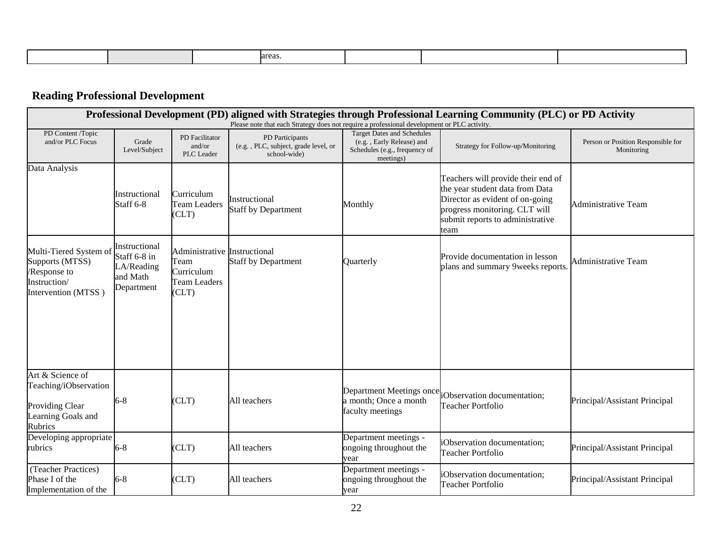|  | areas |  |  |
|--|-------|--|--|
|  |       |  |  |
|  |       |  |  |

# **Reading Professional Development**

|                                                                                                  |                                                                       |                                                                            | Please note that each Strategy does not require a professional development or PLC activity. |                                                                                                              | Professional Development (PD) aligned with Strategies through Professional Learning Community (PLC) or PD Activity                                                                    |                                                  |
|--------------------------------------------------------------------------------------------------|-----------------------------------------------------------------------|----------------------------------------------------------------------------|---------------------------------------------------------------------------------------------|--------------------------------------------------------------------------------------------------------------|---------------------------------------------------------------------------------------------------------------------------------------------------------------------------------------|--------------------------------------------------|
| PD Content /Topic<br>and/or PLC Focus                                                            | Grade<br>Level/Subject                                                | PD Facilitator<br>and/or<br>PLC Leader                                     | PD Participants<br>(e.g., PLC, subject, grade level, or<br>school-wide)                     | <b>Target Dates and Schedules</b><br>(e.g., Early Release) and<br>Schedules (e.g., frequency of<br>meetings) | Strategy for Follow-up/Monitoring                                                                                                                                                     | Person or Position Responsible for<br>Monitoring |
| Data Analysis                                                                                    | Instructional<br>Staff 6-8                                            | Curriculum<br><b>Team Leaders</b><br>CLT)                                  | Instructional<br><b>Staff by Department</b>                                                 | Monthly                                                                                                      | Teachers will provide their end of<br>the year student data from Data<br>Director as evident of on-going<br>progress monitoring. CLT will<br>submit reports to administrative<br>team | <b>Administrative Team</b>                       |
| Multi-Tiered System of<br>Supports (MTSS)<br>/Response to<br>Instruction/<br>Intervention (MTSS) | Instructional<br>Staff 6-8 in<br>LA/Reading<br>and Math<br>Department | Administrative Instructional<br>Team<br>Curriculum<br>Team Leaders<br>CLT) | <b>Staff by Department</b>                                                                  | Quarterly                                                                                                    | Provide documentation in lesson<br>plans and summary 9weeks reports.                                                                                                                  | Administrative Team                              |
| Art & Science of<br>Teaching/iObservation<br>Providing Clear<br>Learning Goals and<br>Rubrics    | $6 - 8$                                                               | CLT)                                                                       | All teachers                                                                                | Department Meetings once<br>a month; Once a month<br>faculty meetings                                        | iObservation documentation;<br><b>Teacher Portfolio</b>                                                                                                                               | Principal/Assistant Principal                    |
| Developing appropriate<br>rubrics                                                                | $6 - 8$                                                               | CLT)                                                                       | All teachers                                                                                | Department meetings -<br>ongoing throughout the<br>year                                                      | iObservation documentation;<br><b>Teacher Portfolio</b>                                                                                                                               | Principal/Assistant Principal                    |
| (Teacher Practices)<br>Phase I of the<br>Implementation of the                                   | $6 - 8$                                                               | CLT)                                                                       | All teachers                                                                                | Department meetings -<br>ongoing throughout the<br>year                                                      | iObservation documentation;<br><b>Teacher Portfolio</b>                                                                                                                               | Principal/Assistant Principal                    |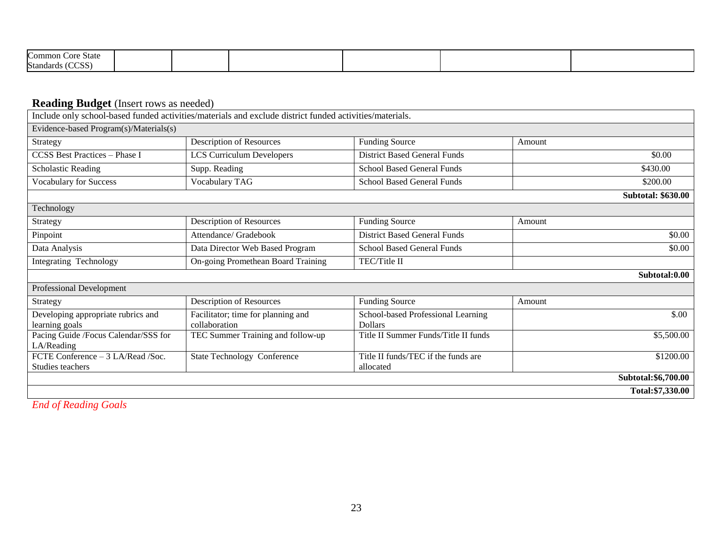| ∴ommon (<br>State<br>core                |  |  |  |
|------------------------------------------|--|--|--|
| $\sim$ $\sim$ $\sim$ $\sim$<br>Standards |  |  |  |

### **Reading Budget** (Insert rows as needed)

|                                                       | Include only school-based funded activities/materials and exclude district funded activities/materials. |                                                  |                           |
|-------------------------------------------------------|---------------------------------------------------------------------------------------------------------|--------------------------------------------------|---------------------------|
| Evidence-based Program(s)/Materials(s)                |                                                                                                         |                                                  |                           |
| Strategy                                              | Description of Resources                                                                                | <b>Funding Source</b>                            | Amount                    |
| CCSS Best Practices - Phase I                         | <b>LCS Curriculum Developers</b>                                                                        | <b>District Based General Funds</b>              | \$0.00                    |
| <b>Scholastic Reading</b>                             | Supp. Reading                                                                                           | <b>School Based General Funds</b>                | \$430.00                  |
| <b>Vocabulary for Success</b>                         | Vocabulary TAG                                                                                          | <b>School Based General Funds</b>                | \$200.00                  |
|                                                       |                                                                                                         |                                                  | <b>Subtotal: \$630.00</b> |
| Technology                                            |                                                                                                         |                                                  |                           |
| Strategy                                              | Description of Resources                                                                                | <b>Funding Source</b>                            | Amount                    |
| Pinpoint                                              | Attendance/ Gradebook                                                                                   | <b>District Based General Funds</b>              | \$0.00                    |
| Data Analysis                                         | Data Director Web Based Program                                                                         | <b>School Based General Funds</b>                | \$0.00                    |
| <b>Integrating Technology</b>                         | On-going Promethean Board Training                                                                      | TEC/Title II                                     |                           |
|                                                       |                                                                                                         |                                                  | Subtotal:0.00             |
| Professional Development                              |                                                                                                         |                                                  |                           |
| Strategy                                              | <b>Description of Resources</b>                                                                         | <b>Funding Source</b>                            | Amount                    |
| Developing appropriate rubrics and<br>learning goals  | Facilitator; time for planning and<br>collaboration                                                     | School-based Professional Learning<br>Dollars    | \$.00                     |
| Pacing Guide /Focus Calendar/SSS for<br>LA/Reading    | TEC Summer Training and follow-up                                                                       | Title II Summer Funds/Title II funds             | \$5,500.00                |
| FCTE Conference - 3 LA/Read /Soc.<br>Studies teachers | <b>State Technology Conference</b>                                                                      | Title II funds/TEC if the funds are<br>allocated | \$1200.00                 |
|                                                       |                                                                                                         |                                                  | Subtotal:\$6,700.00       |
|                                                       |                                                                                                         |                                                  | Total:\$7,330.00          |
|                                                       |                                                                                                         |                                                  |                           |

*End of Reading Goals*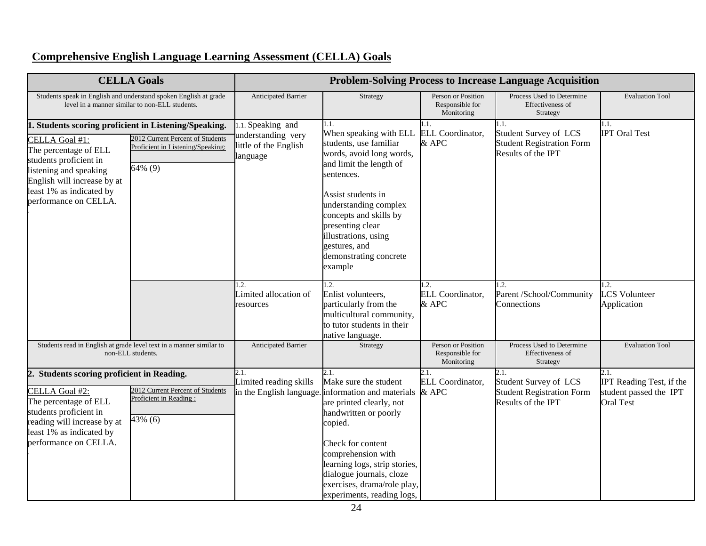# **Comprehensive English Language Learning Assessment (CELLA) Goals**

|                                                                                                                                                                                                                                                                                                                              | <b>CELLA Goals</b>                                                                                                 |                                                                              | <b>Problem-Solving Process to Increase Language Acquisition</b>                                                                                                                                                                                                                                                                   |                                                     |                                                                                                |                                                                                |  |  |  |
|------------------------------------------------------------------------------------------------------------------------------------------------------------------------------------------------------------------------------------------------------------------------------------------------------------------------------|--------------------------------------------------------------------------------------------------------------------|------------------------------------------------------------------------------|-----------------------------------------------------------------------------------------------------------------------------------------------------------------------------------------------------------------------------------------------------------------------------------------------------------------------------------|-----------------------------------------------------|------------------------------------------------------------------------------------------------|--------------------------------------------------------------------------------|--|--|--|
|                                                                                                                                                                                                                                                                                                                              | Students speak in English and understand spoken English at grade<br>level in a manner similar to non-ELL students. | <b>Anticipated Barrier</b>                                                   | Strategy                                                                                                                                                                                                                                                                                                                          | Person or Position<br>Responsible for<br>Monitoring | Process Used to Determine<br>Effectiveness of<br>Strategy                                      | <b>Evaluation Tool</b>                                                         |  |  |  |
| 1. Students scoring proficient in Listening/Speaking.<br>2012 Current Percent of Students<br>CELLA Goal #1:<br>Proficient in Listening/Speaking:<br>The percentage of ELL<br>students proficient in<br>64% (9)<br>listening and speaking<br>English will increase by at<br>least 1% as indicated by<br>performance on CELLA. |                                                                                                                    | 1.1. Speaking and<br>understanding very<br>little of the English<br>language | 1.1.<br>When speaking with ELL<br>students, use familiar<br>words, avoid long words,<br>and limit the length of<br>sentences.<br>Assist students in<br>understanding complex<br>concepts and skills by<br>presenting clear<br>illustrations, using<br>gestures, and<br>demonstrating concrete<br>example                          | 1.1.<br>ELL Coordinator,<br>$&$ APC                 | 1.1.<br><b>Student Survey of LCS</b><br><b>Student Registration Form</b><br>Results of the IPT | l.1.<br><b>IPT Oral Test</b>                                                   |  |  |  |
|                                                                                                                                                                                                                                                                                                                              |                                                                                                                    | $\mathsf{L}2.$<br>Limited allocation of<br>resources                         | 1.2.<br>Enlist volunteers,<br>particularly from the<br>multicultural community,<br>to tutor students in their<br>native language.                                                                                                                                                                                                 | 1.2.<br>ELL Coordinator,<br>& APC                   | 1.2.<br>Parent /School/Community<br>Connections                                                | $\overline{2}$ .<br><b>LCS</b> Volunteer<br>Application                        |  |  |  |
|                                                                                                                                                                                                                                                                                                                              | Students read in English at grade level text in a manner similar to<br>non-ELL students.                           | <b>Anticipated Barrier</b>                                                   | Strategy                                                                                                                                                                                                                                                                                                                          | Person or Position<br>Responsible for<br>Monitoring | Process Used to Determine<br>Effectiveness of<br>Strategy                                      | <b>Evaluation Tool</b>                                                         |  |  |  |
| <b>Students scoring proficient in Reading.</b><br>2012 Current Percent of Students<br>CELLA Goal #2:<br>Proficient in Reading:<br>The percentage of ELL<br>students proficient in<br>43% (6)<br>reading will increase by at<br>least 1% as indicated by<br>performance on CELLA.                                             |                                                                                                                    | 2.1.<br>Limited reading skills                                               | 2.1.<br>Make sure the student<br>in the English language. information and materials $\&$ APC<br>are printed clearly, not<br>handwritten or poorly<br>copied.<br>Check for content<br>comprehension with<br>learning logs, strip stories,<br>dialogue journals, cloze<br>exercises, drama/role play,<br>experiments, reading logs, | 2.1.<br>ELL Coordinator,                            | 2.1.<br><b>Student Survey of LCS</b><br><b>Student Registration Form</b><br>Results of the IPT | 2.1.<br>IPT Reading Test, if the<br>student passed the IPT<br><b>Oral Test</b> |  |  |  |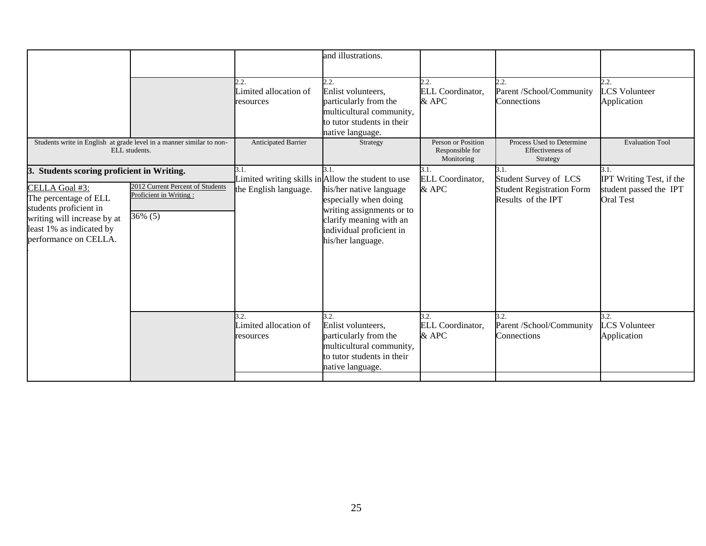|                                                                                                                                                                                                        |                                                                       |                                            | and illustrations.                                                                                                                                                                                                      |                                                     |                                                                                         |                                                                                |
|--------------------------------------------------------------------------------------------------------------------------------------------------------------------------------------------------------|-----------------------------------------------------------------------|--------------------------------------------|-------------------------------------------------------------------------------------------------------------------------------------------------------------------------------------------------------------------------|-----------------------------------------------------|-----------------------------------------------------------------------------------------|--------------------------------------------------------------------------------|
|                                                                                                                                                                                                        |                                                                       | 2.2<br>Limited allocation of<br>resources  | 2.2.<br>Enlist volunteers,<br>particularly from the<br>multicultural community,<br>to tutor students in their<br>native language.                                                                                       | 2.2.<br>ELL Coordinator,<br>& APC                   | Parent /School/Community<br>Connections                                                 | <b>LCS</b> Volunteer<br>Application                                            |
| Students write in English at grade level in a manner similar to non-<br>ELL students.                                                                                                                  |                                                                       | Anticipated Barrier                        | Strategy                                                                                                                                                                                                                | Person or Position<br>Responsible for<br>Monitoring | Process Used to Determine<br>Effectiveness of<br>Strategy                               | <b>Evaluation Tool</b>                                                         |
| Students scoring proficient in Writing.<br>З.<br>CELLA Goal #3:<br>The percentage of ELL<br>students proficient in<br>writing will increase by at<br>least 1% as indicated by<br>performance on CELLA. | 2012 Current Percent of Students<br>Proficient in Writing:<br>36% (5) | 3.1.<br>the English language.              | 3.1.<br>Limited writing skills in Allow the student to use<br>his/her native language<br>especially when doing<br>writing assignments or to<br>clarify meaning with an<br>individual proficient in<br>his/her language. | 3.1.<br>ELL Coordinator,<br>& APC                   | 3.1.<br>Student Survey of LCS<br><b>Student Registration Form</b><br>Results of the IPT | 3.1.<br>IPT Writing Test, if the<br>student passed the IPT<br><b>Oral Test</b> |
|                                                                                                                                                                                                        |                                                                       | 3.2.<br>Limited allocation of<br>resources | 3.2.<br>Enlist volunteers,<br>particularly from the<br>multicultural community,<br>to tutor students in their<br>native language.                                                                                       | 3.2.<br>ELL Coordinator,<br>& APC                   | 3.2.<br>Parent /School/Community<br>Connections                                         | 3.2.<br><b>CS</b> Volunteer<br>Application                                     |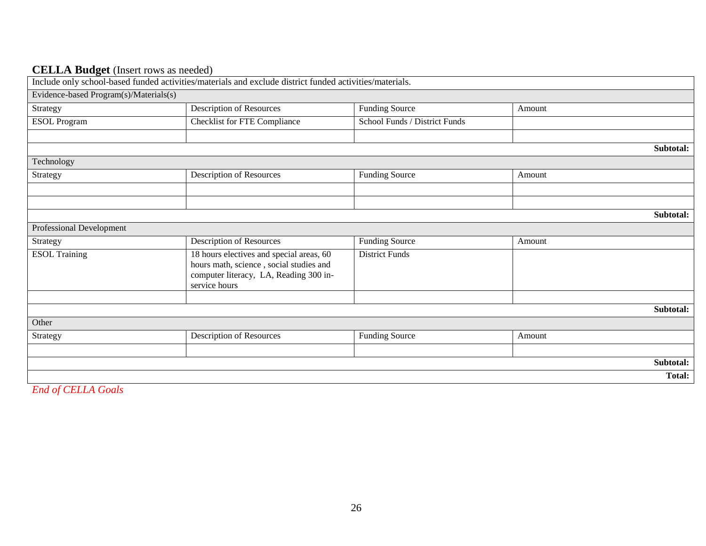### **CELLA Budget** (Insert rows as needed)

|                                        | Include only school-based funded activities/materials and exclude district funded activities/materials. |                               |        |               |
|----------------------------------------|---------------------------------------------------------------------------------------------------------|-------------------------------|--------|---------------|
| Evidence-based Program(s)/Materials(s) |                                                                                                         |                               |        |               |
|                                        |                                                                                                         |                               |        |               |
| Strategy                               | <b>Description of Resources</b>                                                                         | <b>Funding Source</b>         | Amount |               |
| <b>ESOL</b> Program                    | Checklist for FTE Compliance                                                                            | School Funds / District Funds |        |               |
|                                        |                                                                                                         |                               |        |               |
|                                        |                                                                                                         |                               |        | Subtotal:     |
| Technology                             |                                                                                                         |                               |        |               |
| Strategy                               | <b>Description of Resources</b>                                                                         | <b>Funding Source</b>         | Amount |               |
|                                        |                                                                                                         |                               |        |               |
|                                        |                                                                                                         |                               |        |               |
|                                        |                                                                                                         |                               |        | Subtotal:     |
| Professional Development               |                                                                                                         |                               |        |               |
| Strategy                               | <b>Description of Resources</b>                                                                         | <b>Funding Source</b>         | Amount |               |
| <b>ESOL</b> Training                   | 18 hours electives and special areas, 60                                                                | <b>District Funds</b>         |        |               |
|                                        | hours math, science, social studies and                                                                 |                               |        |               |
|                                        | computer literacy, LA, Reading 300 in-                                                                  |                               |        |               |
|                                        | service hours                                                                                           |                               |        |               |
|                                        |                                                                                                         |                               |        |               |
|                                        |                                                                                                         |                               |        | Subtotal:     |
| Other                                  |                                                                                                         |                               |        |               |
| Strategy                               | Description of Resources                                                                                | <b>Funding Source</b>         | Amount |               |
|                                        |                                                                                                         |                               |        |               |
|                                        |                                                                                                         |                               |        | Subtotal:     |
|                                        |                                                                                                         |                               |        | <b>Total:</b> |

*End of CELLA Goals*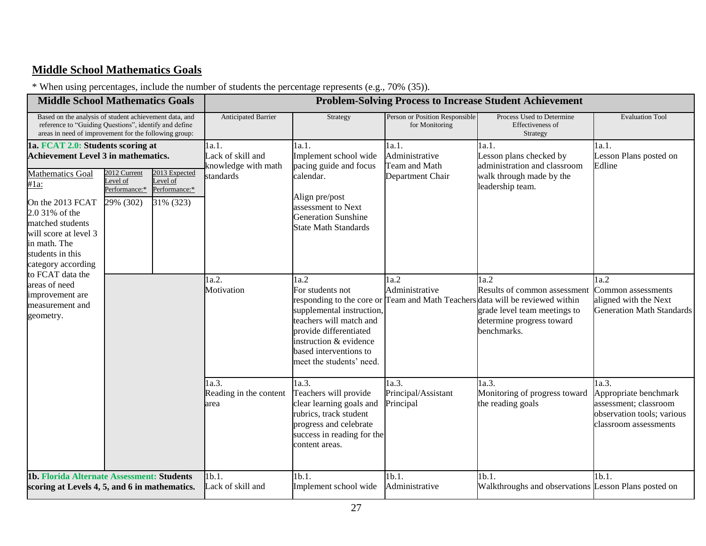# **Middle School Mathematics Goals**

| <b>Middle School Mathematics Goals</b>                                                                                                                                                                                                                                                                                                                     |                                                                                                                  |                                         | <b>Problem-Solving Process to Increase Student Achievement</b> |                                                                                                                                                                                            |                                                              |                                                                                                                                                                                                   |                                                                                                                |  |  |
|------------------------------------------------------------------------------------------------------------------------------------------------------------------------------------------------------------------------------------------------------------------------------------------------------------------------------------------------------------|------------------------------------------------------------------------------------------------------------------|-----------------------------------------|----------------------------------------------------------------|--------------------------------------------------------------------------------------------------------------------------------------------------------------------------------------------|--------------------------------------------------------------|---------------------------------------------------------------------------------------------------------------------------------------------------------------------------------------------------|----------------------------------------------------------------------------------------------------------------|--|--|
| Based on the analysis of student achievement data, and<br>reference to "Guiding Questions", identify and define<br>areas in need of improvement for the following group:                                                                                                                                                                                   |                                                                                                                  |                                         | Anticipated Barrier                                            | Strategy                                                                                                                                                                                   | Person or Position Responsible<br>for Monitoring             | Process Used to Determine<br>Effectiveness of<br>Strategy                                                                                                                                         | <b>Evaluation Tool</b>                                                                                         |  |  |
| 1a. FCAT 2.0: Students scoring at<br><b>Achievement Level 3 in mathematics.</b><br><b>Mathematics Goal</b><br>$#1a$ :<br>On the 2013 FCAT<br>2.0 31% of the<br>matched students<br>will score at level 3<br>in math. The<br>students in this<br>category according<br>to FCAT data the<br>areas of need<br>improvement are<br>measurement and<br>geometry. | 2013 Expected<br>2012 Current<br>evel of<br>Level of<br>Performance:*<br>Performance:*<br>31% (323)<br>29% (302) |                                         | 1a.1.<br>Lack of skill and<br>knowledge with math<br>standards | 1a.1.<br>Implement school wide<br>pacing guide and focus<br>calendar.<br>Align pre/post<br>assessment to Next<br><b>Generation Sunshine</b><br><b>State Math Standards</b>                 | 1a.1.<br>Administrative<br>Team and Math<br>Department Chair | 1a.1.<br>Lesson plans checked by<br>administration and classroom<br>walk through made by the<br>leadership team.                                                                                  | 1a.1.<br>Lesson Plans posted on<br>Edline                                                                      |  |  |
|                                                                                                                                                                                                                                                                                                                                                            |                                                                                                                  |                                         | 1a.2.<br>Motivation                                            | 1a.2<br>For students not<br>supplemental instruction,<br>teachers will match and<br>provide differentiated<br>instruction & evidence<br>based interventions to<br>meet the students' need. | 1a.2<br>Administrative                                       | 1a.2<br>Results of common assessment<br>responding to the core or Team and Math Teachers data will be reviewed within<br>grade level team meetings to<br>determine progress toward<br>benchmarks. | 1a.2<br>Common assessments<br>aligned with the Next<br><b>Generation Math Standards</b>                        |  |  |
|                                                                                                                                                                                                                                                                                                                                                            |                                                                                                                  | 1a.3.<br>Reading in the content<br>area |                                                                | 1a.3.<br>Teachers will provide<br>clear learning goals and<br>rubrics, track student<br>progress and celebrate<br>success in reading for the<br>content areas.                             | 1a.3.<br>Principal/Assistant<br>Principal                    | 1a.3.<br>Monitoring of progress toward<br>the reading goals                                                                                                                                       | 1a.3.<br>Appropriate benchmark<br>assessment; classroom<br>observation tools; various<br>classroom assessments |  |  |
| 1b. Florida Alternate Assessment: Students<br>scoring at Levels 4, 5, and 6 in mathematics.                                                                                                                                                                                                                                                                |                                                                                                                  |                                         | 1b.1.<br>Lack of skill and                                     | $1b.1$ .<br>Implement school wide                                                                                                                                                          | 1 <sub>b.1</sub><br>Administrative                           | 1b.1.<br>Walkthroughs and observations Lesson Plans posted on                                                                                                                                     | 1b.1.                                                                                                          |  |  |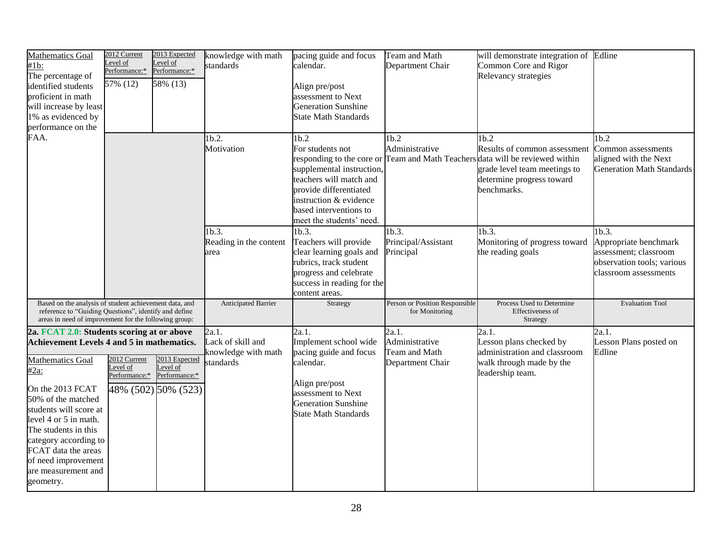| Mathematics Goal<br>$#1b$ :<br>The percentage of<br>identified students<br>proficient in math<br>will increase by least<br>1% as evidenced by<br>performance on the                                                                                                                                                                                                   | 2012 Current<br>evel of<br>Performance:*<br>57% (12) | 2013 Expected<br>Level of<br>Performance:*<br>58% (13)           | knowledge with math<br>standards                              | pacing guide and focus<br>calendar.<br>Align pre/post<br>assessment to Next<br><b>Generation Sunshine</b><br><b>State Math Standards</b>                                                               | Team and Math<br>Department Chair                                   | will demonstrate integration of<br>Common Core and Rigor<br>Relevancy strategies                                                                                                                  | Edline                                                                                                         |
|-----------------------------------------------------------------------------------------------------------------------------------------------------------------------------------------------------------------------------------------------------------------------------------------------------------------------------------------------------------------------|------------------------------------------------------|------------------------------------------------------------------|---------------------------------------------------------------|--------------------------------------------------------------------------------------------------------------------------------------------------------------------------------------------------------|---------------------------------------------------------------------|---------------------------------------------------------------------------------------------------------------------------------------------------------------------------------------------------|----------------------------------------------------------------------------------------------------------------|
| FAA.                                                                                                                                                                                                                                                                                                                                                                  |                                                      |                                                                  | 1b.2.<br>Motivation                                           | 1 <sub>b.2</sub><br>For students not<br>supplemental instruction,<br>teachers will match and<br>provide differentiated<br>instruction & evidence<br>based interventions to<br>meet the students' need. | 1b.2<br>Administrative                                              | 1b.2<br>Results of common assessment<br>responding to the core or Team and Math Teachers data will be reviewed within<br>grade level team meetings to<br>determine progress toward<br>benchmarks. | 1b.2<br>Common assessments<br>aligned with the Next<br><b>Generation Math Standards</b>                        |
|                                                                                                                                                                                                                                                                                                                                                                       |                                                      |                                                                  | 1b.3.<br>Reading in the content<br>area                       | 1b.3.<br>Teachers will provide<br>clear learning goals and<br>rubrics, track student<br>progress and celebrate<br>success in reading for the<br>content areas.                                         | 1b.3.<br>Principal/Assistant<br>Principal                           | 1b.3.<br>Monitoring of progress toward<br>the reading goals                                                                                                                                       | 1b.3.<br>Appropriate benchmark<br>assessment; classroom<br>observation tools; various<br>classroom assessments |
| Based on the analysis of student achievement data, and<br>reference to "Guiding Questions", identify and define<br>areas in need of improvement for the following group:                                                                                                                                                                                              |                                                      |                                                                  | <b>Anticipated Barrier</b>                                    | Strategy                                                                                                                                                                                               | Person or Position Responsible<br>for Monitoring                    | Process Used to Determine<br>Effectiveness of<br>Strategy                                                                                                                                         | <b>Evaluation Tool</b>                                                                                         |
| 2a. FCAT 2.0: Students scoring at or above<br><b>Achievement Levels 4 and 5 in mathematics.</b><br><b>Mathematics Goal</b><br>$#2a$ :<br>On the 2013 FCAT<br>50% of the matched<br>students will score at<br>level 4 or 5 in math.<br>The students in this<br>category according to<br>FCAT data the areas<br>of need improvement<br>are measurement and<br>geometry. | 2012 Current<br>evel of<br>Performance:*             | 2013 Expected<br>evel of<br>Performance:*<br>48% (502) 50% (523) | 2a.1.<br>Lack of skill and<br>mowledge with math<br>standards | 2a.1.<br>Implement school wide<br>pacing guide and focus<br>calendar.<br>Align pre/post<br>assessment to Next<br><b>Generation Sunshine</b><br><b>State Math Standards</b>                             | 2a.1.<br>Administrative<br><b>Team and Math</b><br>Department Chair | 2a.1.<br>Lesson plans checked by<br>administration and classroom<br>walk through made by the<br>leadership team.                                                                                  | 2a.1.<br>Lesson Plans posted on<br>Edline                                                                      |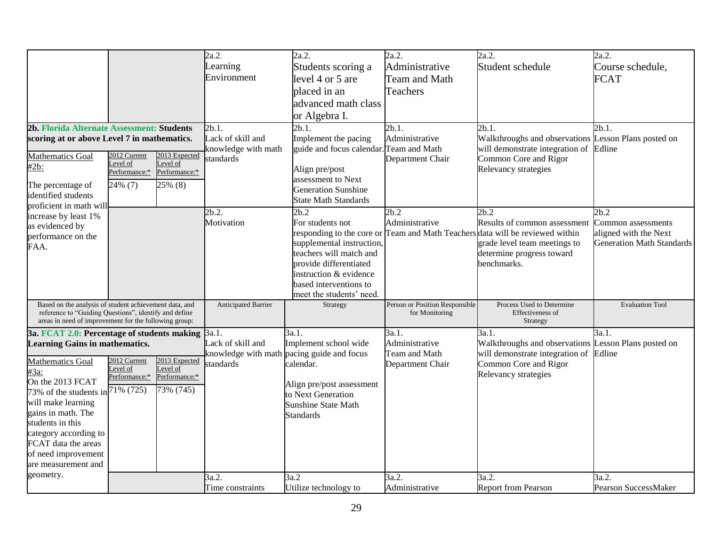|                                                                       |               |               | 2a.2                | 2a.2.                                            | 2a.2.                          | 2a.2.                                                                         | 2a.2.                                       |
|-----------------------------------------------------------------------|---------------|---------------|---------------------|--------------------------------------------------|--------------------------------|-------------------------------------------------------------------------------|---------------------------------------------|
|                                                                       |               |               | Learning            | Students scoring a                               | Administrative                 | Student schedule                                                              | Course schedule,                            |
|                                                                       |               |               | Environment         | level 4 or 5 are                                 | Team and Math                  |                                                                               | <b>FCAT</b>                                 |
|                                                                       |               |               |                     | placed in an                                     | Teachers                       |                                                                               |                                             |
|                                                                       |               |               |                     | advanced math class                              |                                |                                                                               |                                             |
|                                                                       |               |               |                     |                                                  |                                |                                                                               |                                             |
|                                                                       |               |               |                     | or Algebra I.                                    |                                |                                                                               |                                             |
| 2b. Florida Alternate Assessment: Students                            |               |               | 2b.1.               | 2b.1.                                            | 2b.1.                          | 2b.1.                                                                         | 2b.1.                                       |
| scoring at or above Level 7 in mathematics.                           |               |               | Lack of skill and   | Implement the pacing                             | Administrative                 | Walkthroughs and observations Lesson Plans posted on                          |                                             |
| Mathematics Goal                                                      | 2012 Current  | 2013 Expected | mowledge with math  | guide and focus calendar. Team and Math          |                                | will demonstrate integration of Edline                                        |                                             |
| #2b:                                                                  | Level of      | Level of      | standards           |                                                  | Department Chair               | Common Core and Rigor                                                         |                                             |
|                                                                       | Performance:* | Performance:* |                     | Align pre/post                                   |                                | Relevancy strategies                                                          |                                             |
| The percentage of                                                     | 24% (7)       | 25% (8)       |                     | assessment to Next<br><b>Generation Sunshine</b> |                                |                                                                               |                                             |
| identified students                                                   |               |               |                     | <b>State Math Standards</b>                      |                                |                                                                               |                                             |
| proficient in math will                                               |               |               |                     |                                                  | 2b.2                           |                                                                               |                                             |
| increase by least 1%                                                  |               |               | 2b.2.<br>Motivation | 2b.2<br>For students not                         | Administrative                 | 2b.2<br>Results of common assessment                                          | 2b.2                                        |
| as evidenced by                                                       |               |               |                     |                                                  |                                | responding to the core or Team and Math Teachers data will be reviewed within | Common assessments<br>aligned with the Next |
| performance on the                                                    |               |               |                     | supplemental instruction,                        |                                | grade level team meetings to                                                  | <b>Generation Math Standards</b>            |
| FAA.                                                                  |               |               |                     | teachers will match and                          |                                | determine progress toward                                                     |                                             |
|                                                                       |               |               |                     | provide differentiated                           |                                | benchmarks.                                                                   |                                             |
|                                                                       |               |               |                     | instruction & evidence                           |                                |                                                                               |                                             |
|                                                                       |               |               |                     | based interventions to                           |                                |                                                                               |                                             |
|                                                                       |               |               |                     | meet the students' need.                         |                                |                                                                               |                                             |
| Based on the analysis of student achievement data, and                |               |               | Anticipated Barrier | Strategy                                         | Person or Position Responsible | Process Used to Determine                                                     | <b>Evaluation Tool</b>                      |
| reference to "Guiding Questions", identify and define                 |               |               |                     |                                                  | for Monitoring                 | Effectiveness of                                                              |                                             |
| areas in need of improvement for the following group:                 |               |               |                     |                                                  |                                | Strategy                                                                      |                                             |
| 3a. $\overline{FCAT}$ 2.0: Percentage of students making $\beta$ a.1. |               |               |                     | 3a.1.                                            | 3a.1.                          | 3a.1.                                                                         | 3a.1.                                       |
| <b>Learning Gains in mathematics.</b>                                 |               |               | Lack of skill and   | Implement school wide                            | Administrative                 | Walkthroughs and observations Lesson Plans posted on                          |                                             |
| Mathematics Goal                                                      | 2012 Current  | 2013 Expected |                     | knowledge with math pacing guide and focus       | Team and Math                  | will demonstrate integration of                                               | Edline                                      |
| #3a:                                                                  | Level of      | Level of      | standards           | calendar.                                        | Department Chair               | Common Core and Rigor                                                         |                                             |
| On the 2013 FCAT                                                      | Performance:* | Performance:* |                     |                                                  |                                | Relevancy strategies                                                          |                                             |
| 73% of the students in $71\%$ ( $\overline{725}$ )                    |               | 73% (745)     |                     | Align pre/post assessment                        |                                |                                                                               |                                             |
| will make learning                                                    |               |               |                     | to Next Generation<br><b>Sunshine State Math</b> |                                |                                                                               |                                             |
| gains in math. The                                                    |               |               |                     |                                                  |                                |                                                                               |                                             |
| students in this                                                      |               |               |                     | Standards                                        |                                |                                                                               |                                             |
| category according to                                                 |               |               |                     |                                                  |                                |                                                                               |                                             |
| FCAT data the areas                                                   |               |               |                     |                                                  |                                |                                                                               |                                             |
| of need improvement                                                   |               |               |                     |                                                  |                                |                                                                               |                                             |
| are measurement and                                                   |               |               |                     |                                                  |                                |                                                                               |                                             |
| geometry.                                                             |               |               | 3a.2.               | 3a.2                                             | 3a.2.                          | 3a.2.                                                                         | 3a.2.                                       |
|                                                                       |               |               | Time constraints    | Utilize technology to                            | Administrative                 | <b>Report from Pearson</b>                                                    | Pearson SuccessMaker                        |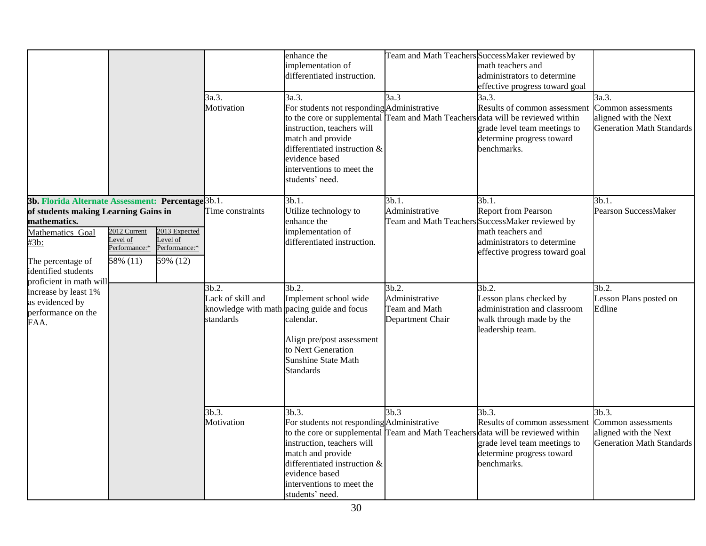|                                                                                                                                                                                                                                       |                                                      |                                                       | 3a.3.<br>Motivation            | enhance the<br>implementation of<br>differentiated instruction.<br>3a.3.<br>For students not responding Administrative<br>instruction, teachers will<br>match and provide<br>differentiated instruction &<br>evidence based<br>interventions to meet the<br>students' need. | 3a.3                                                | Team and Math Teachers SuccessMaker reviewed by<br>math teachers and<br>administrators to determine<br>effective progress toward goal<br>3a.3.<br>Results of common assessment<br>to the core or supplemental Team and Math Teachers data will be reviewed within<br>grade level team meetings to<br>determine progress toward<br>benchmarks. | 3a.3.<br>Common assessments<br>aligned with the Next<br><b>Generation Math Standards</b> |
|---------------------------------------------------------------------------------------------------------------------------------------------------------------------------------------------------------------------------------------|------------------------------------------------------|-------------------------------------------------------|--------------------------------|-----------------------------------------------------------------------------------------------------------------------------------------------------------------------------------------------------------------------------------------------------------------------------|-----------------------------------------------------|-----------------------------------------------------------------------------------------------------------------------------------------------------------------------------------------------------------------------------------------------------------------------------------------------------------------------------------------------|------------------------------------------------------------------------------------------|
| 3b. Florida Alternate Assessment: Percentage 3b.1.<br>of students making Learning Gains in<br>mathematics.<br>Mathematics Goal<br>#3b:<br>The percentage of<br>identified students<br>proficient in math will<br>increase by least 1% | 2012 Current<br>evel of<br>Performance:*<br>58% (11) | 2013 Expected<br>evel of<br>Performance:*<br>59% (12) | Time constraints<br>3b.2.      | 3b.1.<br>Utilize technology to<br>enhance the<br>implementation of<br>differentiated instruction.<br>3b.2.                                                                                                                                                                  | 3b.1.<br>Administrative<br>3b.2.                    | 3b.1.<br><b>Report from Pearson</b><br>Team and Math Teachers SuccessMaker reviewed by<br>math teachers and<br>administrators to determine<br>effective progress toward goal<br>3b.2.                                                                                                                                                         | 3b.1.<br>Pearson SuccessMaker<br>3b.2.                                                   |
| as evidenced by<br>performance on the<br>FAA.                                                                                                                                                                                         |                                                      |                                                       | Lack of skill and<br>standards | Implement school wide<br>knowledge with math pacing guide and focus<br>calendar.<br>Align pre/post assessment<br>to Next Generation<br><b>Sunshine State Math</b><br><b>Standards</b>                                                                                       | Administrative<br>Team and Math<br>Department Chair | Lesson plans checked by<br>administration and classroom<br>walk through made by the<br>leadership team.                                                                                                                                                                                                                                       | Lesson Plans posted on<br>Edline                                                         |
|                                                                                                                                                                                                                                       |                                                      |                                                       | $3b.3$ .<br>Motivation         | 3b.3.<br>For students not responding Administrative<br>instruction, teachers will<br>match and provide<br>differentiated instruction &<br>evidence based<br>interventions to meet the<br>students' need.                                                                    | 3b.3                                                | 3b.3.<br>Results of common assessment<br>to the core or supplemental Team and Math Teachers data will be reviewed within<br>grade level team meetings to<br>determine progress toward<br>benchmarks.                                                                                                                                          | 3b.3.<br>Common assessments<br>aligned with the Next<br><b>Generation Math Standards</b> |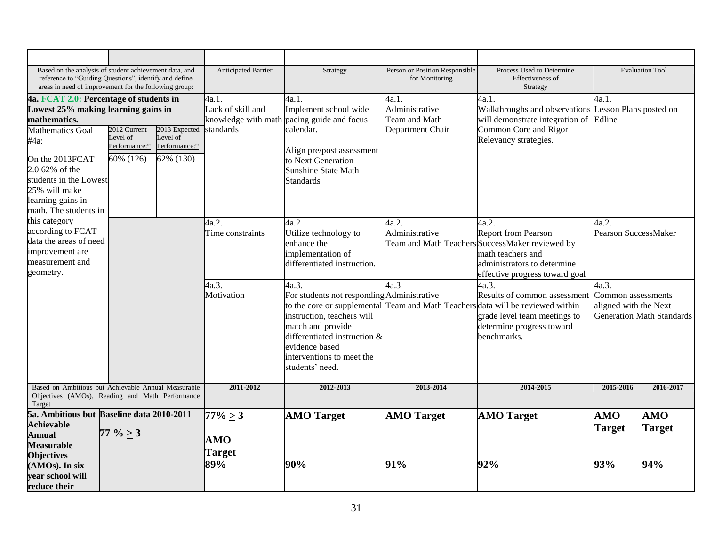| Based on the analysis of student achievement data, and<br>reference to "Guiding Questions", identify and define<br>areas in need of improvement for the following group:                                                                                        |                                                                                                                   |  | <b>Anticipated Barrier</b>                          | Strategy                                                                                                                                                                                        | Person or Position Responsible<br>for Monitoring             | Process Used to Determine<br>Effectiveness of<br>Strategy                                                                                                                                   |                                             | <b>Evaluation Tool</b>             |
|-----------------------------------------------------------------------------------------------------------------------------------------------------------------------------------------------------------------------------------------------------------------|-------------------------------------------------------------------------------------------------------------------|--|-----------------------------------------------------|-------------------------------------------------------------------------------------------------------------------------------------------------------------------------------------------------|--------------------------------------------------------------|---------------------------------------------------------------------------------------------------------------------------------------------------------------------------------------------|---------------------------------------------|------------------------------------|
| 4a. FCAT 2.0: Percentage of students in<br>Lowest 25% making learning gains in<br>mathematics.<br><b>Mathematics Goal</b><br>#4a:<br>On the 2013FCAT<br>2.0 62% of the<br>students in the Lowest<br>25% will make<br>learning gains in<br>math. The students in | 2012 Current<br>2013 Expected<br>Level of<br>Level of<br>Performance:*<br>Performance:*<br>60% (126)<br>62% (130) |  | 4a.1.<br>Lack of skill and<br>standards             | 4a.1.<br>Implement school wide<br>knowledge with math pacing guide and focus<br>calendar.<br>Align pre/post assessment<br>to Next Generation<br><b>Sunshine State Math</b><br>Standards         | 4a.1.<br>Administrative<br>Team and Math<br>Department Chair | 4a.1.<br>Walkthroughs and observations Lesson Plans posted on<br>will demonstrate integration of<br>Common Core and Rigor<br>Relevancy strategies.                                          | 4a.1.<br>Edline                             |                                    |
| this category<br>according to FCAT<br>data the areas of need<br>improvement are<br>measurement and<br>geometry.                                                                                                                                                 |                                                                                                                   |  | 4a.2.<br>Time constraints<br>4a.3.                  | $4a.\overline{2}$<br>Utilize technology to<br>enhance the<br>implementation of<br>differentiated instruction.<br>4a.3.                                                                          | 4a.2.<br>Administrative<br>4a.3                              | 4a.2.<br><b>Report from Pearson</b><br>Team and Math Teachers SuccessMaker reviewed by<br>math teachers and<br>administrators to determine<br>effective progress toward goal<br>4a.3.       | 4a.2.<br>Pearson SuccessMaker<br>4a.3.      |                                    |
|                                                                                                                                                                                                                                                                 |                                                                                                                   |  | Motivation                                          | For students not responding Administrative<br>instruction, teachers will<br>match and provide<br>differentiated instruction &<br>evidence based<br>interventions to meet the<br>students' need. |                                                              | Results of common assessment<br>to the core or supplemental Team and Math Teachers data will be reviewed within<br>grade level team meetings to<br>determine progress toward<br>benchmarks. | Common assessments<br>aligned with the Next | <b>Generation Math Standards</b>   |
| Based on Ambitious but Achievable Annual Measurable<br>Objectives (AMOs), Reading and Math Performance<br>Target                                                                                                                                                |                                                                                                                   |  | 2011-2012                                           | 2012-2013                                                                                                                                                                                       | 2013-2014                                                    | 2014-2015                                                                                                                                                                                   | 2015-2016                                   | 2016-2017                          |
| 5a. Ambitious but Baseline data 2010-2011<br><b>Achievable</b><br><b>Annual</b><br><b>Measurable</b><br><b>Objectives</b><br>(AMOs). In six<br>year school will<br>reduce their                                                                                 | $77\% \geq 3$                                                                                                     |  | $77\% \geq 3$<br><b>AMO</b><br><b>Target</b><br>89% | <b>AMO</b> Target<br>90%                                                                                                                                                                        | <b>AMO</b> Target<br>91%                                     | <b>AMO</b> Target<br>92%                                                                                                                                                                    | <b>AMO</b><br><b>Target</b><br>93%          | <b>AMO</b><br><b>Target</b><br>94% |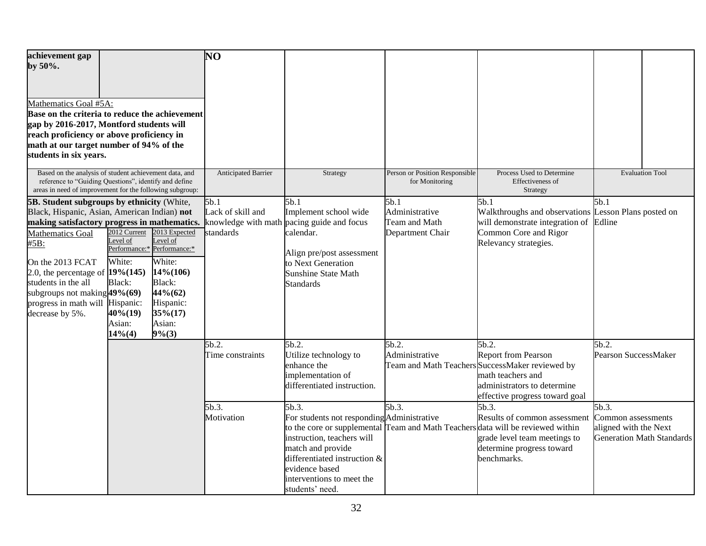| achievement gap<br>by $50\%$ .                                                                                                                                                                                                                                                                                                                        |                                                             |                                                                                                                                                                    | <b>NO</b>                              |                                                                                                                                                                                                 |                                                             |                                                                                                                                                                                             |                                                                                 |
|-------------------------------------------------------------------------------------------------------------------------------------------------------------------------------------------------------------------------------------------------------------------------------------------------------------------------------------------------------|-------------------------------------------------------------|--------------------------------------------------------------------------------------------------------------------------------------------------------------------|----------------------------------------|-------------------------------------------------------------------------------------------------------------------------------------------------------------------------------------------------|-------------------------------------------------------------|---------------------------------------------------------------------------------------------------------------------------------------------------------------------------------------------|---------------------------------------------------------------------------------|
| Mathematics Goal #5A:<br>Base on the criteria to reduce the achievement<br>gap by 2016-2017, Montford students will<br>reach proficiency or above proficiency in<br>math at our target number of 94% of the                                                                                                                                           |                                                             |                                                                                                                                                                    |                                        |                                                                                                                                                                                                 |                                                             |                                                                                                                                                                                             |                                                                                 |
| students in six years.                                                                                                                                                                                                                                                                                                                                |                                                             |                                                                                                                                                                    |                                        |                                                                                                                                                                                                 |                                                             |                                                                                                                                                                                             |                                                                                 |
| Based on the analysis of student achievement data, and<br>reference to "Guiding Questions", identify and define<br>areas in need of improvement for the following subgroup:                                                                                                                                                                           |                                                             |                                                                                                                                                                    | <b>Anticipated Barrier</b>             | Strategy                                                                                                                                                                                        | Person or Position Responsible<br>for Monitoring            | Process Used to Determine<br>Effectiveness of<br>Strategy                                                                                                                                   | <b>Evaluation Tool</b>                                                          |
| 5B. Student subgroups by ethnicity (White,<br>Black, Hispanic, Asian, American Indian) not<br>making satisfactory progress in mathematics.<br><b>Mathematics Goal</b><br>#5B:<br>On the 2013 FCAT<br>2.0, the percentage of $19\%(145)$<br>students in the all<br>subgroups not making 49% (69)<br>progress in math will Hispanic:<br>decrease by 5%. | evel of<br>White:<br>Black:<br>40%(19)<br>Asian:<br>14% (4) | 2012 Current 2013 Expected<br>Level of<br>Performance:* Performance:*<br>White:<br>14%(106)<br>Black:<br>44%(62)<br>Hispanic:<br>$35\%(17)$<br>Asian:<br>$9\%$ (3) | 5b.1<br>Lack of skill and<br>standards | 5b.1<br>Implement school wide<br>knowledge with math pacing guide and focus<br>calendar.<br>Align pre/post assessment<br>to Next Generation<br>Sunshine State Math<br>Standards                 | 5b.1<br>Administrative<br>Team and Math<br>Department Chair | 5b.1<br>Walkthroughs and observations Lesson Plans posted on<br>will demonstrate integration of<br>Common Core and Rigor<br>Relevancy strategies.                                           | 5b.1<br>Edline                                                                  |
|                                                                                                                                                                                                                                                                                                                                                       |                                                             |                                                                                                                                                                    | 5b.2.<br>Time constraints<br>5b.3.     | 5b.2.<br>Utilize technology to<br>enhance the<br>implementation of<br>differentiated instruction.<br>5b.3.                                                                                      | 5b.2.<br>Administrative<br>$\overline{5}b.3.$               | 5b.2.<br><b>Report from Pearson</b><br>Team and Math Teachers SuccessMaker reviewed by<br>math teachers and<br>administrators to determine<br>effective progress toward goal<br>5b.3.       | 5b.2.<br>Pearson SuccessMaker<br>5b.3.                                          |
|                                                                                                                                                                                                                                                                                                                                                       |                                                             |                                                                                                                                                                    | Motivation                             | For students not responding Administrative<br>instruction, teachers will<br>match and provide<br>differentiated instruction &<br>evidence based<br>interventions to meet the<br>students' need. |                                                             | Results of common assessment<br>to the core or supplemental Team and Math Teachers data will be reviewed within<br>grade level team meetings to<br>determine progress toward<br>benchmarks. | Common assessments<br>aligned with the Next<br><b>Generation Math Standards</b> |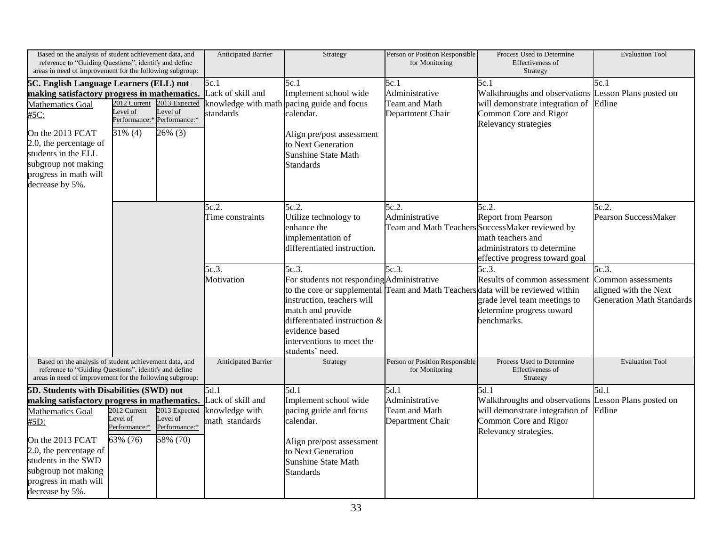| Based on the analysis of student achievement data, and<br>reference to "Guiding Questions", identify and define<br>areas in need of improvement for the following subgroup:                                                                                         |                                                       |                                                        | <b>Anticipated Barrier</b>                                    | Strategy                                                                                                                                                                                                 | Person or Position Responsible<br>for Monitoring            | Process Used to Determine<br>Effectiveness of<br>Strategy                                                                                                                                            | <b>Evaluation Tool</b>                                                                   |
|---------------------------------------------------------------------------------------------------------------------------------------------------------------------------------------------------------------------------------------------------------------------|-------------------------------------------------------|--------------------------------------------------------|---------------------------------------------------------------|----------------------------------------------------------------------------------------------------------------------------------------------------------------------------------------------------------|-------------------------------------------------------------|------------------------------------------------------------------------------------------------------------------------------------------------------------------------------------------------------|------------------------------------------------------------------------------------------|
| 5C. English Language Learners (ELL) not                                                                                                                                                                                                                             |                                                       |                                                        | 5c.1                                                          | 5c.1                                                                                                                                                                                                     | 5c.1                                                        | 5c.1                                                                                                                                                                                                 | 5c.1                                                                                     |
| making satisfactory progress in mathematics.<br><b>Mathematics Goal</b><br>#5C:                                                                                                                                                                                     | 2012 Current<br>evel of<br>Performance:*              | 2013 Expected<br>Level of<br>Performance:*             | Lack of skill and<br>standards                                | Implement school wide<br>knowledge with math pacing guide and focus<br>calendar.                                                                                                                         | Administrative<br>Team and Math<br>Department Chair         | Walkthroughs and observations Lesson Plans posted on<br>will demonstrate integration of Edline<br>Common Core and Rigor                                                                              |                                                                                          |
| On the 2013 FCAT<br>2.0, the percentage of<br>students in the ELL<br>subgroup not making<br>progress in math will<br>decrease by 5%.                                                                                                                                | 31% (4)                                               | 26% (3)                                                |                                                               | Align pre/post assessment<br>to Next Generation<br><b>Sunshine State Math</b><br>Standards                                                                                                               |                                                             | Relevancy strategies                                                                                                                                                                                 |                                                                                          |
|                                                                                                                                                                                                                                                                     |                                                       |                                                        | 5c.2.<br>Time constraints                                     | 5c.2.<br>Utilize technology to<br>enhance the<br>implementation of<br>differentiated instruction.                                                                                                        | 5c.2.<br>Administrative                                     | 5c.2.<br><b>Report from Pearson</b><br>Team and Math Teachers SuccessMaker reviewed by<br>math teachers and<br>administrators to determine<br>effective progress toward goal                         | 5c.2.<br>Pearson SuccessMaker                                                            |
|                                                                                                                                                                                                                                                                     |                                                       |                                                        | 5c.3.<br>Motivation                                           | 5c.3.<br>For students not responding Administrative<br>instruction, teachers will<br>match and provide<br>differentiated instruction &<br>evidence based<br>interventions to meet the<br>students' need. | 5c.3.                                                       | 5c.3.<br>Results of common assessment<br>to the core or supplemental Team and Math Teachers data will be reviewed within<br>grade level team meetings to<br>determine progress toward<br>benchmarks. | 5c.3.<br>Common assessments<br>aligned with the Next<br><b>Generation Math Standards</b> |
| Based on the analysis of student achievement data, and<br>reference to "Guiding Questions", identify and define<br>areas in need of improvement for the following subgroup:                                                                                         |                                                       |                                                        | <b>Anticipated Barrier</b>                                    | Strategy                                                                                                                                                                                                 | Person or Position Responsible<br>for Monitoring            | Process Used to Determine<br>Effectiveness of<br>Strategy                                                                                                                                            | <b>Evaluation Tool</b>                                                                   |
| 5D. Students with Disabilities (SWD) not<br>making satisfactory progress in mathematics.<br><b>Mathematics Goal</b><br>#5D:<br>On the 2013 FCAT<br>2.0, the percentage of<br>students in the SWD<br>subgroup not making<br>progress in math will<br>decrease by 5%. | 2012 Current<br>Level of<br>Performance:*<br>63% (76) | 2013 Expected<br>Level of<br>Performance:*<br>58% (70) | 5d.1<br>Lack of skill and<br>knowledge with<br>math standards | 5d.1<br>Implement school wide<br>pacing guide and focus<br>calendar.<br>Align pre/post assessment<br>to Next Generation<br><b>Sunshine State Math</b><br><b>Standards</b>                                | 5d.1<br>Administrative<br>Team and Math<br>Department Chair | 5d.1<br>Walkthroughs and observations Lesson Plans posted on<br>will demonstrate integration of<br>Common Core and Rigor<br>Relevancy strategies.                                                    | 5d.1<br>Edline                                                                           |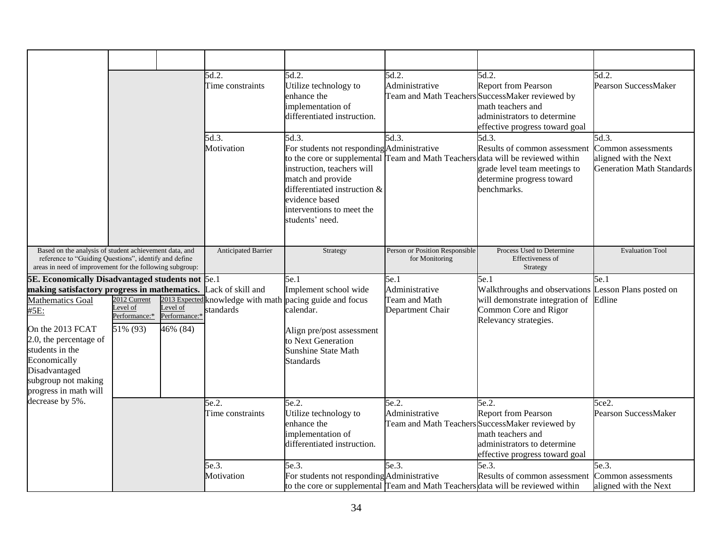|                                                                |                          |                                      | 5d.2.                      | 5d.2.                                                    | 5d.2.                          | 5d.2.                                                                           | 5d.2.                            |
|----------------------------------------------------------------|--------------------------|--------------------------------------|----------------------------|----------------------------------------------------------|--------------------------------|---------------------------------------------------------------------------------|----------------------------------|
|                                                                |                          |                                      | Time constraints           | Utilize technology to                                    | Administrative                 | <b>Report from Pearson</b>                                                      | Pearson SuccessMaker             |
|                                                                |                          |                                      |                            | enhance the                                              |                                | Team and Math Teachers SuccessMaker reviewed by<br>math teachers and            |                                  |
|                                                                |                          |                                      |                            | implementation of<br>differentiated instruction.         |                                | administrators to determine                                                     |                                  |
|                                                                |                          |                                      |                            |                                                          |                                |                                                                                 |                                  |
|                                                                |                          |                                      | 5d.3.                      | 5d.3.                                                    | 5d.3.                          | effective progress toward goal<br>5d.3.                                         | 5d.3.                            |
|                                                                |                          |                                      |                            |                                                          |                                |                                                                                 |                                  |
|                                                                |                          |                                      | Motivation                 | For students not responding Administrative               |                                | Results of common assessment                                                    | Common assessments               |
|                                                                |                          |                                      |                            | instruction, teachers will                               |                                | to the core or supplemental Team and Math Teachers data will be reviewed within | aligned with the Next            |
|                                                                |                          |                                      |                            | match and provide                                        |                                | grade level team meetings to<br>determine progress toward                       | <b>Generation Math Standards</b> |
|                                                                |                          |                                      |                            | differentiated instruction &                             |                                | benchmarks.                                                                     |                                  |
|                                                                |                          |                                      |                            | evidence based                                           |                                |                                                                                 |                                  |
|                                                                |                          |                                      |                            | interventions to meet the                                |                                |                                                                                 |                                  |
|                                                                |                          |                                      |                            | students' need.                                          |                                |                                                                                 |                                  |
|                                                                |                          |                                      |                            |                                                          |                                |                                                                                 |                                  |
|                                                                |                          |                                      |                            |                                                          |                                |                                                                                 |                                  |
| Based on the analysis of student achievement data, and         |                          |                                      | <b>Anticipated Barrier</b> | Strategy                                                 | Person or Position Responsible | Process Used to Determine                                                       | <b>Evaluation Tool</b>           |
| reference to "Guiding Questions", identify and define          |                          |                                      |                            |                                                          | for Monitoring                 | Effectiveness of                                                                |                                  |
| areas in need of improvement for the following subgroup:       |                          |                                      |                            |                                                          |                                | Strategy                                                                        |                                  |
| <b>5E. Economically Disadvantaged students not 5e.1</b>        |                          |                                      |                            | 5e.1                                                     | 5e.1                           | 5e.1                                                                            | 5e.1                             |
| making satisfactory progress in mathematics. Lack of skill and |                          |                                      |                            | Implement school wide                                    | Administrative                 | Walkthroughs and observations Lesson Plans posted on                            |                                  |
| <b>Mathematics Goal</b>                                        | 2012 Current             |                                      |                            | 2013 Expected knowledge with math pacing guide and focus | Team and Math                  | will demonstrate integration of                                                 | Edline                           |
| #5E:                                                           | evel of<br>Performance:* | evel of<br>Performance: <sup>8</sup> | standards                  | calendar.                                                | Department Chair               | Common Core and Rigor                                                           |                                  |
|                                                                |                          |                                      |                            |                                                          |                                | Relevancy strategies.                                                           |                                  |
| On the 2013 FCAT                                               | 51% (93)                 | 46% (84)                             |                            | Align pre/post assessment                                |                                |                                                                                 |                                  |
| 2.0, the percentage of                                         |                          |                                      |                            | to Next Generation                                       |                                |                                                                                 |                                  |
| students in the                                                |                          |                                      |                            | <b>Sunshine State Math</b>                               |                                |                                                                                 |                                  |
| Economically                                                   |                          |                                      |                            | <b>Standards</b>                                         |                                |                                                                                 |                                  |
| Disadvantaged                                                  |                          |                                      |                            |                                                          |                                |                                                                                 |                                  |
| subgroup not making                                            |                          |                                      |                            |                                                          |                                |                                                                                 |                                  |
| progress in math will                                          |                          |                                      |                            |                                                          |                                |                                                                                 |                                  |
| decrease by 5%.                                                |                          |                                      | 5e.2.                      | 5e.2.                                                    | 5e.2.                          | 5e.2.                                                                           | 5ce2.                            |
|                                                                |                          |                                      | Time constraints           | Utilize technology to                                    | Administrative                 | <b>Report from Pearson</b>                                                      | Pearson SuccessMaker             |
|                                                                |                          |                                      |                            | enhance the                                              |                                | Team and Math Teachers SuccessMaker reviewed by                                 |                                  |
|                                                                |                          |                                      |                            | implementation of                                        |                                | math teachers and                                                               |                                  |
|                                                                |                          |                                      |                            | differentiated instruction.                              |                                | administrators to determine                                                     |                                  |
|                                                                |                          |                                      |                            |                                                          |                                | effective progress toward goal                                                  |                                  |
|                                                                |                          |                                      | 5e.3.                      | 5e.3.                                                    | 5e.3.                          | 5e.3.                                                                           | 5e.3.                            |
|                                                                |                          |                                      | Motivation                 | For students not responding Administrative               |                                | Results of common assessment                                                    | Common assessments               |
|                                                                |                          |                                      |                            |                                                          |                                | to the core or supplemental Team and Math Teachers data will be reviewed within | aligned with the Next            |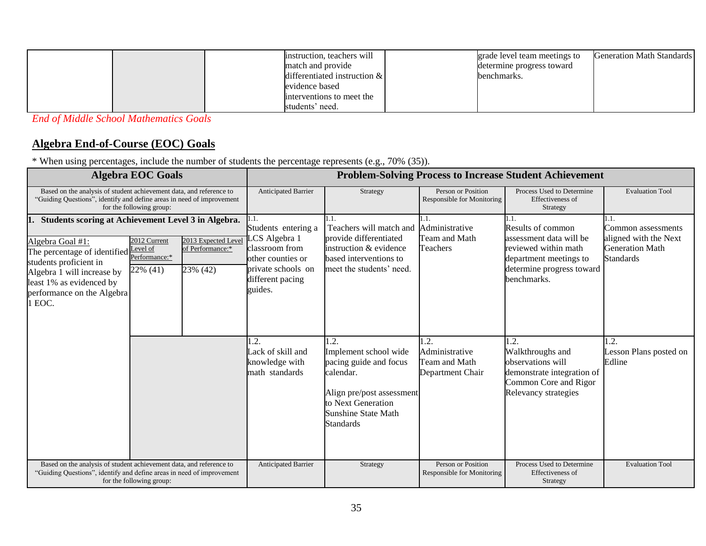|  | instruction, teachers will      | grade level team meetings to | Generation Math Standards |
|--|---------------------------------|------------------------------|---------------------------|
|  | match and provide               | determine progress toward    |                           |
|  | differentiated instruction $\&$ | benchmarks.                  |                           |
|  | evidence based                  |                              |                           |
|  | interventions to meet the       |                              |                           |
|  | students' need.                 |                              |                           |

*End of Middle School Mathematics Goals*

### **Algebra End-of-Course (EOC) Goals**

| <b>Algebra EOC Goals</b>                                                                                                                                                                                                                                                                                                                          | <b>Problem-Solving Process to Increase Student Achievement</b>                                                                          |                                                                                                                                                                           |                                                             |                                                                                                                                                    |                                                                                                   |
|---------------------------------------------------------------------------------------------------------------------------------------------------------------------------------------------------------------------------------------------------------------------------------------------------------------------------------------------------|-----------------------------------------------------------------------------------------------------------------------------------------|---------------------------------------------------------------------------------------------------------------------------------------------------------------------------|-------------------------------------------------------------|----------------------------------------------------------------------------------------------------------------------------------------------------|---------------------------------------------------------------------------------------------------|
| Based on the analysis of student achievement data, and reference to<br>"Guiding Questions", identify and define areas in need of improvement<br>for the following group:                                                                                                                                                                          | Anticipated Barrier                                                                                                                     | Strategy                                                                                                                                                                  | Person or Position<br>Responsible for Monitoring            | Process Used to Determine<br>Effectiveness of<br>Strategy                                                                                          | <b>Evaluation Tool</b>                                                                            |
| Students scoring at Achievement Level 3 in Algebra.<br>2012 Current<br>2013 Expected Level<br>Algebra Goal #1:<br>of Performance:*<br>Level of<br>The percentage of identified<br>Performance:*<br>students proficient in<br>23% (42)<br>22% (41)<br>Algebra 1 will increase by<br>least 1% as evidenced by<br>performance on the Algebra<br>EOC. | 1.1.<br>Students entering a<br>CS Algebra 1<br>classroom from<br>other counties or<br>private schools on<br>different pacing<br>guides. | 1.1.<br>Teachers will match and<br>provide differentiated<br>instruction & evidence<br>based interventions to<br>meet the students' need.                                 | 1.1.<br>Administrative<br>Team and Math<br>Teachers         | 1.1.<br>Results of common<br>assessment data will be<br>reviewed within math<br>department meetings to<br>determine progress toward<br>benchmarks. | 1.1.<br>Common assessments<br>aligned with the Next<br><b>Generation Math</b><br><b>Standards</b> |
|                                                                                                                                                                                                                                                                                                                                                   | 1.2.<br>Lack of skill and<br>knowledge with<br>math standards                                                                           | 1.2.<br>Implement school wide<br>pacing guide and focus<br>calendar.<br>Align pre/post assessment<br>to Next Generation<br><b>Sunshine State Math</b><br><b>Standards</b> | 1.2.<br>Administrative<br>Team and Math<br>Department Chair | 1.2.<br>Walkthroughs and<br>observations will<br>demonstrate integration of<br>Common Core and Rigor<br>Relevancy strategies                       | 1.2.<br>Lesson Plans posted on<br>Edline                                                          |
| Based on the analysis of student achievement data, and reference to<br>"Guiding Questions", identify and define areas in need of improvement<br>for the following group:                                                                                                                                                                          | <b>Anticipated Barrier</b>                                                                                                              | Strategy                                                                                                                                                                  | Person or Position<br><b>Responsible for Monitoring</b>     | Process Used to Determine<br>Effectiveness of<br>Strategy                                                                                          | <b>Evaluation Tool</b>                                                                            |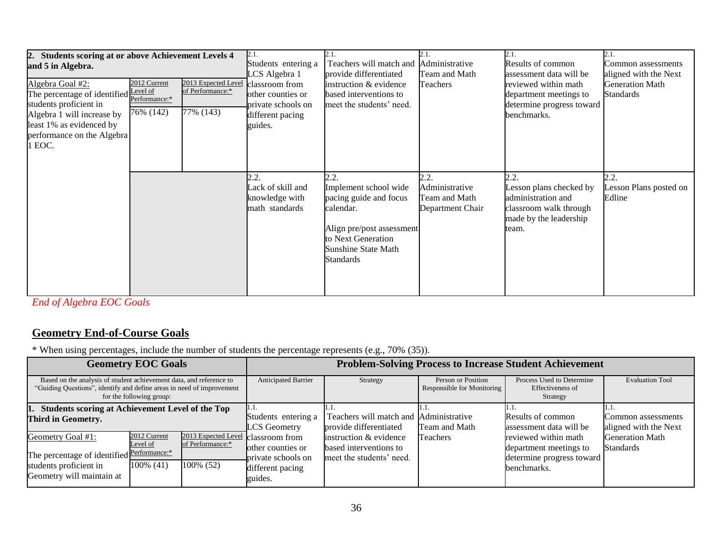| 2. Students scoring at or above Achievement Levels 4<br>and 5 in Algebra.<br>Algebra Goal #2:<br>The percentage of identified <u>Level of</u><br>students proficient in<br>Algebra 1 will increase by<br>least 1% as evidenced by<br>performance on the Algebra<br>I EOC. | 2012 Current<br>76% (142) | 2013 Expected Level<br>of Performance:*<br>77% (143) | 2.1.<br>Students entering a<br>LCS Algebra 1<br>classroom from<br>other counties or<br>private schools on<br>different pacing<br>guides. | Teachers will match and<br>provide differentiated<br>instruction & evidence<br>based interventions to<br>meet the students' need.                                         | 2.1.<br>Administrative<br>Team and Math<br>Teachers         | 2.1.<br>Results of common<br>assessment data will be<br>reviewed within math<br>department meetings to<br>determine progress toward<br>benchmarks. | Common assessments<br>aligned with the Next<br><b>Generation Math</b><br><b>Standards</b> |
|---------------------------------------------------------------------------------------------------------------------------------------------------------------------------------------------------------------------------------------------------------------------------|---------------------------|------------------------------------------------------|------------------------------------------------------------------------------------------------------------------------------------------|---------------------------------------------------------------------------------------------------------------------------------------------------------------------------|-------------------------------------------------------------|----------------------------------------------------------------------------------------------------------------------------------------------------|-------------------------------------------------------------------------------------------|
|                                                                                                                                                                                                                                                                           |                           |                                                      | 2.2.<br>Lack of skill and<br>knowledge with<br>math standards                                                                            | 2.2.<br>Implement school wide<br>pacing guide and focus<br>calendar.<br>Align pre/post assessment<br>to Next Generation<br><b>Sunshine State Math</b><br><b>Standards</b> | 2.2.<br>Administrative<br>Team and Math<br>Department Chair | 2.2.<br>Lesson plans checked by<br>administration and<br>classroom walk through<br>made by the leadership<br>team.                                 | 2.2.<br>Lesson Plans posted on<br>Edline                                                  |

*End of Algebra EOC Goals*

### **Geometry End-of-Course Goals**

|                                                                                                                                                                          | <b>Geometry EOC Goals</b>             |                                                      | <b>Problem-Solving Process to Increase Student Achievement</b>                           |                                                                              |                                                  |                                                                                            |                                            |
|--------------------------------------------------------------------------------------------------------------------------------------------------------------------------|---------------------------------------|------------------------------------------------------|------------------------------------------------------------------------------------------|------------------------------------------------------------------------------|--------------------------------------------------|--------------------------------------------------------------------------------------------|--------------------------------------------|
| Based on the analysis of student achievement data, and reference to<br>"Guiding Questions", identify and define areas in need of improvement<br>for the following group: |                                       |                                                      | Anticipated Barrier                                                                      | Strategy                                                                     | Person or Position<br>Responsible for Monitoring | Process Used to Determine<br>Effectiveness of<br>Strategy                                  | <b>Evaluation Tool</b>                     |
| 1. Students scoring at Achievement Level of the Top<br>Third in Geometry.                                                                                                |                                       | 1.1<br>Students entering a<br><b>LCS</b> Geometry    | Teachers will match and Administrative<br>provide differentiated                         | Team and Math                                                                | Results of common<br>assessment data will be     | Common assessments<br>aligned with the Next                                                |                                            |
| Geometry Goal #1:<br>The percentage of identified Performance:*<br>students proficient in<br>Geometry will maintain at                                                   | 2012 Current<br>Level of<br>100% (41) | 2013 Expected Level<br>of Performance:*<br>100% (52) | classroom from<br>other counties or<br>private schools on<br>different pacing<br>guides. | instruction & evidence<br>based interventions to<br>meet the students' need. | Teachers                                         | reviewed within math<br>department meetings to<br>determine progress toward<br>benchmarks. | <b>Generation Math</b><br><b>Standards</b> |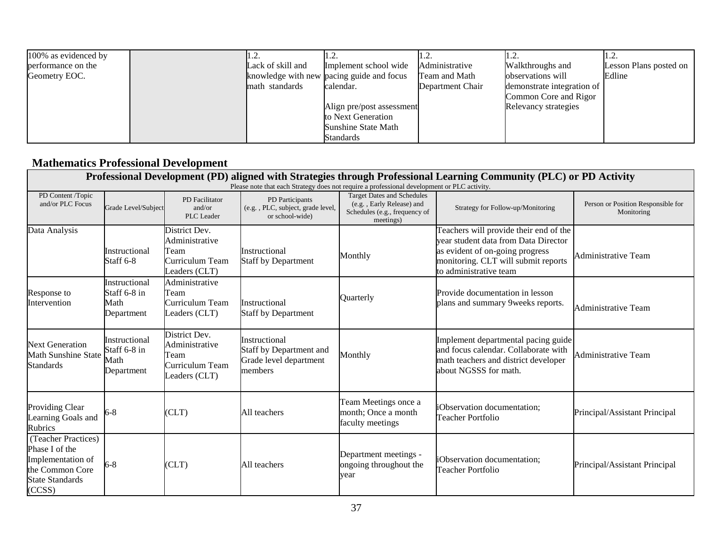| 100% as evidenced by |                   |                                           |                  |                            |                        |
|----------------------|-------------------|-------------------------------------------|------------------|----------------------------|------------------------|
| performance on the   | Lack of skill and | Implement school wide                     | Administrative   | Walkthroughs and           | Lesson Plans posted on |
| Geometry EOC.        |                   | knowledge with new pacing guide and focus | Team and Math    | observations will          | Edline                 |
|                      | math standards    | calendar.                                 | Department Chair | demonstrate integration of |                        |
|                      |                   |                                           |                  | Common Core and Rigor      |                        |
|                      |                   | Align pre/post assessment                 |                  | Relevancy strategies       |                        |
|                      |                   | to Next Generation                        |                  |                            |                        |
|                      |                   | Sunshine State Math                       |                  |                            |                        |
|                      |                   | Standards                                 |                  |                            |                        |

# **Mathematics Professional Development**

|                                                                                                                   | Professional Development (PD) aligned with Strategies through Professional Learning Community (PLC) or PD Activity<br>Please note that each Strategy does not require a professional development or PLC activity. |                                                                             |                                                                               |                                                                                                              |                                                                                                                                                                                    |                                                  |  |  |  |
|-------------------------------------------------------------------------------------------------------------------|-------------------------------------------------------------------------------------------------------------------------------------------------------------------------------------------------------------------|-----------------------------------------------------------------------------|-------------------------------------------------------------------------------|--------------------------------------------------------------------------------------------------------------|------------------------------------------------------------------------------------------------------------------------------------------------------------------------------------|--------------------------------------------------|--|--|--|
| PD Content /Topic<br>and/or PLC Focus                                                                             | Grade Level/Subject                                                                                                                                                                                               | PD Facilitator<br>and/or<br><b>PLC</b> Leader                               | PD Participants<br>(e.g., PLC, subject, grade level,<br>or school-wide)       | <b>Target Dates and Schedules</b><br>(e.g., Early Release) and<br>Schedules (e.g., frequency of<br>meetings) | Strategy for Follow-up/Monitoring                                                                                                                                                  | Person or Position Responsible for<br>Monitoring |  |  |  |
| Data Analysis                                                                                                     | Instructional<br>Staff 6-8                                                                                                                                                                                        | District Dev.<br>Administrative<br>Team<br>Curriculum Team<br>Leaders (CLT) | Instructional<br><b>Staff by Department</b>                                   | Monthly                                                                                                      | Teachers will provide their end of the<br>vear student data from Data Director<br>as evident of on-going progress<br>monitoring. CLT will submit reports<br>to administrative team | <b>Administrative Team</b>                       |  |  |  |
| Response to<br>Intervention                                                                                       | Instructional<br>Staff 6-8 in<br>Math<br>Department                                                                                                                                                               | Administrative<br>Team<br>Curriculum Team<br>Leaders (CLT)                  | Instructional<br><b>Staff by Department</b>                                   | Quarterly                                                                                                    | Provide documentation in lesson<br>plans and summary 9weeks reports.                                                                                                               | Administrative Team                              |  |  |  |
| <b>Next Generation</b><br><b>Math Sunshine State</b><br><b>Standards</b>                                          | Instructional<br>Staff 6-8 in<br>Math<br>Department                                                                                                                                                               | District Dev.<br>Administrative<br>Team<br>Curriculum Team<br>Leaders (CLT) | Instructional<br>Staff by Department and<br>Grade level department<br>members | Monthly                                                                                                      | Implement departmental pacing guide<br>and focus calendar. Collaborate with<br>math teachers and district developer<br>about NGSSS for math.                                       | <b>Administrative Team</b>                       |  |  |  |
| <b>Providing Clear</b><br>Learning Goals and<br>Rubrics                                                           | $6 - 8$                                                                                                                                                                                                           | CLT)                                                                        | All teachers                                                                  | Team Meetings once a<br>month; Once a month<br>faculty meetings                                              | iObservation documentation;<br><b>Teacher Portfolio</b>                                                                                                                            | Principal/Assistant Principal                    |  |  |  |
| (Teacher Practices)<br>Phase I of the<br>Implementation of<br>the Common Core<br><b>State Standards</b><br>(CCSS) | $6 - 8$                                                                                                                                                                                                           | CLT)                                                                        | All teachers                                                                  | Department meetings -<br>ongoing throughout the<br>year                                                      | iObservation documentation;<br>Teacher Portfolio                                                                                                                                   | Principal/Assistant Principal                    |  |  |  |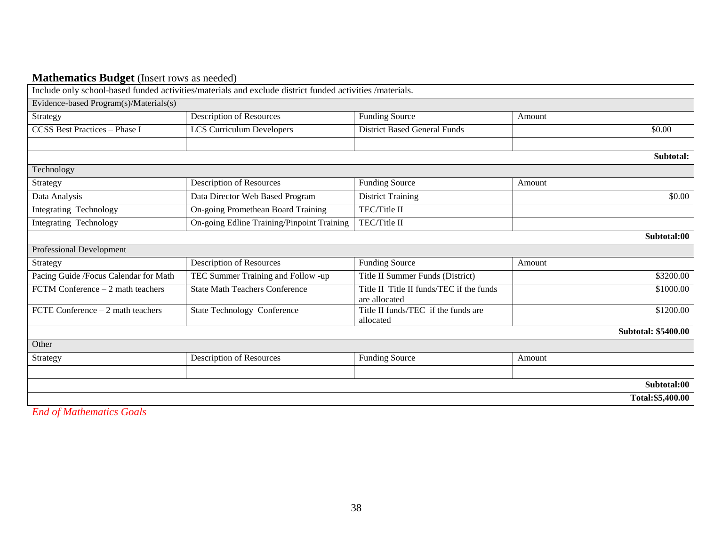| <b>Mathematics Budget</b> (Insert rows as needed) |  |
|---------------------------------------------------|--|
|---------------------------------------------------|--|

|                                        | Include only school-based funded activities/materials and exclude district funded activities /materials. |                                                           |                            |
|----------------------------------------|----------------------------------------------------------------------------------------------------------|-----------------------------------------------------------|----------------------------|
| Evidence-based Program(s)/Materials(s) |                                                                                                          |                                                           |                            |
| Strategy                               | Description of Resources                                                                                 | <b>Funding Source</b>                                     | Amount                     |
| <b>CCSS Best Practices - Phase I</b>   | LCS Curriculum Developers                                                                                | <b>District Based General Funds</b>                       | \$0.00                     |
|                                        |                                                                                                          |                                                           |                            |
|                                        |                                                                                                          |                                                           | Subtotal:                  |
| Technology                             |                                                                                                          |                                                           |                            |
| Strategy                               | <b>Description of Resources</b>                                                                          | <b>Funding Source</b>                                     | Amount                     |
| Data Analysis                          | Data Director Web Based Program                                                                          | <b>District Training</b>                                  | \$0.00                     |
| <b>Integrating Technology</b>          | On-going Promethean Board Training                                                                       | <b>TEC/Title II</b>                                       |                            |
| Integrating Technology                 | On-going Edline Training/Pinpoint Training                                                               | TEC/Title II                                              |                            |
|                                        |                                                                                                          |                                                           | Subtotal:00                |
| Professional Development               |                                                                                                          |                                                           |                            |
| Strategy                               | <b>Description of Resources</b>                                                                          | <b>Funding Source</b>                                     | Amount                     |
| Pacing Guide /Focus Calendar for Math  | TEC Summer Training and Follow -up                                                                       | Title II Summer Funds (District)                          | \$3200.00                  |
| FCTM Conference $-2$ math teachers     | <b>State Math Teachers Conference</b>                                                                    | Title II Title II funds/TEC if the funds<br>are allocated | \$1000.00                  |
| FCTE Conference $-2$ math teachers     | <b>State Technology Conference</b>                                                                       | Title II funds/TEC if the funds are<br>allocated          | \$1200.00                  |
|                                        |                                                                                                          |                                                           | <b>Subtotal: \$5400.00</b> |
| Other                                  |                                                                                                          |                                                           |                            |
| Strategy                               | Description of Resources                                                                                 | <b>Funding Source</b>                                     | Amount                     |
|                                        |                                                                                                          |                                                           | Subtotal:00                |
|                                        |                                                                                                          |                                                           | Total:\$5,400.00           |
|                                        |                                                                                                          |                                                           |                            |

*End of Mathematics Goals*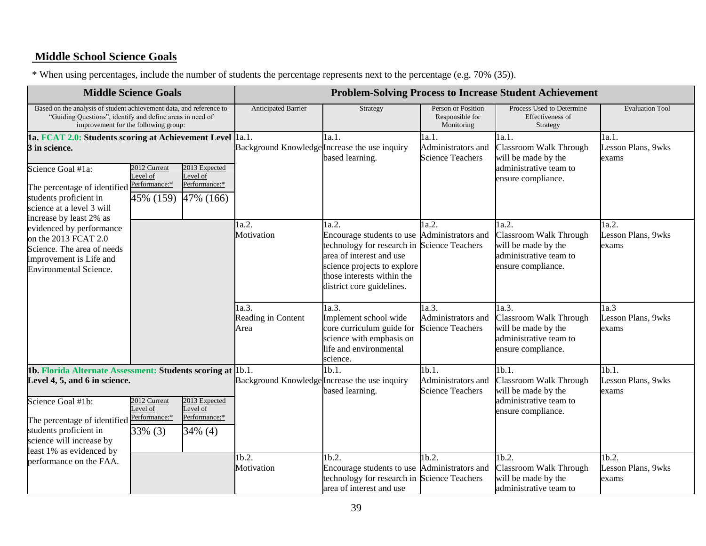# **Middle School Science Goals**

\* When using percentages, include the number of students the percentage represents next to the percentage (e.g. 70% (35)).

|                                                                                                                                                                          | <b>Middle Science Goals</b>               |                                                        | <b>Problem-Solving Process to Increase Student Achievement</b> |                                                                                                                                                                                                                            |                                                        |                                                                                                                      |                                                    |
|--------------------------------------------------------------------------------------------------------------------------------------------------------------------------|-------------------------------------------|--------------------------------------------------------|----------------------------------------------------------------|----------------------------------------------------------------------------------------------------------------------------------------------------------------------------------------------------------------------------|--------------------------------------------------------|----------------------------------------------------------------------------------------------------------------------|----------------------------------------------------|
| Based on the analysis of student achievement data, and reference to<br>"Guiding Questions", identify and define areas in need of<br>improvement for the following group: |                                           |                                                        | Anticipated Barrier                                            | Strategy                                                                                                                                                                                                                   | Person or Position<br>Responsible for<br>Monitoring    | Process Used to Determine<br>Effectiveness of<br>Strategy                                                            | <b>Evaluation Tool</b>                             |
| 1a. FCAT 2.0: Students scoring at Achievement Level 1a.1.<br>3 in science.                                                                                               |                                           |                                                        | Background Knowledge Increase the use inquiry                  | 1a.1.<br>based learning.                                                                                                                                                                                                   | 1a.1.<br>Administrators and<br><b>Science Teachers</b> | 1a.1.<br><b>Classroom Walk Through</b><br>will be made by the                                                        | 1a.1.<br>Lesson Plans, 9wks<br>exams               |
| Science Goal #1a:<br>The percentage of identified Performance:*<br>students proficient in<br>science at a level 3 will<br>increase by least 2% as                        | 2012 Current<br>Level of<br>45% (159)     | 2013 Expected<br>evel of<br>Performance:*<br>47% (166) |                                                                |                                                                                                                                                                                                                            |                                                        | administrative team to<br>ensure compliance.                                                                         |                                                    |
| evidenced by performance<br>on the 2013 FCAT 2.0<br>Science. The area of needs<br>improvement is Life and<br><b>Environmental Science.</b>                               |                                           |                                                        | 1a.2.<br>Motivation                                            | 1a.2.<br>Encourage students to use Administrators and<br>technology for research in Science Teachers<br>area of interest and use<br>science projects to explore<br>those interests within the<br>district core guidelines. | 1a.2.                                                  | $1a.\overline{2}$ .<br>Classroom Walk Through<br>will be made by the<br>administrative team to<br>ensure compliance. | $\overline{1a.2}$ .<br>Lesson Plans, 9wks<br>exams |
|                                                                                                                                                                          |                                           |                                                        | 1a.3.<br>Reading in Content<br>Area                            | 1a.3.<br>Implement school wide<br>core curriculum guide for<br>science with emphasis on<br>life and environmental<br>science.                                                                                              | 1a.3.<br>Administrators and<br><b>Science Teachers</b> | 1a.3.<br>Classroom Walk Through<br>will be made by the<br>administrative team to<br>ensure compliance.               | 1a.3<br>Lesson Plans, 9wks<br>exams                |
| 1b. Florida Alternate Assessment: Students scoring at  1b.1.<br>Level 4, 5, and 6 in science.                                                                            |                                           |                                                        | Background Knowledge Increase the use inquiry                  | 1b.1.<br>based learning.                                                                                                                                                                                                   | 1b.1.<br>Administrators and<br><b>Science Teachers</b> | 1b.1.<br><b>Classroom Walk Through</b><br>will be made by the                                                        | 1b.1.<br>Lesson Plans, 9wks<br>exams               |
| Science Goal #1b:                                                                                                                                                        | 2012 Current<br>Level of<br>Performance:* | 2013 Expected<br>Level of<br>Performance:*             |                                                                |                                                                                                                                                                                                                            |                                                        | administrative team to<br>ensure compliance.                                                                         |                                                    |
| The percentage of identified<br>students proficient in<br>science will increase by<br>least 1% as evidenced by                                                           | 33% (3)                                   | 34% (4)                                                |                                                                |                                                                                                                                                                                                                            |                                                        |                                                                                                                      |                                                    |
| performance on the FAA.                                                                                                                                                  |                                           |                                                        | 1 <sub>b.2</sub><br>Motivation                                 | 1b.2.<br>Encourage students to use Administrators and<br>technology for research in Science Teachers<br>area of interest and use                                                                                           | 1b.2.                                                  | 1b.2.<br><b>Classroom Walk Through</b><br>will be made by the<br>administrative team to                              | $1b.2$ .<br>Lesson Plans, 9wks<br>exams            |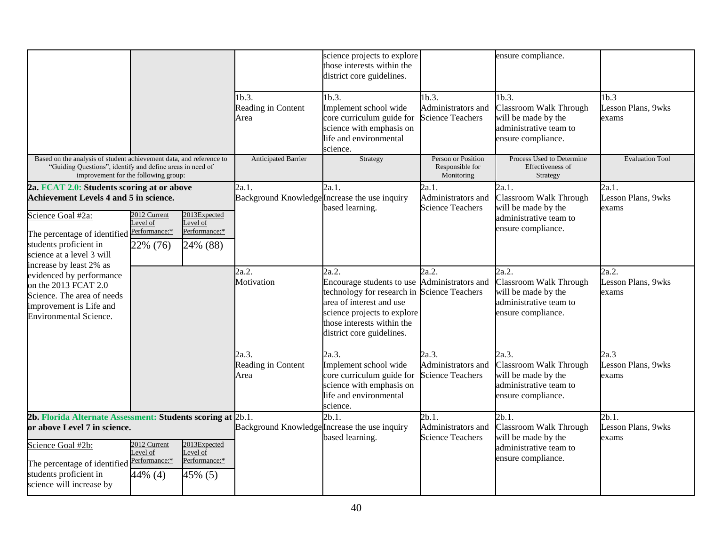|                                                                                                                                                                                                                                                                  |                                                      |                                                       |                                                        | science projects to explore<br>those interests within the<br>district core guidelines.                                                                                                                                     |                                                        | ensure compliance.                                                                                     |                                      |
|------------------------------------------------------------------------------------------------------------------------------------------------------------------------------------------------------------------------------------------------------------------|------------------------------------------------------|-------------------------------------------------------|--------------------------------------------------------|----------------------------------------------------------------------------------------------------------------------------------------------------------------------------------------------------------------------------|--------------------------------------------------------|--------------------------------------------------------------------------------------------------------|--------------------------------------|
|                                                                                                                                                                                                                                                                  |                                                      |                                                       | 1b.3.<br>Reading in Content<br>Area                    | 1b.3.<br>Implement school wide<br>core curriculum guide for<br>science with emphasis on<br>life and environmental<br>science.                                                                                              | 1b.3.<br>Administrators and<br><b>Science Teachers</b> | 1b.3.<br>Classroom Walk Through<br>will be made by the<br>administrative team to<br>ensure compliance. | 1b.3<br>Lesson Plans, 9wks<br>exams  |
| Based on the analysis of student achievement data, and reference to<br>"Guiding Questions", identify and define areas in need of<br>improvement for the following group:                                                                                         |                                                      |                                                       | <b>Anticipated Barrier</b>                             | Strategy                                                                                                                                                                                                                   | Person or Position<br>Responsible for<br>Monitoring    | Process Used to Determine<br>Effectiveness of<br>Strategy                                              | <b>Evaluation Tool</b>               |
| 2a. FCAT 2.0: Students scoring at or above<br><b>Achievement Levels 4 and 5 in science.</b><br>2012 Current<br>Science Goal #2a:<br>Level of<br>Performance:*<br>The percentage of identified<br>students proficient in<br>22% (76)<br>science at a level 3 will |                                                      | 2013Expected<br>Level of<br>Performance:*<br>24% (88) | 2a.1.<br>Background Knowledge Increase the use inquiry | 2a.1.<br>based learning.                                                                                                                                                                                                   | 2a.1.<br>Administrators and<br><b>Science Teachers</b> | 2a.1.<br>Classroom Walk Through<br>will be made by the<br>administrative team to<br>ensure compliance. | 2a.1.<br>Lesson Plans, 9wks<br>exams |
| increase by least 2% as<br>evidenced by performance<br>on the 2013 FCAT 2.0<br>Science. The area of needs<br>improvement is Life and<br><b>Environmental Science.</b>                                                                                            |                                                      |                                                       | 2a.2.<br>Motivation                                    | 2a.2.<br>Encourage students to use Administrators and<br>technology for research in Science Teachers<br>area of interest and use<br>science projects to explore<br>those interests within the<br>district core guidelines. | 2a.2.                                                  | 2a.2.<br>Classroom Walk Through<br>will be made by the<br>administrative team to<br>ensure compliance. | 2a.2.<br>Lesson Plans, 9wks<br>exams |
|                                                                                                                                                                                                                                                                  |                                                      |                                                       | 2a.3.<br>Reading in Content<br>Area                    | 2a.3.<br>Implement school wide<br>core curriculum guide for<br>science with emphasis on<br>life and environmental<br>science.                                                                                              | 2a.3.<br>Administrators and<br><b>Science Teachers</b> | 2a.3.<br>Classroom Walk Through<br>will be made by the<br>administrative team to<br>ensure compliance. | 2a.3<br>Lesson Plans, 9wks<br>exams  |
| 2b. Florida Alternate Assessment: Students scoring at 2b.1.<br>or above Level 7 in science.                                                                                                                                                                      |                                                      | Background Knowledge Increase the use inquiry         | 2b.1<br>based learning.                                | 2b.1.<br>Administrators and<br><b>Science Teachers</b>                                                                                                                                                                     | 2b.1.<br>Classroom Walk Through<br>will be made by the | 2b.1.<br>Lesson Plans, 9wks<br>exams                                                                   |                                      |
| Science Goal #2b:<br>The percentage of identified<br>students proficient in<br>science will increase by                                                                                                                                                          | 2012 Current<br>Level of<br>Performance:*<br>44% (4) | 2013Expected<br>Level of<br>Performance:*<br>45% (5)  |                                                        |                                                                                                                                                                                                                            |                                                        | administrative team to<br>ensure compliance.                                                           |                                      |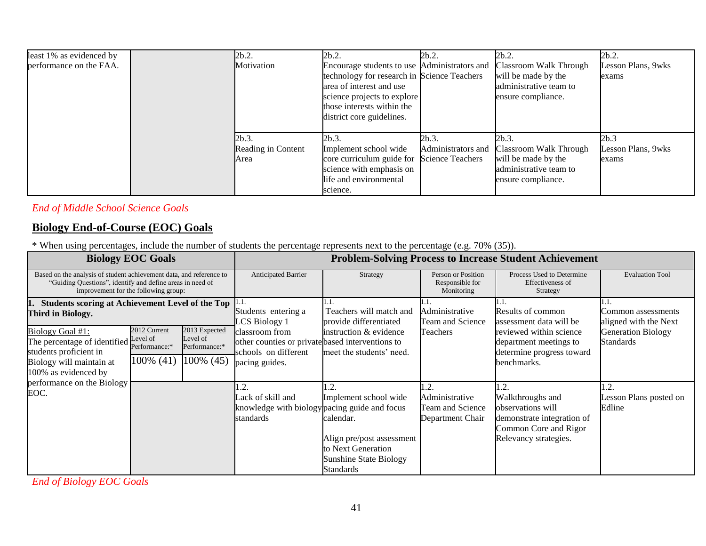| least 1% as evidenced by<br>performance on the FAA. | 2b.2<br>Motivation                     | 2b.2.<br>Encourage students to use Administrators and<br>technology for research in Science Teachers<br>area of interest and use<br>science projects to explore<br>those interests within the<br>district core guidelines. | 2b.2.                       | 2b.2.<br>Classroom Walk Through<br>will be made by the<br>administrative team to<br>ensure compliance. | 2b.2.<br>Lesson Plans, 9wks<br>exams |
|-----------------------------------------------------|----------------------------------------|----------------------------------------------------------------------------------------------------------------------------------------------------------------------------------------------------------------------------|-----------------------------|--------------------------------------------------------------------------------------------------------|--------------------------------------|
|                                                     | $2b.3$ .<br>Reading in Content<br>Area | 2b.3.<br>Implement school wide<br>core curriculum guide for Science Teachers<br>science with emphasis on<br>life and environmental<br>science.                                                                             | 2b.3.<br>Administrators and | 2b.3.<br>Classroom Walk Through<br>will be made by the<br>administrative team to<br>ensure compliance. | 2b.3<br>Lesson Plans, 9wks<br>exams  |

### *End of Middle School Science Goals*

### **Biology End-of-Course (EOC) Goals**

\* When using percentages, include the number of students the percentage represents next to the percentage (e.g. 70% (35)).

| <b>Biology EOC Goals</b>                                                                                                                                                                                                                            |                                               |                                                         | <b>Problem-Solving Process to Increase Student Achievement</b>                                                                                              |                                                                                                                                             |                                                                |                                                                                                                                               |                                                                                              |
|-----------------------------------------------------------------------------------------------------------------------------------------------------------------------------------------------------------------------------------------------------|-----------------------------------------------|---------------------------------------------------------|-------------------------------------------------------------------------------------------------------------------------------------------------------------|---------------------------------------------------------------------------------------------------------------------------------------------|----------------------------------------------------------------|-----------------------------------------------------------------------------------------------------------------------------------------------|----------------------------------------------------------------------------------------------|
| Based on the analysis of student achievement data, and reference to<br>"Guiding Questions", identify and define areas in need of<br>improvement for the following group:                                                                            |                                               |                                                         | Anticipated Barrier                                                                                                                                         | Strategy                                                                                                                                    | Person or Position<br>Responsible for<br>Monitoring            | Process Used to Determine<br>Effectiveness of<br>Strategy                                                                                     | <b>Evaluation Tool</b>                                                                       |
| <b>Students scoring at Achievement Level of the Top</b><br>Third in Biology.<br>Biology Goal #1:<br>The percentage of identified $\frac{\text{Level of}}{\text{Rec}}$<br>students proficient in<br>Biology will maintain at<br>100% as evidenced by | 2012 Current<br>Performance:*<br>$100\%$ (41) | 2013 Expected<br>Level of<br>Performance:*<br>100% (45) | Students entering a<br><b>LCS Biology 1</b><br>classroom from<br>other counties or private based interventions to<br>schools on different<br>pacing guides. | Teachers will match and<br>provide differentiated<br>instruction & evidence<br>meet the students' need.                                     | Administrative<br>Team and Science<br>Teachers                 | Results of common<br>assessment data will be<br>reviewed within science<br>department meetings to<br>determine progress toward<br>benchmarks. | Common assessments<br>aligned with the Next<br><b>Generation Biology</b><br><b>Standards</b> |
| performance on the Biology<br>EOC.                                                                                                                                                                                                                  |                                               |                                                         | .2.<br>Lack of skill and<br>knowledge with biology pacing guide and focus<br>standards                                                                      | 1.2.<br>Implement school wide<br>calendar.<br>Align pre/post assessment<br>to Next Generation<br><b>Sunshine State Biology</b><br>Standards | 1.2.<br>Administrative<br>Team and Science<br>Department Chair | .2.<br>Walkthroughs and<br>observations will<br>demonstrate integration of<br>Common Core and Rigor<br>Relevancy strategies.                  | .2.<br>Lesson Plans posted on<br>Edline                                                      |

*End of Biology EOC Goals*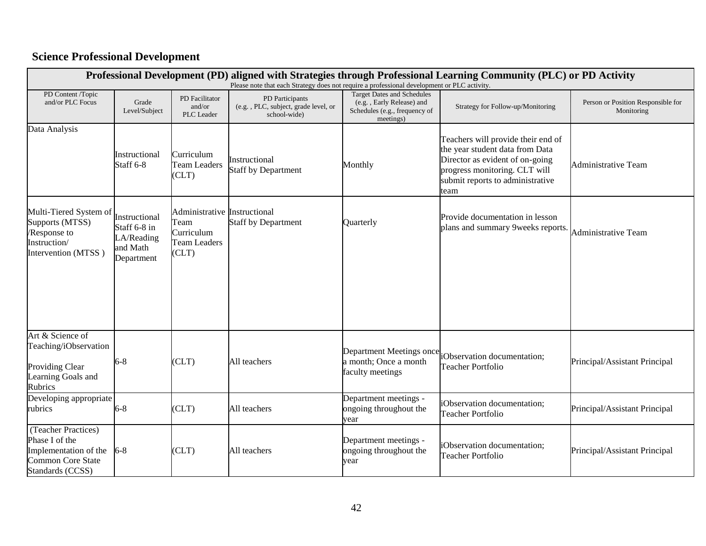# **Science Professional Development**

|                                                                                                                | Professional Development (PD) aligned with Strategies through Professional Learning Community (PLC) or PD Activity<br>Please note that each Strategy does not require a professional development or PLC activity. |                                                                                    |                                                                         |                                                                                                              |                                                                                                                                                                                       |                                                  |  |  |  |
|----------------------------------------------------------------------------------------------------------------|-------------------------------------------------------------------------------------------------------------------------------------------------------------------------------------------------------------------|------------------------------------------------------------------------------------|-------------------------------------------------------------------------|--------------------------------------------------------------------------------------------------------------|---------------------------------------------------------------------------------------------------------------------------------------------------------------------------------------|--------------------------------------------------|--|--|--|
| PD Content /Topic<br>and/or PLC Focus                                                                          | Grade<br>Level/Subject                                                                                                                                                                                            | PD Facilitator<br>and/or<br>PLC Leader                                             | PD Participants<br>(e.g., PLC, subject, grade level, or<br>school-wide) | <b>Target Dates and Schedules</b><br>(e.g., Early Release) and<br>Schedules (e.g., frequency of<br>meetings) | Strategy for Follow-up/Monitoring                                                                                                                                                     | Person or Position Responsible for<br>Monitoring |  |  |  |
| Data Analysis                                                                                                  | Instructional<br>Staff 6-8                                                                                                                                                                                        | Curriculum<br><b>Team Leaders</b><br>CLT)                                          | Instructional<br><b>Staff by Department</b>                             | Monthly                                                                                                      | Teachers will provide their end of<br>the year student data from Data<br>Director as evident of on-going<br>progress monitoring. CLT will<br>submit reports to administrative<br>team | <b>Administrative Team</b>                       |  |  |  |
| Multi-Tiered System of Instructional<br>Supports (MTSS)<br>/Response to<br>Instruction/<br>Intervention (MTSS) | Staff 6-8 in<br>LA/Reading<br>and Math<br>Department                                                                                                                                                              | Administrative Instructional<br>Team<br>Curriculum<br><b>Team Leaders</b><br>(CLT) | <b>Staff by Department</b>                                              | Quarterly                                                                                                    | Provide documentation in lesson<br>plans and summary 9weeks reports.                                                                                                                  | <b>Administrative Team</b>                       |  |  |  |
| Art & Science of<br>Teaching/iObservation<br><b>Providing Clear</b><br>Learning Goals and<br>Rubrics           | $6 - 8$                                                                                                                                                                                                           | CLT)                                                                               | All teachers                                                            | a month; Once a month<br>faculty meetings                                                                    | Department Meetings once iObservation documentation;<br><b>Teacher Portfolio</b>                                                                                                      | Principal/Assistant Principal                    |  |  |  |
| Developing appropriate<br>rubrics                                                                              | $6-8$                                                                                                                                                                                                             | CLT)                                                                               | All teachers                                                            | Department meetings -<br>ongoing throughout the<br>year                                                      | iObservation documentation;<br><b>Teacher Portfolio</b>                                                                                                                               | Principal/Assistant Principal                    |  |  |  |
| (Teacher Practices)<br>Phase I of the<br>Implementation of the<br><b>Common Core State</b><br>Standards (CCSS) | $6-8$                                                                                                                                                                                                             | CLT)                                                                               | All teachers                                                            | Department meetings -<br>ongoing throughout the<br>year                                                      | iObservation documentation;<br><b>Teacher Portfolio</b>                                                                                                                               | Principal/Assistant Principal                    |  |  |  |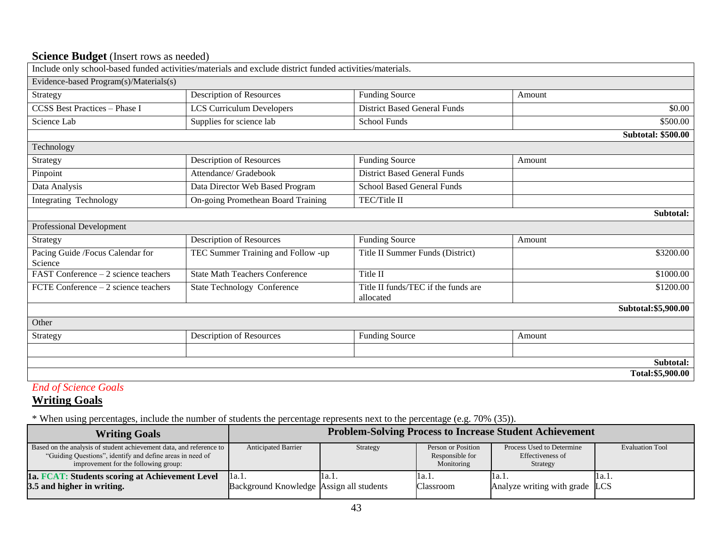### **Science Budget** (Insert rows as needed)

|                                             | Include only school-based funded activities/materials and exclude district funded activities/materials. |                                                  |                           |
|---------------------------------------------|---------------------------------------------------------------------------------------------------------|--------------------------------------------------|---------------------------|
| Evidence-based Program(s)/Materials(s)      |                                                                                                         |                                                  |                           |
| Strategy                                    | <b>Description of Resources</b>                                                                         | <b>Funding Source</b>                            | Amount                    |
| CCSS Best Practices - Phase I               | <b>LCS Curriculum Developers</b>                                                                        | <b>District Based General Funds</b>              | \$0.00                    |
| Science Lab                                 | Supplies for science lab                                                                                | <b>School Funds</b>                              | \$500.00                  |
|                                             |                                                                                                         |                                                  | <b>Subtotal: \$500.00</b> |
| Technology                                  |                                                                                                         |                                                  |                           |
| Strategy                                    | <b>Description of Resources</b>                                                                         | <b>Funding Source</b>                            | Amount                    |
| Pinpoint                                    | Attendance/ Gradebook                                                                                   | <b>District Based General Funds</b>              |                           |
| Data Analysis                               | Data Director Web Based Program                                                                         | <b>School Based General Funds</b>                |                           |
| Integrating Technology                      | On-going Promethean Board Training                                                                      | TEC/Title II                                     |                           |
|                                             |                                                                                                         |                                                  | Subtotal:                 |
| Professional Development                    |                                                                                                         |                                                  |                           |
| Strategy                                    | Description of Resources                                                                                | <b>Funding Source</b>                            | Amount                    |
| Pacing Guide /Focus Calendar for<br>Science | TEC Summer Training and Follow -up                                                                      | Title II Summer Funds (District)                 | \$3200.00                 |
| FAST Conference – 2 science teachers        | <b>State Math Teachers Conference</b>                                                                   | Title II                                         | \$1000.00                 |
| FCTE Conference $-2$ science teachers       | <b>State Technology Conference</b>                                                                      | Title II funds/TEC if the funds are<br>allocated | \$1200.00                 |
|                                             |                                                                                                         |                                                  | Subtotal: \$5,900.00      |
| Other                                       |                                                                                                         |                                                  |                           |
| Strategy                                    | Description of Resources                                                                                | <b>Funding Source</b>                            | Amount                    |
|                                             |                                                                                                         |                                                  |                           |
|                                             |                                                                                                         |                                                  | Subtotal:                 |
|                                             |                                                                                                         |                                                  | Total:\$5,900.00          |

# *End of Science Goals*

### **Writing Goals**

\* When using percentages, include the number of students the percentage represents next to the percentage (e.g. 70% (35)).

| <b>Writing Goals</b>                                                                                                                                                     | <b>Problem-Solving Process to Increase Student Achievement</b> |                                                                                                                                                        |                    |                                           |       |  |
|--------------------------------------------------------------------------------------------------------------------------------------------------------------------------|----------------------------------------------------------------|--------------------------------------------------------------------------------------------------------------------------------------------------------|--------------------|-------------------------------------------|-------|--|
| Based on the analysis of student achievement data, and reference to<br>"Guiding Questions", identify and define areas in need of<br>improvement for the following group: | <b>Anticipated Barrier</b>                                     | Person or Position<br>Process Used to Determine<br><b>Evaluation Tool</b><br>Strategy<br>Effectiveness of<br>Responsible for<br>Monitoring<br>Strategy |                    |                                           |       |  |
| 1a. FCAT: Students scoring at Achievement Level<br>3.5 and higher in writing.                                                                                            | $\Box$ la.1.<br>Background Knowledge Assign all students       | 11 a. l .                                                                                                                                              | 1a.1.<br>Classroom | 11 a. l<br>Analyze writing with grade LCS | la.l. |  |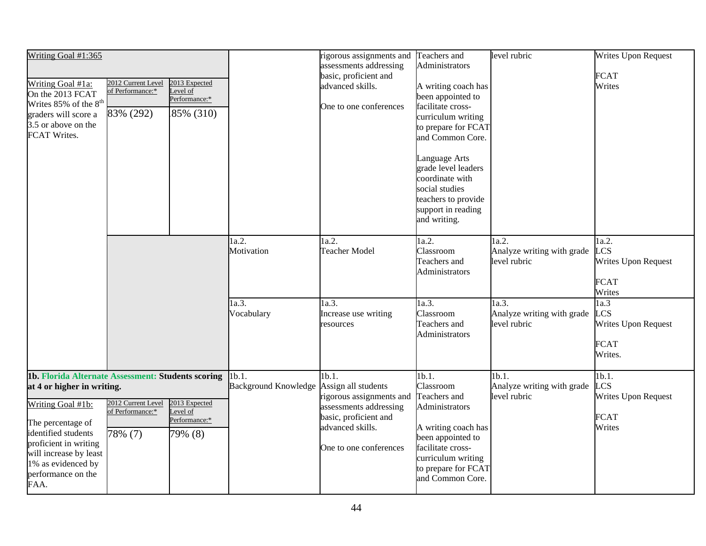| Writing Goal #1:365                                                                                                                                                                                                                                      |                                                     |                                                         |                                                      | rigorous assignments and<br>assessments addressing<br>basic, proficient and                                                        | Teachers and<br>Administrators                                                                                                                                                                                                                                           | level rubric                                                                               | Writes Upon Request<br><b>FCAT</b>                                                        |
|----------------------------------------------------------------------------------------------------------------------------------------------------------------------------------------------------------------------------------------------------------|-----------------------------------------------------|---------------------------------------------------------|------------------------------------------------------|------------------------------------------------------------------------------------------------------------------------------------|--------------------------------------------------------------------------------------------------------------------------------------------------------------------------------------------------------------------------------------------------------------------------|--------------------------------------------------------------------------------------------|-------------------------------------------------------------------------------------------|
| Writing Goal #1a:<br>On the 2013 FCAT<br>Writes $85\%$ of the $8th$<br>graders will score a<br>3.5 or above on the<br><b>FCAT Writes.</b>                                                                                                                | 2012 Current Level<br>of Performance:*<br>83% (292) | 2013 Expected<br>Level of<br>Performance:*<br>85% (310) |                                                      | advanced skills.<br>One to one conferences                                                                                         | A writing coach has<br>been appointed to<br>facilitate cross-<br>curriculum writing<br>to prepare for FCAT<br>and Common Core.<br>Language Arts<br>grade level leaders<br>coordinate with<br>social studies<br>teachers to provide<br>support in reading<br>and writing. |                                                                                            | Writes                                                                                    |
|                                                                                                                                                                                                                                                          |                                                     |                                                         | 1a.2.<br>Motivation<br>1a.3.<br>Vocabulary           | 1a.2.<br><b>Teacher Model</b><br>1a.3.<br>Increase use writing                                                                     | 1a.2.<br>Classroom<br>Teachers and<br>Administrators<br>1a.3.<br>Classroom                                                                                                                                                                                               | 1a.2.<br>Analyze writing with grade<br>level rubric<br>1a.3.<br>Analyze writing with grade | 1a.2.<br><b>LCS</b><br>Writes Upon Request<br><b>FCAT</b><br>Writes<br>1a.3<br><b>LCS</b> |
|                                                                                                                                                                                                                                                          |                                                     |                                                         |                                                      | resources                                                                                                                          | Teachers and<br>Administrators                                                                                                                                                                                                                                           | level rubric                                                                               | Writes Upon Request<br><b>FCAT</b><br>Writes.                                             |
| 1b. Florida Alternate Assessment: Students scoring<br>at 4 or higher in writing.<br>Writing Goal #1b:<br>The percentage of<br>identified students<br>proficient in writing<br>will increase by least<br>1% as evidenced by<br>performance on the<br>FAA. | 2012 Current Level<br>of Performance:*<br>78% (7)   | 2013 Expected<br>evel of<br>Performance:*<br>79% (8)    | $1b.1$ .<br>Background Knowledge Assign all students | 1b.1.<br>rigorous assignments and<br>assessments addressing<br>basic, proficient and<br>advanced skills.<br>One to one conferences | 1b.1.<br>Classroom<br>Teachers and<br>Administrators<br>A writing coach has<br>been appointed to<br>facilitate cross-<br>curriculum writing<br>to prepare for FCAT<br>and Common Core.                                                                                   | 1b.1.<br>Analyze writing with grade<br>level rubric                                        | 1b.1.<br><b>LCS</b><br>Writes Upon Request<br><b>FCAT</b><br>Writes                       |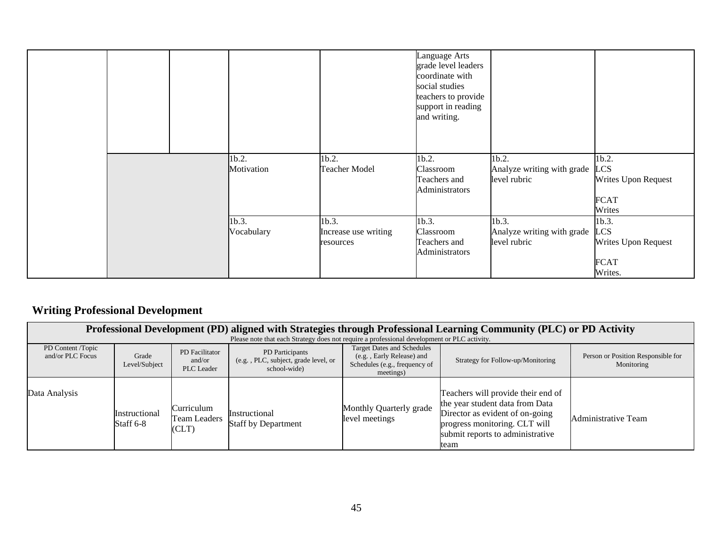|  |            |                      | Language Arts<br>grade level leaders<br>coordinate with<br>social studies<br>teachers to provide<br>support in reading<br>and writing. |                            |                     |
|--|------------|----------------------|----------------------------------------------------------------------------------------------------------------------------------------|----------------------------|---------------------|
|  | 1b.2.      | 1b.2.                | 1b.2.                                                                                                                                  | 1b.2.                      | 1b.2.               |
|  | Motivation | <b>Teacher Model</b> | Classroom                                                                                                                              | Analyze writing with grade | <b>LCS</b>          |
|  |            |                      | Teachers and                                                                                                                           | level rubric               | Writes Upon Request |
|  |            |                      | Administrators                                                                                                                         |                            |                     |
|  |            |                      |                                                                                                                                        |                            | <b>FCAT</b>         |
|  |            |                      |                                                                                                                                        |                            | Writes              |
|  | 1b.3.      | 1b.3.                | 1b.3.                                                                                                                                  | 1b.3.                      | 1b.3.               |
|  | Vocabulary | Increase use writing | Classroom                                                                                                                              | Analyze writing with grade | <b>LCS</b>          |
|  |            | resources            | Teachers and                                                                                                                           | level rubric               | Writes Upon Request |
|  |            |                      | Administrators                                                                                                                         |                            |                     |
|  |            |                      |                                                                                                                                        |                            | <b>FCAT</b>         |
|  |            |                      |                                                                                                                                        |                            | Writes.             |

# **Writing Professional Development**

|                                       | Professional Development (PD) aligned with Strategies through Professional Learning Community (PLC) or PD Activity<br>Please note that each Strategy does not require a professional development or PLC activity. |                                        |                                                                         |                                                                                                              |                                                                                                                                                                                       |                                                  |  |  |  |  |
|---------------------------------------|-------------------------------------------------------------------------------------------------------------------------------------------------------------------------------------------------------------------|----------------------------------------|-------------------------------------------------------------------------|--------------------------------------------------------------------------------------------------------------|---------------------------------------------------------------------------------------------------------------------------------------------------------------------------------------|--------------------------------------------------|--|--|--|--|
| PD Content /Topic<br>and/or PLC Focus | Grade<br>Level/Subject                                                                                                                                                                                            | PD Facilitator<br>and/or<br>PLC Leader | PD Participants<br>(e.g., PLC, subject, grade level, or<br>school-wide) | <b>Target Dates and Schedules</b><br>(e.g., Early Release) and<br>Schedules (e.g., frequency of<br>meetings) | Strategy for Follow-up/Monitoring                                                                                                                                                     | Person or Position Responsible for<br>Monitoring |  |  |  |  |
| Data Analysis                         | Instructional<br>Staff 6-8                                                                                                                                                                                        | Curriculum<br>Team Leaders<br>(CLT)    | Instructional<br><b>Staff by Department</b>                             | Monthly Quarterly grade<br>level meetings                                                                    | Teachers will provide their end of<br>the year student data from Data<br>Director as evident of on-going<br>progress monitoring. CLT will<br>submit reports to administrative<br>team | <b>Administrative Team</b>                       |  |  |  |  |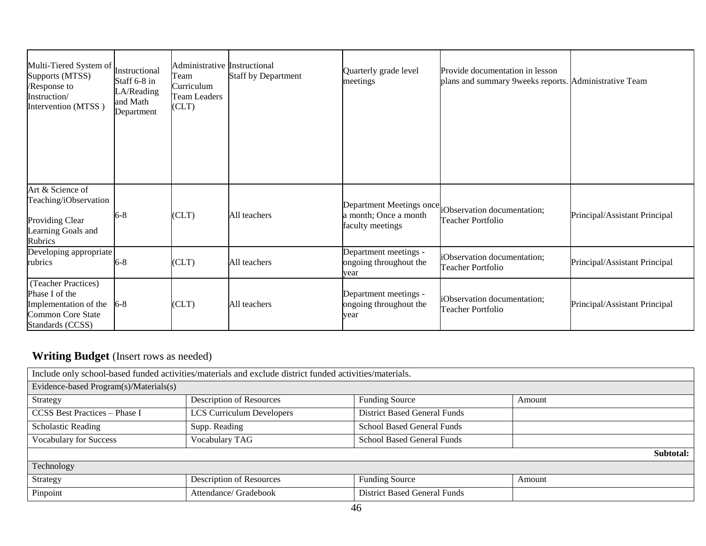| Multi-Tiered System of<br>Supports (MTSS)<br>/Response to<br>Instruction/<br>Intervention (MTSS)               | Instructional<br>Staff 6-8 in<br>LA/Reading<br>and Math<br>Department | Administrative Instructional<br>Геаm<br>Curriculum<br>Team Leaders<br>CLT) | <b>Staff by Department</b> | Quarterly grade level<br>meetings                                     | Provide documentation in lesson<br>plans and summary 9 weeks reports. Administrative Team |                               |
|----------------------------------------------------------------------------------------------------------------|-----------------------------------------------------------------------|----------------------------------------------------------------------------|----------------------------|-----------------------------------------------------------------------|-------------------------------------------------------------------------------------------|-------------------------------|
| Art & Science of<br>Teaching/iObservation<br><b>Providing Clear</b><br>Learning Goals and<br>Rubrics           | $6 - 8$                                                               | CLT)                                                                       | All teachers               | Department Meetings once<br>a month; Once a month<br>faculty meetings | iObservation documentation;<br>Teacher Portfolio                                          | Principal/Assistant Principal |
| Developing appropriate<br>rubrics                                                                              | $6 - 8$                                                               | CLT)                                                                       | All teachers               | Department meetings -<br>ongoing throughout the<br>year               | iObservation documentation;<br><b>Teacher Portfolio</b>                                   | Principal/Assistant Principal |
| (Teacher Practices)<br>Phase I of the<br>Implementation of the<br><b>Common Core State</b><br>Standards (CCSS) | $6 - 8$                                                               | CLT)                                                                       | All teachers               | Department meetings -<br>ongoing throughout the<br>year               | iObservation documentation;<br>Teacher Portfolio                                          | Principal/Assistant Principal |

# **Writing Budget** (Insert rows as needed)

|                                        | Include only school-based funded activities/materials and exclude district funded activities/materials. |                                     |           |  |  |  |  |  |
|----------------------------------------|---------------------------------------------------------------------------------------------------------|-------------------------------------|-----------|--|--|--|--|--|
| Evidence-based Program(s)/Materials(s) |                                                                                                         |                                     |           |  |  |  |  |  |
| Strategy                               | Description of Resources                                                                                | <b>Funding Source</b>               | Amount    |  |  |  |  |  |
| CCSS Best Practices - Phase I          | <b>LCS Curriculum Developers</b>                                                                        | <b>District Based General Funds</b> |           |  |  |  |  |  |
| <b>Scholastic Reading</b>              | <b>School Based General Funds</b><br>Supp. Reading                                                      |                                     |           |  |  |  |  |  |
| <b>Vocabulary for Success</b>          | Vocabulary TAG                                                                                          | <b>School Based General Funds</b>   |           |  |  |  |  |  |
|                                        |                                                                                                         |                                     | Subtotal: |  |  |  |  |  |
| Technology                             |                                                                                                         |                                     |           |  |  |  |  |  |
| Strategy                               | <b>Description of Resources</b><br><b>Funding Source</b><br>Amount                                      |                                     |           |  |  |  |  |  |
| Pinpoint                               | <b>District Based General Funds</b><br>Attendance/ Gradebook                                            |                                     |           |  |  |  |  |  |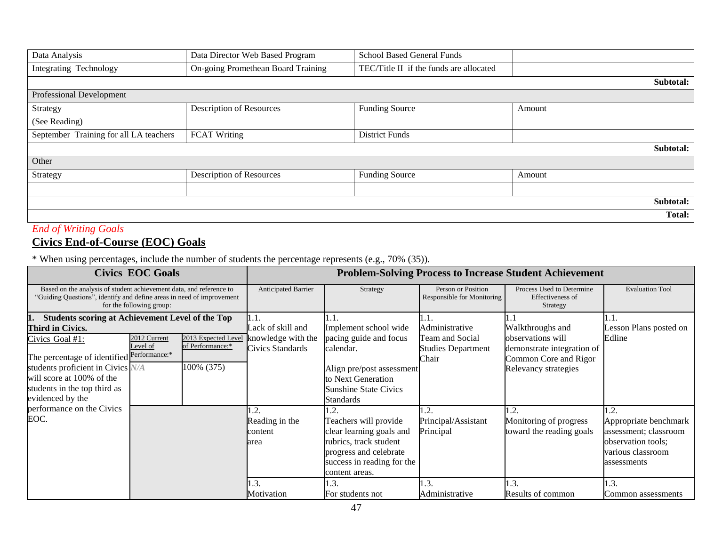| Data Analysis                          | Data Director Web Based Program    | <b>School Based General Funds</b>       |           |
|----------------------------------------|------------------------------------|-----------------------------------------|-----------|
| Integrating Technology                 | On-going Promethean Board Training | TEC/Title II if the funds are allocated |           |
|                                        |                                    |                                         | Subtotal: |
| Professional Development               |                                    |                                         |           |
| Strategy                               | Description of Resources           | <b>Funding Source</b>                   | Amount    |
| (See Reading)                          |                                    |                                         |           |
| September Training for all LA teachers | <b>FCAT Writing</b>                | <b>District Funds</b>                   |           |
|                                        |                                    |                                         | Subtotal: |
| Other                                  |                                    |                                         |           |
| Strategy                               | Description of Resources           | <b>Funding Source</b>                   | Amount    |
|                                        |                                    |                                         |           |
|                                        |                                    |                                         | Subtotal: |
|                                        |                                    |                                         | Total:    |

# *End of Writing Goals*

### **Civics End-of-Course (EOC) Goals**

|                                                                                                                                                                                     | <b>Civics EOC Goals</b>  |                                                       |                                           |                                                                                                                                                               |                                                       | <b>Problem-Solving Process to Increase Student Achievement</b>                                   |                                                                                                                  |
|-------------------------------------------------------------------------------------------------------------------------------------------------------------------------------------|--------------------------|-------------------------------------------------------|-------------------------------------------|---------------------------------------------------------------------------------------------------------------------------------------------------------------|-------------------------------------------------------|--------------------------------------------------------------------------------------------------|------------------------------------------------------------------------------------------------------------------|
| Based on the analysis of student achievement data, and reference to<br>"Guiding Questions", identify and define areas in need of improvement<br>for the following group:            |                          |                                                       | Anticipated Barrier                       | Strategy                                                                                                                                                      | Person or Position<br>Responsible for Monitoring      | Process Used to Determine<br>Effectiveness of<br>Strategy                                        | <b>Evaluation Tool</b>                                                                                           |
| Students scoring at Achievement Level of the Top<br>11.<br>Third in Civics.                                                                                                         |                          |                                                       | 1.1.<br>Lack of skill and                 | 1.1.<br>Implement school wide                                                                                                                                 | 11.1.<br>Administrative                               | 1. .<br>Walkthroughs and                                                                         | 11.1.<br>Lesson Plans posted on                                                                                  |
| Civics Goal #1:<br>The percentage of identified Performance:*<br>students proficient in Civics N/A<br>will score at 100% of the<br>students in the top third as<br>evidenced by the | 2012 Current<br>Level of | 2013 Expected Level<br>of Performance:*<br>100% (375) | knowledge with the<br>Civics Standards    | pacing guide and focus<br>calendar.<br>Align pre/post assessment<br>to Next Generation<br><b>Sunshine State Civics</b><br>Standards                           | Team and Social<br><b>Studies Department</b><br>Chair | observations will<br>demonstrate integration of<br>Common Core and Rigor<br>Relevancy strategies | Edline                                                                                                           |
| performance on the Civics<br>EOC.                                                                                                                                                   |                          |                                                       | 1.2.<br>Reading in the<br>content<br>area | 1.2.<br>Teachers will provide<br>clear learning goals and<br>rubrics, track student<br>progress and celebrate<br>success in reading for the<br>content areas. | 1.2.<br>Principal/Assistant<br>Principal              | 1.2.<br>Monitoring of progress<br>toward the reading goals                                       | 1.2.<br>Appropriate benchmark<br>assessment; classroom<br>observation tools;<br>various classroom<br>assessments |
|                                                                                                                                                                                     |                          |                                                       | 1.3.<br>Motivation                        | 1.3.<br>For students not                                                                                                                                      | 1.3.<br>Administrative                                | 1.3.<br>Results of common                                                                        | 1.3.<br>Common assessments                                                                                       |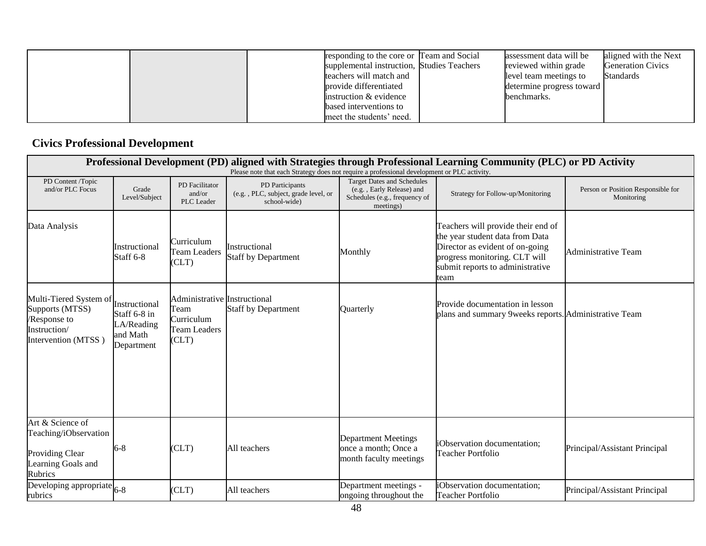|  | responding to the core or Team and Social  | assessment data will be   | aligned with the Next    |
|--|--------------------------------------------|---------------------------|--------------------------|
|  | supplemental instruction, Studies Teachers | reviewed within grade     | <b>Generation Civics</b> |
|  |                                            |                           |                          |
|  | teachers will match and                    | level team meetings to    | <b>Standards</b>         |
|  | provide differentiated                     | determine progress toward |                          |
|  | instruction & evidence                     | benchmarks.               |                          |
|  | based interventions to                     |                           |                          |
|  | meet the students' need.                   |                           |                          |

# **Civics Professional Development**

|                                                                                                             | Professional Development (PD) aligned with Strategies through Professional Learning Community (PLC) or PD Activity<br>Please note that each Strategy does not require a professional development or PLC activity. |                                                                             |                                                                         |                                                                                                              |                                                                                                                                                                                       |                                                  |  |  |  |
|-------------------------------------------------------------------------------------------------------------|-------------------------------------------------------------------------------------------------------------------------------------------------------------------------------------------------------------------|-----------------------------------------------------------------------------|-------------------------------------------------------------------------|--------------------------------------------------------------------------------------------------------------|---------------------------------------------------------------------------------------------------------------------------------------------------------------------------------------|--------------------------------------------------|--|--|--|
| PD Content /Topic<br>and/or PLC Focus                                                                       | Grade<br>Level/Subject                                                                                                                                                                                            | PD Facilitator<br>and/or<br>PLC Leader                                      | PD Participants<br>(e.g., PLC, subject, grade level, or<br>school-wide) | <b>Target Dates and Schedules</b><br>(e.g., Early Release) and<br>Schedules (e.g., frequency of<br>meetings) | Strategy for Follow-up/Monitoring                                                                                                                                                     | Person or Position Responsible for<br>Monitoring |  |  |  |
| Data Analysis                                                                                               | Instructional<br>Staff 6-8                                                                                                                                                                                        | Curriculum<br><b>Team Leaders</b><br>CLT)                                   | Instructional<br><b>Staff by Department</b>                             | Monthly                                                                                                      | Teachers will provide their end of<br>the year student data from Data<br>Director as evident of on-going<br>progress monitoring. CLT will<br>submit reports to administrative<br>team | <b>Administrative Team</b>                       |  |  |  |
| Multi-Tiered System of<br>Supports (MTSS)<br>/Response to<br>Instruction/<br>Intervention (MTSS)            | Instructional<br>Staff 6-8 in<br>LA/Reading<br>and Math<br>Department                                                                                                                                             | Administrative Instructional<br>Team<br>Curriculum<br>Team Leaders<br>(CLT) | <b>Staff by Department</b>                                              | Quarterly                                                                                                    | Provide documentation in lesson<br>plans and summary 9weeks reports. Administrative Team                                                                                              |                                                  |  |  |  |
| Art & Science of<br>Teaching/iObservation<br><b>Providing Clear</b><br>Learning Goals and<br><b>Rubrics</b> | 6-8                                                                                                                                                                                                               | CLT)                                                                        | All teachers                                                            | <b>Department Meetings</b><br>once a month; Once a<br>month faculty meetings                                 | iObservation documentation;<br><b>Teacher Portfolio</b>                                                                                                                               | Principal/Assistant Principal                    |  |  |  |
| Developing appropriate $6-8$<br>rubrics                                                                     |                                                                                                                                                                                                                   | CLT)                                                                        | All teachers                                                            | Department meetings -<br>ongoing throughout the                                                              | Observation documentation;<br>Teacher Portfolio                                                                                                                                       | Principal/Assistant Principal                    |  |  |  |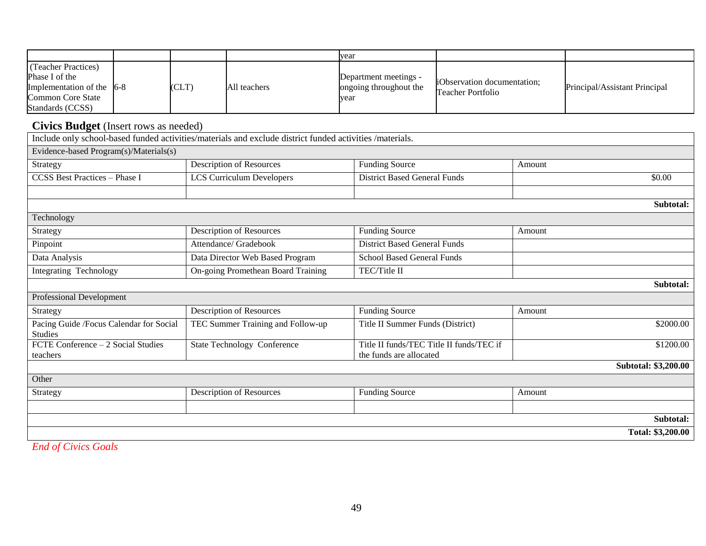|                                                                                                               |      |              | year                                                    |                                                  |                               |
|---------------------------------------------------------------------------------------------------------------|------|--------------|---------------------------------------------------------|--------------------------------------------------|-------------------------------|
| (Teacher Practices)<br>Phase I of the<br>Implementation of the $6-8$<br>Common Core State<br>Standards (CCSS) | CLT) | All teachers | Department meetings -<br>ongoing throughout the<br>vear | iObservation documentation;<br>Teacher Portfolio | Principal/Assistant Principal |

#### **Civics Budget** (Insert rows as needed)

Include only school-based funded activities/materials and exclude district funded activities /materials. Evidence-based Program(s)/Materials(s) Strategy Description of Resources Funding Source Amount CCSS Best Practices – Phase I LCS Curriculum Developers District Based General Funds \$0.00 **Subtotal: Technology** Strategy Description of Resources Funding Source Amount Pinpoint Attendance/ Gradebook District Based General Funds Data Analysis Data Director Web Based Program School Based General Funds Integrating Technology **On-going Promethean Board Training TEC/Title II Subtotal:** Professional Development Strategy Description of Resources Funding Source Amount Pacing Guide /Focus Calendar for Social Studies TEC Summer Training and Follow-up Title II Summer Funds (District) \$2000.00 FCTE Conference – 2 Social Studies teachers State Technology Conference Title II funds/TEC Title II funds/TEC if the funds are allocated \$1200.00 **Subtotal: \$3,200.00 Other** Strategy Description of Resources Funding Source Amount **Subtotal: Total: \$3,200.00**

*End of Civics Goals*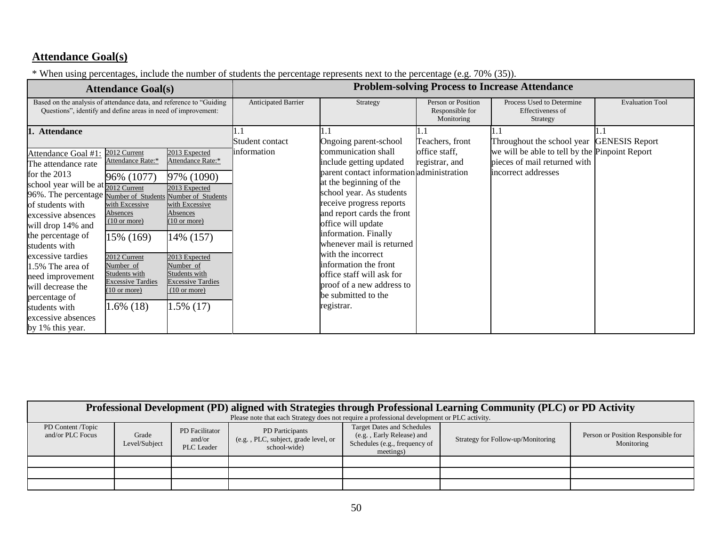### **Attendance Goal(s)**

\* When using percentages, include the number of students the percentage represents next to the percentage (e.g. 70% (35)).

|                                                                                                                                                                                                                                                    | <b>Attendance Goal(s)</b>                                                                                                                                     |                                                                                                                                        |                                | <b>Problem-solving Process to Increase Attendance</b>                                                                                                                                                                                                                               |                                                     |                                                                                                                                                    |                        |  |
|----------------------------------------------------------------------------------------------------------------------------------------------------------------------------------------------------------------------------------------------------|---------------------------------------------------------------------------------------------------------------------------------------------------------------|----------------------------------------------------------------------------------------------------------------------------------------|--------------------------------|-------------------------------------------------------------------------------------------------------------------------------------------------------------------------------------------------------------------------------------------------------------------------------------|-----------------------------------------------------|----------------------------------------------------------------------------------------------------------------------------------------------------|------------------------|--|
| Based on the analysis of attendance data, and reference to "Guiding"<br>Questions", identify and define areas in need of improvement:                                                                                                              |                                                                                                                                                               |                                                                                                                                        | Anticipated Barrier            | Strategy                                                                                                                                                                                                                                                                            | Person or Position<br>Responsible for<br>Monitoring | Process Used to Determine<br>Effectiveness of<br>Strategy                                                                                          | <b>Evaluation Tool</b> |  |
| 1. Attendance<br>Attendance Goal #1<br>The attendance rate<br>for the $2013$<br>school year will be at $\frac{1}{2012 \text{ Current}}$<br>96%. The percentage<br>of students with<br>excessive absences<br>will drop 14% and<br>the percentage of | 2012 Current<br>Attendance Rate:*<br>96% (1077)<br>Number of Students Number of Students<br>with Excessive<br>Absences<br>$(10 \text{ or more})$<br>15% (169) | 2013 Expected<br>Attendance Rate:*<br>97% (1090)<br>2013 Expected<br>with Excessive<br>Absences<br>$(10 \text{ or more})$<br>14% (157) | Student contact<br>information | Ongoing parent-school<br>communication shall<br>include getting updated<br>parent contact information administration<br>at the beginning of the<br>school year. As students<br>receive progress reports<br>and report cards the front<br>office will update<br>information. Finally | Teachers, front<br>office staff,<br>registrar, and  | Throughout the school year GENESIS Report<br>we will be able to tell by the Pinpoint Report<br>pieces of mail returned with<br>incorrect addresses |                        |  |
| students with<br>excessive tardies<br>1.5% The area of<br>need improvement<br>will decrease the<br>percentage of<br>students with<br>excessive absences<br>by 1% this year.                                                                        | 2012 Current<br>Number of<br>Students with<br><b>Excessive Tardies</b><br>$(10 \text{ or more})$<br>1.6% (18)                                                 | 2013 Expected<br>Number of<br>Students with<br><b>Excessive Tardies</b><br>$(10 \text{ or more})$<br>1.5% (17)                         |                                | whenever mail is returned<br>with the incorrect<br>information the front<br>office staff will ask for<br>proof of a new address to<br>be submitted to the<br>registrar.                                                                                                             |                                                     |                                                                                                                                                    |                        |  |

| Professional Development (PD) aligned with Strategies through Professional Learning Community (PLC) or PD Activity<br>Please note that each Strategy does not require a professional development or PLC activity. |                        |                                        |                                                                        |                                                                                                              |                                   |                                                  |  |  |  |
|-------------------------------------------------------------------------------------------------------------------------------------------------------------------------------------------------------------------|------------------------|----------------------------------------|------------------------------------------------------------------------|--------------------------------------------------------------------------------------------------------------|-----------------------------------|--------------------------------------------------|--|--|--|
| PD Content /Topic<br>and/or PLC Focus                                                                                                                                                                             | Grade<br>Level/Subject | PD Facilitator<br>and/or<br>PLC Leader | PD Participants<br>(e.g., PLC, subject, grade level, or<br>school-wide | <b>Target Dates and Schedules</b><br>(e.g., Early Release) and<br>Schedules (e.g., frequency of<br>meetings) | Strategy for Follow-up/Monitoring | Person or Position Responsible for<br>Monitoring |  |  |  |
|                                                                                                                                                                                                                   |                        |                                        |                                                                        |                                                                                                              |                                   |                                                  |  |  |  |
|                                                                                                                                                                                                                   |                        |                                        |                                                                        |                                                                                                              |                                   |                                                  |  |  |  |
|                                                                                                                                                                                                                   |                        |                                        |                                                                        |                                                                                                              |                                   |                                                  |  |  |  |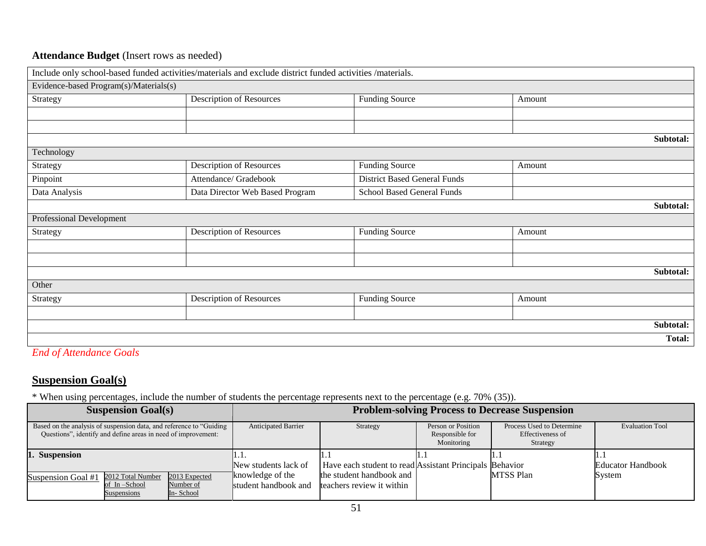### **Attendance Budget** (Insert rows as needed)

|                                        | Include only school-based funded activities/materials and exclude district funded activities /materials. |                                     |        |           |
|----------------------------------------|----------------------------------------------------------------------------------------------------------|-------------------------------------|--------|-----------|
| Evidence-based Program(s)/Materials(s) |                                                                                                          |                                     |        |           |
| Strategy                               | <b>Description of Resources</b>                                                                          | <b>Funding Source</b>               | Amount |           |
|                                        |                                                                                                          |                                     |        |           |
|                                        |                                                                                                          |                                     |        |           |
|                                        |                                                                                                          |                                     |        | Subtotal: |
| Technology                             |                                                                                                          |                                     |        |           |
| Strategy                               | <b>Description of Resources</b>                                                                          | <b>Funding Source</b>               | Amount |           |
| Pinpoint                               | Attendance/ Gradebook                                                                                    | <b>District Based General Funds</b> |        |           |
| Data Analysis                          | Data Director Web Based Program                                                                          | <b>School Based General Funds</b>   |        |           |
|                                        |                                                                                                          |                                     |        | Subtotal: |
| Professional Development               |                                                                                                          |                                     |        |           |
| Strategy                               | <b>Description of Resources</b>                                                                          | <b>Funding Source</b>               | Amount |           |
|                                        |                                                                                                          |                                     |        |           |
|                                        |                                                                                                          |                                     |        |           |
|                                        |                                                                                                          |                                     |        | Subtotal: |
| Other                                  |                                                                                                          |                                     |        |           |
| Strategy                               | <b>Description of Resources</b>                                                                          | <b>Funding Source</b>               | Amount |           |
|                                        |                                                                                                          |                                     |        |           |
|                                        |                                                                                                          |                                     |        | Subtotal: |
|                                        |                                                                                                          |                                     |        | Total:    |

### *End of Attendance Goals*

### **Suspension Goal(s)**

\* When using percentages, include the number of students the percentage represents next to the percentage (e.g. 70% (35)).

| <b>Suspension Goal(s)</b>                                                                                                             |                            | <b>Problem-solving Process to Decrease Suspension</b>   |                                       |                                               |                          |  |  |
|---------------------------------------------------------------------------------------------------------------------------------------|----------------------------|---------------------------------------------------------|---------------------------------------|-----------------------------------------------|--------------------------|--|--|
| Based on the analysis of suspension data, and reference to "Guiding"<br>Questions", identify and define areas in need of improvement: | <b>Anticipated Barrier</b> | Strategy                                                | Person or Position<br>Responsible for | Process Used to Determine<br>Effectiveness of | <b>Evaluation Tool</b>   |  |  |
|                                                                                                                                       |                            |                                                         | Monitoring                            | Strategy                                      |                          |  |  |
| Suspension                                                                                                                            | 1.1.                       |                                                         |                                       |                                               | 1.1                      |  |  |
|                                                                                                                                       | New students lack of       | Have each student to read Assistant Principals Behavior |                                       |                                               | <b>Educator Handbook</b> |  |  |
| 2012 Total Number<br>2013 Expected<br>Suspension Goal #1                                                                              | knowledge of the           | the student handbook and                                |                                       | MTSS Plan                                     | System                   |  |  |
| of In-School<br>Number of<br>In-School<br>Suspensions                                                                                 | student handbook and       | teachers review it within                               |                                       |                                               |                          |  |  |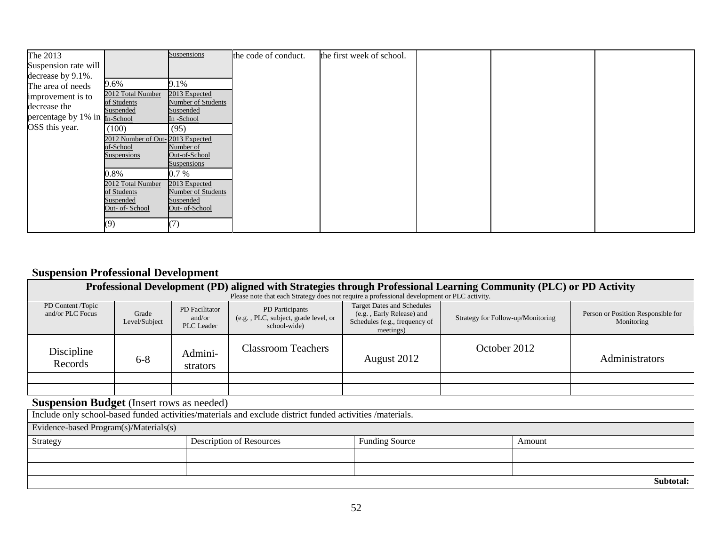| The 2013                             |                                  | Suspensions                | the code of conduct. | the first week of school. |  |  |
|--------------------------------------|----------------------------------|----------------------------|----------------------|---------------------------|--|--|
| Suspension rate will                 |                                  |                            |                      |                           |  |  |
| decrease by 9.1%.                    |                                  |                            |                      |                           |  |  |
| The area of needs                    | 9.6%                             | 9.1%                       |                      |                           |  |  |
| improvement is to                    | 2012 Total Number                | 2013 Expected              |                      |                           |  |  |
| decrease the                         | of Students                      | Number of Students         |                      |                           |  |  |
| percentage by 1% in <b>In-School</b> | Suspended                        | Suspended                  |                      |                           |  |  |
| OSS this year.                       |                                  | In -School                 |                      |                           |  |  |
|                                      | (100)                            | (95)                       |                      |                           |  |  |
|                                      | 2012 Number of Out-2013 Expected |                            |                      |                           |  |  |
|                                      | of-School                        | Number of<br>Out-of-School |                      |                           |  |  |
|                                      | Suspensions                      | <u>Suspensions</u>         |                      |                           |  |  |
|                                      | $0.8\%$                          | $0.7\%$                    |                      |                           |  |  |
|                                      | 2012 Total Number                | 2013 Expected              |                      |                           |  |  |
|                                      | of Students                      | Number of Students         |                      |                           |  |  |
|                                      | Suspended                        | Suspended                  |                      |                           |  |  |
|                                      | Out- of-School                   | Out- of-School             |                      |                           |  |  |
|                                      | (9)                              | (7)                        |                      |                           |  |  |

# **Suspension Professional Development**

| Professional Development (PD) aligned with Strategies through Professional Learning Community (PLC) or PD Activity |                                                                                             |                                               |                                                                        |                                                                                                              |                                   |                                                  |  |  |  |  |  |
|--------------------------------------------------------------------------------------------------------------------|---------------------------------------------------------------------------------------------|-----------------------------------------------|------------------------------------------------------------------------|--------------------------------------------------------------------------------------------------------------|-----------------------------------|--------------------------------------------------|--|--|--|--|--|
|                                                                                                                    | Please note that each Strategy does not require a professional development or PLC activity. |                                               |                                                                        |                                                                                                              |                                   |                                                  |  |  |  |  |  |
| PD Content /Topic<br>and/or PLC Focus                                                                              | Grade<br>Level/Subject                                                                      | PD Facilitator<br>and/or<br><b>PLC</b> Leader | PD Participants<br>(e.g., PLC, subject, grade level, or<br>school-wide | <b>Target Dates and Schedules</b><br>(e.g., Early Release) and<br>Schedules (e.g., frequency of<br>meetings) | Strategy for Follow-up/Monitoring | Person or Position Responsible for<br>Monitoring |  |  |  |  |  |
| Discipline<br>Records                                                                                              | $6 - 8$                                                                                     | Admini-<br>strators                           | <b>Classroom Teachers</b>                                              | August 2012                                                                                                  | October 2012                      | Administrators                                   |  |  |  |  |  |
|                                                                                                                    |                                                                                             |                                               |                                                                        |                                                                                                              |                                   |                                                  |  |  |  |  |  |
|                                                                                                                    |                                                                                             |                                               |                                                                        |                                                                                                              |                                   |                                                  |  |  |  |  |  |

### **Suspension Budget** (Insert rows as needed)

| Include only school-based funded activities/materials and exclude district funded activities /materials. |                                 |                       |        |  |  |  |  |  |
|----------------------------------------------------------------------------------------------------------|---------------------------------|-----------------------|--------|--|--|--|--|--|
| Evidence-based Program(s)/Materials(s)                                                                   |                                 |                       |        |  |  |  |  |  |
| Strategy                                                                                                 | <b>Description of Resources</b> | <b>Funding Source</b> | Amount |  |  |  |  |  |
|                                                                                                          |                                 |                       |        |  |  |  |  |  |
|                                                                                                          |                                 |                       |        |  |  |  |  |  |
|                                                                                                          | Subtotal:                       |                       |        |  |  |  |  |  |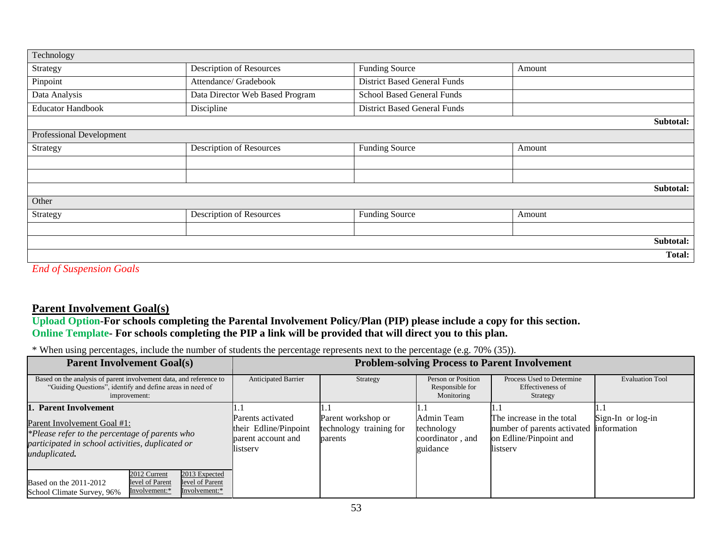| Technology                                                                                                            |                                 |                                     |        |               |
|-----------------------------------------------------------------------------------------------------------------------|---------------------------------|-------------------------------------|--------|---------------|
| Strategy                                                                                                              | Description of Resources        | Funding Source                      | Amount |               |
| Pinpoint                                                                                                              | Attendance/ Gradebook           | <b>District Based General Funds</b> |        |               |
| Data Analysis                                                                                                         | Data Director Web Based Program | School Based General Funds          |        |               |
| <b>Educator Handbook</b>                                                                                              | Discipline                      | <b>District Based General Funds</b> |        |               |
|                                                                                                                       |                                 |                                     |        | Subtotal:     |
| Professional Development                                                                                              |                                 |                                     |        |               |
| Strategy                                                                                                              | Description of Resources        | <b>Funding Source</b>               | Amount |               |
|                                                                                                                       |                                 |                                     |        |               |
|                                                                                                                       |                                 |                                     |        |               |
|                                                                                                                       |                                 |                                     |        | Subtotal:     |
| Other                                                                                                                 |                                 |                                     |        |               |
| Strategy                                                                                                              | Description of Resources        | Funding Source                      | Amount |               |
|                                                                                                                       |                                 |                                     |        |               |
|                                                                                                                       |                                 |                                     |        | Subtotal:     |
|                                                                                                                       |                                 |                                     |        | <b>Total:</b> |
| $\mathbf{E}$ , $\mathbf{I}$ , $\mathbf{C}$ , $\mathbf{C}$ , $\mathbf{C}$ , $\mathbf{C}$ , $\mathbf{I}$ , $\mathbf{C}$ |                                 |                                     |        |               |

*End of Suspension Goals*

### **Parent Involvement Goal(s)**

**Upload Option-For schools completing the Parental Involvement Policy/Plan (PIP) please include a copy for this section. Online Template- For schools completing the PIP a link will be provided that will direct you to this plan.**

\* When using percentages, include the number of students the percentage represents next to the percentage (e.g. 70% (35)).

| <b>Parent Involvement Goal(s)</b>                                                                                                                                           | <b>Problem-solving Process to Parent Involvement</b>                         |                                                          |                                                          |                                                                                                            |                        |  |
|-----------------------------------------------------------------------------------------------------------------------------------------------------------------------------|------------------------------------------------------------------------------|----------------------------------------------------------|----------------------------------------------------------|------------------------------------------------------------------------------------------------------------|------------------------|--|
| Based on the analysis of parent involvement data, and reference to<br>"Guiding Questions", identify and define areas in need of<br>improvement:                             | Anticipated Barrier                                                          | Strategy                                                 | Person or Position<br>Responsible for<br>Monitoring      | Process Used to Determine<br>Effectiveness of<br>Strategy                                                  | <b>Evaluation Tool</b> |  |
| 1. Parent Involvement<br>Parent Involvement Goal #1:<br>*Please refer to the percentage of parents who<br>participated in school activities, duplicated or<br>unduplicated. | Parents activated<br>their Edline/Pinpoint<br>parent account and<br>listserv | Parent workshop or<br>technology training for<br>parents | Admin Team<br>technology<br>coordinator, and<br>guidance | The increase in the total<br>number of parents activated information<br>on Edline/Pinpoint and<br>listserv | Sign-In or log-in      |  |
| 2012 Current<br>2013 Expected<br>level of Parent<br>level of Parent<br>Based on the 2011-2012<br>Involvement:*<br>Involvement:*<br>School Climate Survey, 96%               |                                                                              |                                                          |                                                          |                                                                                                            |                        |  |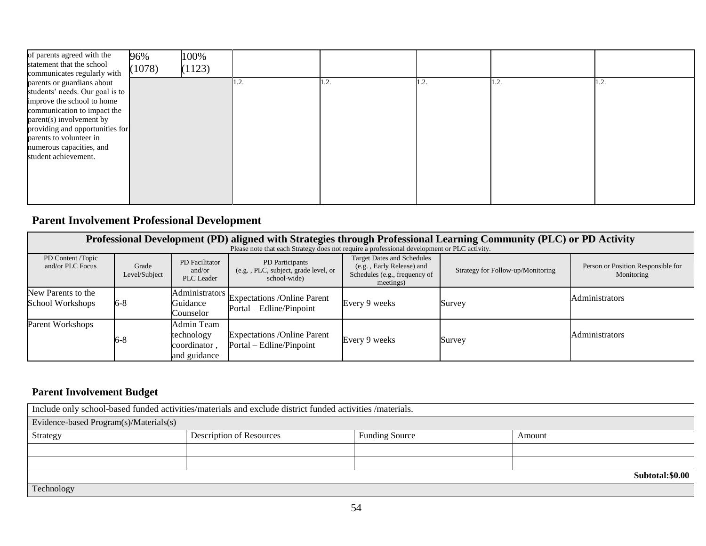| of parents agreed with the<br>statement that the school<br>communicates regularly with                                                                                                                                                                                   | 96%<br>(1078) | 100%<br>(1123) |      |      |      |      |      |
|--------------------------------------------------------------------------------------------------------------------------------------------------------------------------------------------------------------------------------------------------------------------------|---------------|----------------|------|------|------|------|------|
| parents or guardians about<br>students' needs. Our goal is to<br>improve the school to home<br>communication to impact the<br>parent(s) involvement by<br>providing and opportunities for<br>parents to volunteer in<br>numerous capacities, and<br>student achievement. |               |                | 1.2. | 1.2. | 1.2. | l.2. | 1.2. |

# **Parent Involvement Professional Development**

|                                        | Professional Development (PD) aligned with Strategies through Professional Learning Community (PLC) or PD Activity |                                                          |                                                                         |                                                                                                              |                                   |                                                  |  |  |  |  |
|----------------------------------------|--------------------------------------------------------------------------------------------------------------------|----------------------------------------------------------|-------------------------------------------------------------------------|--------------------------------------------------------------------------------------------------------------|-----------------------------------|--------------------------------------------------|--|--|--|--|
|                                        | Please note that each Strategy does not require a professional development or PLC activity.                        |                                                          |                                                                         |                                                                                                              |                                   |                                                  |  |  |  |  |
| PD Content /Topic<br>and/or PLC Focus  | Grade<br>Level/Subject                                                                                             | PD Facilitator<br>and/or<br>PLC Leader                   | PD Participants<br>(e.g., PLC, subject, grade level, or<br>school-wide) | <b>Target Dates and Schedules</b><br>(e.g., Early Release) and<br>Schedules (e.g., frequency of<br>meetings) | Strategy for Follow-up/Monitoring | Person or Position Responsible for<br>Monitoring |  |  |  |  |
| New Parents to the<br>School Workshops | $6 - 8$                                                                                                            | Administrators<br>Guidance<br>Counselor                  | <b>Expectations /Online Parent</b><br>Portal – Edline/Pinpoint          | Every 9 weeks                                                                                                | Survey                            | Administrators                                   |  |  |  |  |
| Parent Workshops                       | 6-8                                                                                                                | Admin Team<br>technology<br>coordinator,<br>and guidance | <b>Expectations /Online Parent</b><br>Portal – Edline/Pinpoint          | Every 9 weeks                                                                                                | Survey                            | Administrators                                   |  |  |  |  |

### **Parent Involvement Budget**

| Include only school-based funded activities/materials and exclude district funded activities /materials. |  |  |  |  |  |  |
|----------------------------------------------------------------------------------------------------------|--|--|--|--|--|--|
| Evidence-based Program(s)/Materials(s)                                                                   |  |  |  |  |  |  |
| Description of Resources<br>Strategy<br><b>Funding Source</b><br>Amount                                  |  |  |  |  |  |  |
|                                                                                                          |  |  |  |  |  |  |
|                                                                                                          |  |  |  |  |  |  |
| Subtotal:\$0.00                                                                                          |  |  |  |  |  |  |
| Technology                                                                                               |  |  |  |  |  |  |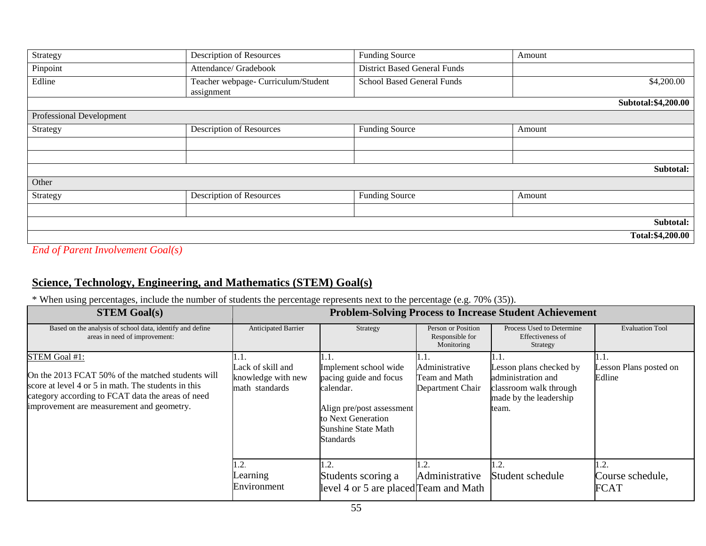| Strategy                 | Description of Resources                          | <b>Funding Source</b>               | Amount               |
|--------------------------|---------------------------------------------------|-------------------------------------|----------------------|
| Pinpoint                 | Attendance/ Gradebook                             | <b>District Based General Funds</b> |                      |
| Edline                   | Teacher webpage- Curriculum/Student<br>assignment | <b>School Based General Funds</b>   | \$4,200.00           |
|                          |                                                   |                                     | Subtotal: \$4,200.00 |
| Professional Development |                                                   |                                     |                      |
| Strategy                 | Description of Resources                          | <b>Funding Source</b>               | Amount               |
|                          |                                                   |                                     |                      |
|                          |                                                   |                                     |                      |
|                          |                                                   |                                     | Subtotal:            |
| Other                    |                                                   |                                     |                      |
| Strategy                 | Description of Resources                          | <b>Funding Source</b>               | Amount               |
|                          |                                                   |                                     |                      |
|                          |                                                   |                                     | Subtotal:            |
|                          |                                                   |                                     | Total:\$4,200.00     |

### *End of Parent Involvement Goal(s)*

### **Science, Technology, Engineering, and Mathematics (STEM) Goal(s)**

### \* When using percentages, include the number of students the percentage represents next to the percentage (e.g. 70% (35)).

| <b>STEM Goal(s)</b>                                                                                                                                                                                                         | <b>Problem-Solving Process to Increase Student Achievement</b> |                                                                                                                                                     |                                                     |                                                                                                            |                                           |
|-----------------------------------------------------------------------------------------------------------------------------------------------------------------------------------------------------------------------------|----------------------------------------------------------------|-----------------------------------------------------------------------------------------------------------------------------------------------------|-----------------------------------------------------|------------------------------------------------------------------------------------------------------------|-------------------------------------------|
| Based on the analysis of school data, identify and define<br>areas in need of improvement:                                                                                                                                  | <b>Anticipated Barrier</b>                                     | Strategy                                                                                                                                            | Person or Position<br>Responsible for<br>Monitoring | Process Used to Determine<br>Effectiveness of<br>Strategy                                                  | <b>Evaluation Tool</b>                    |
| STEM Goal #1:<br>On the 2013 FCAT 50% of the matched students will<br>score at level 4 or 5 in math. The students in this<br>category according to FCAT data the areas of need<br>improvement are measurement and geometry. | Lack of skill and<br>knowledge with new<br>math standards      | Implement school wide<br>pacing guide and focus<br>calendar.<br>Align pre/post assessment<br>to Next Generation<br>Sunshine State Math<br>Standards | Administrative<br>Team and Math<br>Department Chair | Lesson plans checked by<br>administration and<br>classroom walk through<br>made by the leadership<br>team. | 11.1.<br>Lesson Plans posted on<br>Edline |
|                                                                                                                                                                                                                             | 1.2.<br>Learning<br>Environment                                | 1.2.<br>Students scoring a<br>level 4 or 5 are placed Team and Math                                                                                 | $\cdot$ .<br>Administrative                         | 1.2.<br>Student schedule                                                                                   | 1.2.<br>Course schedule,<br><b>FCAT</b>   |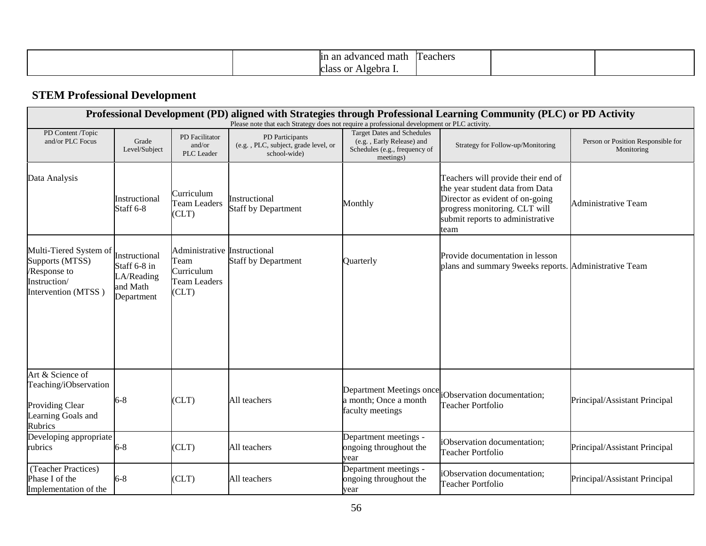| math<br>vancec<br>aav                   | t eachers |  |
|-----------------------------------------|-----------|--|
| Inahr<br>$\sim$ 44<br><b>Cla</b><br>,,, |           |  |

# **STEM Professional Development**

| Professional Development (PD) aligned with Strategies through Professional Learning Community (PLC) or PD Activity<br>Please note that each Strategy does not require a professional development or PLC activity. |                                                                       |                                                                                          |                                                                         |                                                                                                              |                                                                                                                                                                                       |                                                  |
|-------------------------------------------------------------------------------------------------------------------------------------------------------------------------------------------------------------------|-----------------------------------------------------------------------|------------------------------------------------------------------------------------------|-------------------------------------------------------------------------|--------------------------------------------------------------------------------------------------------------|---------------------------------------------------------------------------------------------------------------------------------------------------------------------------------------|--------------------------------------------------|
| PD Content /Topic<br>and/or PLC Focus                                                                                                                                                                             | Grade<br>Level/Subject                                                | PD Facilitator<br>and/or<br>PLC Leader                                                   | PD Participants<br>(e.g., PLC, subject, grade level, or<br>school-wide) | <b>Target Dates and Schedules</b><br>(e.g., Early Release) and<br>Schedules (e.g., frequency of<br>meetings) | Strategy for Follow-up/Monitoring                                                                                                                                                     | Person or Position Responsible for<br>Monitoring |
| Data Analysis                                                                                                                                                                                                     | Instructional<br>Staff 6-8                                            | Curriculum<br>Team Leaders<br>CLT)                                                       | Instructional<br><b>Staff by Department</b>                             | Monthly                                                                                                      | Teachers will provide their end of<br>the year student data from Data<br>Director as evident of on-going<br>progress monitoring. CLT will<br>submit reports to administrative<br>team | <b>Administrative Team</b>                       |
| Multi-Tiered System of<br>Supports (MTSS)<br>/Response to<br>Instruction/<br>Intervention (MTSS)                                                                                                                  | Instructional<br>Staff 6-8 in<br>LA/Reading<br>and Math<br>Department | <b>Administrative Instructional</b><br>Team<br>Curriculum<br><b>Team Leaders</b><br>CLT) | <b>Staff by Department</b>                                              | Quarterly                                                                                                    | Provide documentation in lesson<br>plans and summary 9 weeks reports. Administrative Team                                                                                             |                                                  |
| Art & Science of<br>Teaching/iObservation<br>Providing Clear<br>Learning Goals and<br>Rubrics                                                                                                                     | $6 - 8$                                                               | (CLT)                                                                                    | All teachers                                                            | Department Meetings once<br>a month; Once a month<br>faculty meetings                                        | iObservation documentation;<br><b>Teacher Portfolio</b>                                                                                                                               | Principal/Assistant Principal                    |
| Developing appropriate<br>rubrics                                                                                                                                                                                 | $6 - 8$                                                               | CLT)                                                                                     | All teachers                                                            | Department meetings -<br>ongoing throughout the<br>year                                                      | iObservation documentation;<br><b>Teacher Portfolio</b>                                                                                                                               | Principal/Assistant Principal                    |
| (Teacher Practices)<br>Phase I of the<br>Implementation of the                                                                                                                                                    | $6 - 8$                                                               | CLT)                                                                                     | All teachers                                                            | Department meetings -<br>ongoing throughout the<br>year                                                      | iObservation documentation;<br><b>Teacher Portfolio</b>                                                                                                                               | Principal/Assistant Principal                    |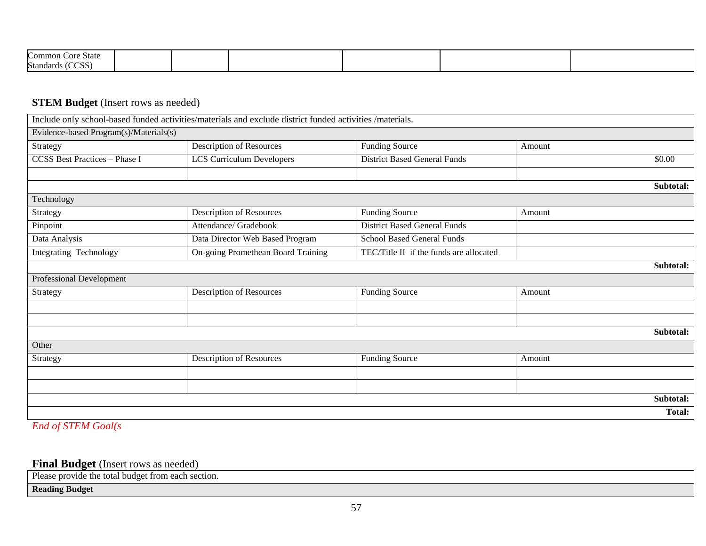| $\sim$<br>.ommor<br>State<br>$c$ ore |  |  |  |
|--------------------------------------|--|--|--|
| <b>Standards</b>                     |  |  |  |

### **STEM Budget** (Insert rows as needed)

|                                        | Include only school-based funded activities/materials and exclude district funded activities /materials. |                                         |        |               |  |
|----------------------------------------|----------------------------------------------------------------------------------------------------------|-----------------------------------------|--------|---------------|--|
| Evidence-based Program(s)/Materials(s) |                                                                                                          |                                         |        |               |  |
| Strategy                               | Description of Resources                                                                                 | <b>Funding Source</b>                   | Amount |               |  |
| CCSS Best Practices - Phase I          | <b>LCS Curriculum Developers</b>                                                                         | <b>District Based General Funds</b>     |        | \$0.00        |  |
|                                        |                                                                                                          |                                         |        |               |  |
|                                        |                                                                                                          |                                         |        | Subtotal:     |  |
| Technology                             |                                                                                                          |                                         |        |               |  |
| Strategy                               | <b>Description of Resources</b>                                                                          | <b>Funding Source</b>                   | Amount |               |  |
| Pinpoint                               | Attendance/ Gradebook                                                                                    | <b>District Based General Funds</b>     |        |               |  |
| Data Analysis                          | Data Director Web Based Program                                                                          | School Based General Funds              |        |               |  |
| <b>Integrating Technology</b>          | On-going Promethean Board Training                                                                       | TEC/Title II if the funds are allocated |        |               |  |
|                                        |                                                                                                          |                                         |        | Subtotal:     |  |
| Professional Development               |                                                                                                          |                                         |        |               |  |
| Strategy                               | Description of Resources                                                                                 | Funding Source                          | Amount |               |  |
|                                        |                                                                                                          |                                         |        |               |  |
|                                        |                                                                                                          |                                         |        |               |  |
|                                        |                                                                                                          |                                         |        | Subtotal:     |  |
| Other                                  |                                                                                                          |                                         |        |               |  |
| Strategy                               | Description of Resources                                                                                 | <b>Funding Source</b>                   | Amount |               |  |
|                                        |                                                                                                          |                                         |        |               |  |
|                                        |                                                                                                          |                                         |        |               |  |
|                                        |                                                                                                          |                                         |        | Subtotal:     |  |
|                                        |                                                                                                          |                                         |        | <b>Total:</b> |  |

*End of STEM Goal(s*

#### **Final Budget** (Insert rows as needed)

Please provide the total budget from each section.

#### **Reading Budget**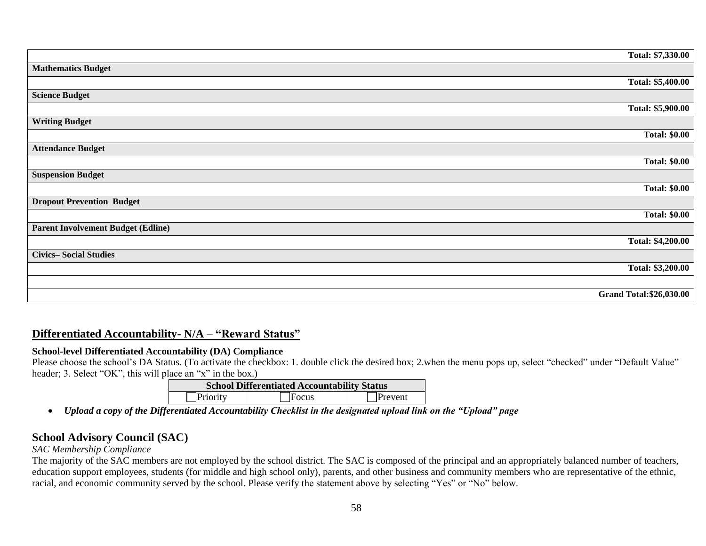|                                           | Total: \$7,330.00               |
|-------------------------------------------|---------------------------------|
| <b>Mathematics Budget</b>                 |                                 |
|                                           | Total: \$5,400.00               |
| <b>Science Budget</b>                     |                                 |
|                                           | <b>Total: \$5,900.00</b>        |
| <b>Writing Budget</b>                     |                                 |
|                                           | <b>Total: \$0.00</b>            |
| <b>Attendance Budget</b>                  |                                 |
|                                           | <b>Total: \$0.00</b>            |
| <b>Suspension Budget</b>                  |                                 |
|                                           | <b>Total: \$0.00</b>            |
| <b>Dropout Prevention Budget</b>          |                                 |
|                                           | <b>Total: \$0.00</b>            |
| <b>Parent Involvement Budget (Edline)</b> |                                 |
|                                           | Total: \$4,200.00               |
| <b>Civics-Social Studies</b>              |                                 |
|                                           | Total: \$3,200.00               |
|                                           |                                 |
|                                           | <b>Grand Total: \$26,030.00</b> |

#### **Differentiated Accountability- N/A – "Reward Status"**

#### **School-level Differentiated Accountability (DA) Compliance**

Please choose the school's DA Status. (To activate the checkbox: 1. double click the desired box; 2, when the menu pops up, select "checked" under "Default Value" header; 3. Select "OK", this will place an "x" in the box.)

| <b>School Differentiated Accountability Status</b> |       |                        |  |
|----------------------------------------------------|-------|------------------------|--|
| Priority                                           | Focus | $\blacksquare$ Prevent |  |

*Upload a copy of the Differentiated Accountability Checklist in the designated upload link on the "Upload" page*

### **School Advisory Council (SAC)**

#### *SAC Membership Compliance*

The majority of the SAC members are not employed by the school district. The SAC is composed of the principal and an appropriately balanced number of teachers, education support employees, students (for middle and high school only), parents, and other business and community members who are representative of the ethnic, racial, and economic community served by the school. Please verify the statement above by selecting "Yes" or "No" below.